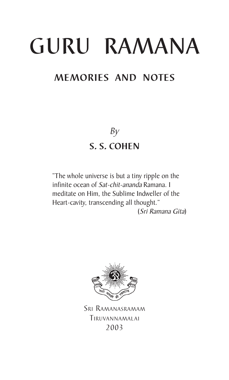# GURU RAMANA

### **MEMORIES AND NOTES**

### *By* **S. S. COHEN**

"The whole universe is but a tiny ripple on the infinite ocean of Sat-chit-ananda Ramana. I meditate on Him, the Sublime Indweller of the Heart-cavity, transcending all thought." (Sri Ramana Gita)



SRI RAMANASRAMAM TIRUVANNAMALAI 2003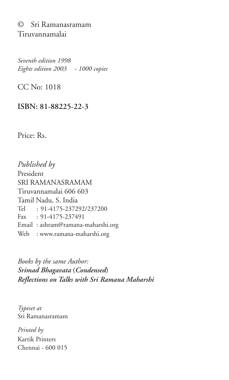#### © Sri Ramanasramam Tiruvannamalai

*Seventh edition 1998 Eights edition 2003 - 1000 copies*

CC No: 1018

#### **ISBN: 81-88225-22-3**

Price: Rs.

*Published by* President SRI RAMANASRAMAM Tiruvannamalai 606 603 Tamil Nadu, S. India Tel : 91-4175-237292/237200 Fax : 91-4175-237491 Email : ashram@ramana-maharshi.org Web : www.ramana-maharshi.org

*Books by the same Author: Srimad Bhagavata* **(***Condensed***)** *Reflections on Talks with Sri Ramana Maharshi*

*Typeset at* Sri Ramanasramam

*Printed by* Kartik Printers Chennai - 600 015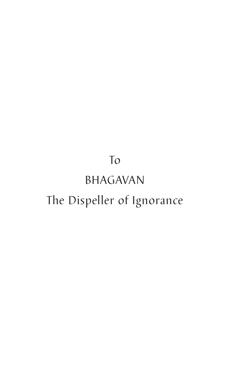## To

# BHAGAVAN The Dispeller of Ignorance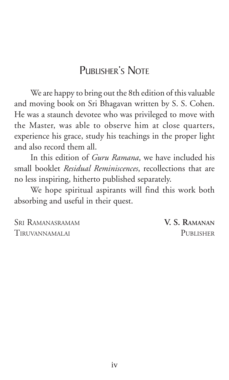### PUBLISHER'S NOTE

We are happy to bring out the 8th edition of this valuable and moving book on Sri Bhagavan written by S. S. Cohen. He was a staunch devotee who was privileged to move with the Master, was able to observe him at close quarters, experience his grace, study his teachings in the proper light and also record them all.

In this edition of *Guru Ramana*, we have included his small booklet *Residual Reminiscences*, recollections that are no less inspiring, hitherto published separately.

We hope spiritual aspirants will find this work both absorbing and useful in their quest.

SRI RAMANASRAMAM **V. S. RAMANAN** TIRUVANNAMALAI PUBLISHER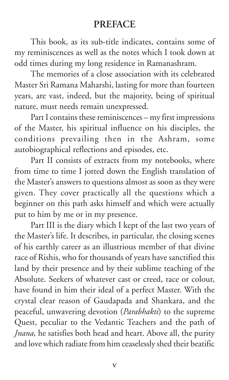### **PREFACE**

This book, as its sub-title indicates, contains some of my reminiscences as well as the notes which I took down at odd times during my long residence in Ramanashram.

The memories of a close association with its celebrated Master Sri Ramana Maharshi, lasting for more than fourteen years, are vast, indeed, but the majority, being of spiritual nature, must needs remain unexpressed.

Part I contains these reminiscences – my first impressions of the Master, his spiritual influence on his disciples, the conditions prevailing then in the Ashram, some autobiographical reflections and episodes, etc.

Part II consists of extracts from my notebooks, where from time to time I jotted down the English translation of the Master's answers to questions almost as soon as they were given. They cover practically all the questions which a beginner on this path asks himself and which were actually put to him by me or in my presence.

Part III is the diary which I kept of the last two years of the Master's life. It describes, in particular, the closing scenes of his earthly career as an illustrious member of that divine race of Rishis, who for thousands of years have sanctified this land by their presence and by their sublime teaching of the Absolute. Seekers of whatever cast or creed, race or colour, have found in him their ideal of a perfect Master. With the crystal clear reason of Gaudapada and Shankara, and the peaceful, unwavering devotion (*Parabhakti*) to the supreme Quest, peculiar to the Vedantic Teachers and the path of *Jnana,* he satisfies both head and heart. Above all, the purity and love which radiate from him ceaselessly shed their beatific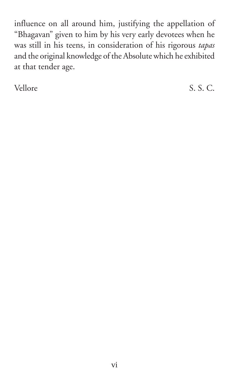influence on all around him, justifying the appellation of "Bhagavan" given to him by his very early devotees when he was still in his teens, in consideration of his rigorous *tapas* and the original knowledge of the Absolute which he exhibited at that tender age.

Vellore S. S. C.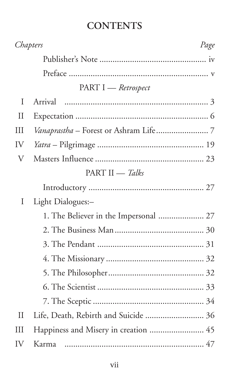### **CONTENTS**

|              | Chapters<br>Page                      |
|--------------|---------------------------------------|
|              |                                       |
|              |                                       |
|              | PART I - Retrospect                   |
| T            | Arrival                               |
| $\mathbf{I}$ |                                       |
| III          |                                       |
| IV           |                                       |
| V            |                                       |
|              | PART II - Talks                       |
|              |                                       |
| I            | Light Dialogues:-                     |
|              | 1. The Believer in the Impersonal  27 |
|              |                                       |
|              |                                       |
|              |                                       |
|              |                                       |
|              |                                       |
|              |                                       |
| $\mathbf{H}$ |                                       |
| III          | Happiness and Misery in creation  45  |
| IV           | Karma                                 |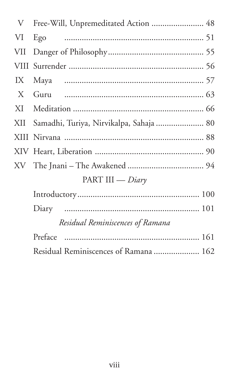| V            | Free-Will, Unpremeditated Action  48        |  |
|--------------|---------------------------------------------|--|
| VI           | Ego                                         |  |
| VII          |                                             |  |
|              |                                             |  |
| IX           |                                             |  |
| $\mathbf{X}$ |                                             |  |
| XI           |                                             |  |
|              | XII Samadhi, Turiya, Nirvikalpa, Sahaja  80 |  |
|              |                                             |  |
|              |                                             |  |
|              |                                             |  |
|              | PART $III - Diary$                          |  |
|              |                                             |  |
|              |                                             |  |
|              | Residual Reminiscences of Ramana            |  |
|              |                                             |  |
|              | Residual Reminiscences of Ramana  162       |  |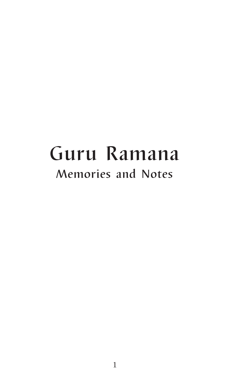# Guru Ramana Memories and Notes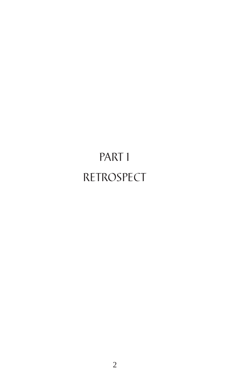# PART I RETROSPECT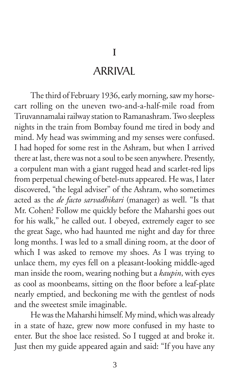### ARRIVAL

The third of February 1936, early morning, saw my horsecart rolling on the uneven two-and-a-half-mile road from Tiruvannamalai railway station to Ramanashram. Two sleepless nights in the train from Bombay found me tired in body and mind. My head was swimming and my senses were confused. I had hoped for some rest in the Ashram, but when I arrived there at last, there was not a soul to be seen anywhere. Presently, a corpulent man with a giant rugged head and scarlet-red lips from perpetual chewing of betel-nuts appeared. He was, I later discovered, "the legal adviser" of the Ashram, who sometimes acted as the *de facto sarvadhikari* (manager) as well. "Is that Mr. Cohen? Follow me quickly before the Maharshi goes out for his walk," he called out. I obeyed, extremely eager to see the great Sage, who had haunted me night and day for three long months. I was led to a small dining room, at the door of which I was asked to remove my shoes. As I was trying to unlace them, my eyes fell on a pleasant-looking middle-aged man inside the room, wearing nothing but a *kaupin*, with eyes as cool as moonbeams, sitting on the floor before a leaf-plate nearly emptied, and beckoning me with the gentlest of nods and the sweetest smile imaginable.

He was the Maharshi himself. My mind, which was already in a state of haze, grew now more confused in my haste to enter. But the shoe lace resisted. So I tugged at and broke it. Just then my guide appeared again and said: "If you have any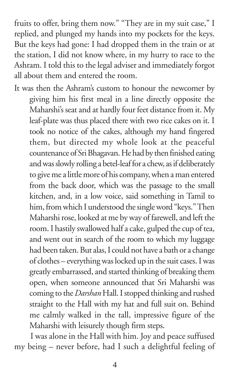fruits to offer, bring them now." "They are in my suit case," I replied, and plunged my hands into my pockets for the keys. But the keys had gone: I had dropped them in the train or at the station, I did not know where, in my hurry to race to the Ashram. I told this to the legal adviser and immediately forgot all about them and entered the room.

It was then the Ashram's custom to honour the newcomer by giving him his first meal in a line directly opposite the Maharshi's seat and at hardly four feet distance from it. My leaf-plate was thus placed there with two rice cakes on it. I took no notice of the cakes, although my hand fingered them, but directed my whole look at the peaceful countenance of Sri Bhagavan. He had by then finished eating and was slowly rolling a betel-leaf for a chew, as if deliberately to give me a little more of his company, when a man entered from the back door, which was the passage to the small kitchen, and, in a low voice, said something in Tamil to him, from which I understood the single word "keys." Then Maharshi rose, looked at me by way of farewell, and left the room. I hastily swallowed half a cake, gulped the cup of tea, and went out in search of the room to which my luggage had been taken. But alas, I could not have a bath or a change of clothes – everything was locked up in the suit cases. I was greatly embarrassed, and started thinking of breaking them open, when someone announced that Sri Maharshi was coming to the *Darshan* Hall. I stopped thinking and rushed straight to the Hall with my hat and full suit on. Behind me calmly walked in the tall, impressive figure of the Maharshi with leisurely though firm steps.

I was alone in the Hall with him. Joy and peace suffused my being – never before, had I such a delightful feeling of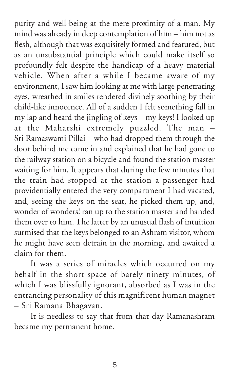purity and well-being at the mere proximity of a man. My mind was already in deep contemplation of him – him not as flesh, although that was exquisitely formed and featured, but as an unsubstantial principle which could make itself so profoundly felt despite the handicap of a heavy material vehicle. When after a while I became aware of my environment, I saw him looking at me with large penetrating eyes, wreathed in smiles rendered divinely soothing by their child-like innocence. All of a sudden I felt something fall in my lap and heard the jingling of keys – my keys! I looked up at the Maharshi extremely puzzled. The man Sri Ramaswami Pillai – who had dropped them through the door behind me came in and explained that he had gone to the railway station on a bicycle and found the station master waiting for him. It appears that during the few minutes that the train had stopped at the station a passenger had providentially entered the very compartment I had vacated, and, seeing the keys on the seat, he picked them up, and, wonder of wonders! ran up to the station master and handed them over to him. The latter by an unusual flash of intuition surmised that the keys belonged to an Ashram visitor, whom he might have seen detrain in the morning, and awaited a claim for them.

It was a series of miracles which occurred on my behalf in the short space of barely ninety minutes, of which I was blissfully ignorant, absorbed as I was in the entrancing personality of this magnificent human magnet – Sri Ramana Bhagavan.

It is needless to say that from that day Ramanashram became my permanent home.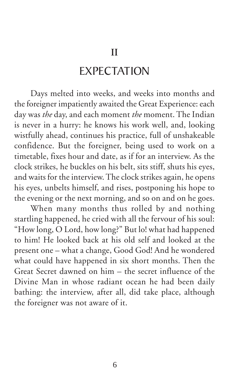### EXPECTATION

Days melted into weeks, and weeks into months and the foreigner impatiently awaited the Great Experience: each day was *the* day, and each moment *the* moment. The Indian is never in a hurry: he knows his work well, and, looking wistfully ahead, continues his practice, full of unshakeable confidence. But the foreigner, being used to work on a timetable, fixes hour and date, as if for an interview. As the clock strikes, he buckles on his belt, sits stiff, shuts his eyes, and waits for the interview. The clock strikes again, he opens his eyes, unbelts himself, and rises, postponing his hope to the evening or the next morning, and so on and on he goes.

When many months thus rolled by and nothing startling happened, he cried with all the fervour of his soul: "How long, O Lord, how long?" But lo! what had happened to him! He looked back at his old self and looked at the present one – what a change, Good God! And he wondered what could have happened in six short months. Then the Great Secret dawned on him – the secret influence of the Divine Man in whose radiant ocean he had been daily bathing: the interview, after all, did take place, although the foreigner was not aware of it.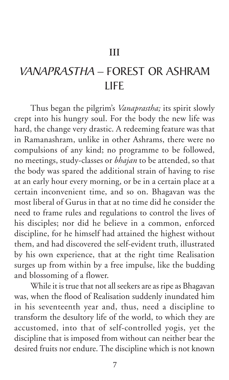#### **III**

### VANAPRASTHA – FOREST OR ASHRAM LIFE

Thus began the pilgrim's *Vanaprastha;* its spirit slowly crept into his hungry soul. For the body the new life was hard, the change very drastic. A redeeming feature was that in Ramanashram, unlike in other Ashrams, there were no compulsions of any kind; no programme to be followed, no meetings, study-classes or *bhajan* to be attended, so that the body was spared the additional strain of having to rise at an early hour every morning, or be in a certain place at a certain inconvenient time, and so on. Bhagavan was the most liberal of Gurus in that at no time did he consider the need to frame rules and regulations to control the lives of his disciples; nor did he believe in a common, enforced discipline, for he himself had attained the highest without them, and had discovered the self-evident truth, illustrated by his own experience, that at the right time Realisation surges up from within by a free impulse, like the budding and blossoming of a flower.

While it is true that not all seekers are as ripe as Bhagavan was, when the flood of Realisation suddenly inundated him in his seventeenth year and, thus, need a discipline to transform the desultory life of the world, to which they are accustomed, into that of self-controlled yogis, yet the discipline that is imposed from without can neither bear the desired fruits nor endure. The discipline which is not known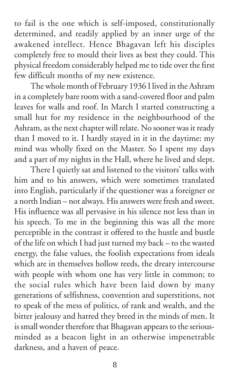to fail is the one which is self-imposed, constitutionally determined, and readily applied by an inner urge of the awakened intellect. Hence Bhagavan left his disciples completely free to mould their lives as best they could. This physical freedom considerably helped me to tide over the first few difficult months of my new existence.

The whole month of February 1936 I lived in the Ashram in a completely bare room with a sand-covered floor and palm leaves for walls and roof. In March I started constructing a small hut for my residence in the neighbourhood of the Ashram, as the next chapter will relate. No sooner was it ready than I moved to it. I hardly stayed in it in the daytime: my mind was wholly fixed on the Master. So I spent my days and a part of my nights in the Hall, where he lived and slept.

There I quietly sat and listened to the visitors' talks with him and to his answers, which were sometimes translated into English, particularly if the questioner was a foreigner or a north Indian – not always. His answers were fresh and sweet. His influence was all pervasive in his silence not less than in his speech. To me in the beginning this was all the more perceptible in the contrast it offered to the hustle and bustle of the life on which I had just turned my back – to the wasted energy, the false values, the foolish expectations from ideals which are in themselves hollow reeds, the dreary intercourse with people with whom one has very little in common; to the social rules which have been laid down by many generations of selfishness, convention and superstitions, not to speak of the mess of politics, of rank and wealth, and the bitter jealousy and hatred they breed in the minds of men. It is small wonder therefore that Bhagavan appears to the seriousminded as a beacon light in an otherwise impenetrable darkness, and a haven of peace.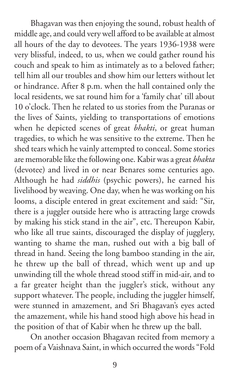Bhagavan was then enjoying the sound, robust health of middle age, and could very well afford to be available at almost all hours of the day to devotees. The years 1936-1938 were very blissful, indeed, to us, when we could gather round his couch and speak to him as intimately as to a beloved father; tell him all our troubles and show him our letters without let or hindrance. After 8 p.m. when the hall contained only the local residents, we sat round him for a 'family chat' till about 10 o'clock. Then he related to us stories from the Puranas or the lives of Saints, yielding to transportations of emotions when he depicted scenes of great *bhakti*, or great human tragedies, to which he was sensitive to the extreme. Then he shed tears which he vainly attempted to conceal. Some stories are memorable like the following one. Kabir was a great *bhakta* (devotee) and lived in or near Benares some centuries ago. Although he had *siddhis* (psychic powers), he earned his livelihood by weaving. One day, when he was working on his looms, a disciple entered in great excitement and said: "Sir, there is a juggler outside here who is attracting large crowds by making his stick stand in the air", etc. Thereupon Kabir, who like all true saints, discouraged the display of jugglery, wanting to shame the man, rushed out with a big ball of thread in hand. Seeing the long bamboo standing in the air, he threw up the ball of thread, which went up and up unwinding till the whole thread stood stiff in mid-air, and to a far greater height than the juggler's stick, without any support whatever. The people, including the juggler himself, were stunned in amazement, and Sri Bhagavan's eyes acted the amazement, while his hand stood high above his head in the position of that of Kabir when he threw up the ball.

On another occasion Bhagavan recited from memory a poem of a Vaishnava Saint, in which occurred the words "Fold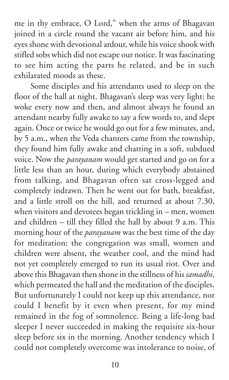me in thy embrace, O Lord," when the arms of Bhagavan joined in a circle round the vacant air before him, and his eyes shone with devotional ardour, while his voice shook with stifled sobs which did not escape our notice. It was fascinating to see him acting the parts he related, and be in such exhilarated moods as these.

Some disciples and his attendants used to sleep on the floor of the hall at night. Bhagavan's sleep was very light: he woke every now and then, and almost always he found an attendant nearby fully awake to say a few words to, and slept again. Once or twice he would go out for a few minutes, and, by 5 a.m., when the Veda chanters came from the township, they found him fully awake and chatting in a soft, subdued voice. Now the *parayanam* would get started and go on for a little less than an hour, during which everybody abstained from talking, and Bhagavan often sat cross-legged and completely indrawn. Then he went out for bath, breakfast, and a little stroll on the hill, and returned at about 7.30, when visitors and devotees began trickling in – men, women and children – till they filled the hall by about 9 a.m. This morning hour of the *parayanam* was the best time of the day for meditation: the congregation was small, women and children were absent, the weather cool, and the mind had not yet completely emerged to run its usual riot. Over and above this Bhagavan then shone in the stillness of his *samadhi*, which permeated the hall and the meditation of the disciples. But unfortunately I could not keep up this attendance, nor could I benefit by it even when present, for my mind remained in the fog of somnolence. Being a life-long bad sleeper I never succeeded in making the requisite six-hour sleep before six in the morning. Another tendency which I could not completely overcome was intolerance to noise, of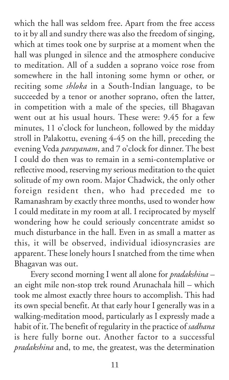which the hall was seldom free. Apart from the free access to it by all and sundry there was also the freedom of singing, which at times took one by surprise at a moment when the hall was plunged in silence and the atmosphere conducive to meditation. All of a sudden a soprano voice rose from somewhere in the hall intoning some hymn or other, or reciting some *shloka* in a South-Indian language, to be succeeded by a tenor or another soprano, often the latter, in competition with a male of the species, till Bhagavan went out at his usual hours. These were: 9.45 for a few minutes, 11 o'clock for luncheon, followed by the midday stroll in Palakottu, evening 4-45 on the hill, preceding the evening Veda *parayanam*, and 7 o'clock for dinner. The best I could do then was to remain in a semi-contemplative or reflective mood, reserving my serious meditation to the quiet solitude of my own room. Major Chadwick, the only other foreign resident then, who had preceded me to Ramanashram by exactly three months, used to wonder how I could meditate in my room at all. I reciprocated by myself wondering how he could seriously concentrate amidst so much disturbance in the hall. Even in as small a matter as this, it will be observed, individual idiosyncrasies are apparent. These lonely hours I snatched from the time when Bhagavan was out.

Every second morning I went all alone for *pradakshina* – an eight mile non-stop trek round Arunachala hill – which took me almost exactly three hours to accomplish. This had its own special benefit. At that early hour I generally was in a walking-meditation mood, particularly as I expressly made a habit of it. The benefit of regularity in the practice of *sadhana* is here fully borne out. Another factor to a successful *pradakshina* and, to me, the greatest, was the determination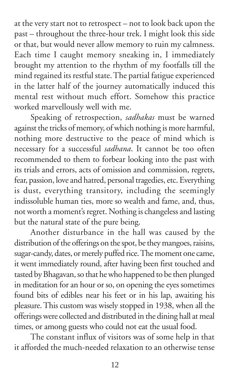at the very start not to retrospect – not to look back upon the past – throughout the three-hour trek. I might look this side or that, but would never allow memory to ruin my calmness. Each time I caught memory sneaking in, I immediately brought my attention to the rhythm of my footfalls till the mind regained its restful state. The partial fatigue experienced in the latter half of the journey automatically induced this mental rest without much effort. Somehow this practice worked marvellously well with me.

Speaking of retrospection, *sadhakas* must be warned against the tricks of memory, of which nothing is more harmful, nothing more destructive to the peace of mind which is necessary for a successful *sadhana*. It cannot be too often recommended to them to forbear looking into the past with its trials and errors, acts of omission and commission, regrets, fear, passion, love and hatred, personal tragedies, etc. Everything is dust, everything transitory, including the seemingly indissoluble human ties, more so wealth and fame, and, thus, not worth a moment's regret. Nothing is changeless and lasting but the natural state of the pure being.

Another disturbance in the hall was caused by the distribution of the offerings on the spot, be they mangoes, raisins, sugar-candy, dates, or merely puffed rice. The moment one came, it went immediately round, after having been first touched and tasted by Bhagavan, so that he who happened to be then plunged in meditation for an hour or so, on opening the eyes sometimes found bits of edibles near his feet or in his lap, awaiting his pleasure. This custom was wisely stopped in 1938, when all the offerings were collected and distributed in the dining hall at meal times, or among guests who could not eat the usual food.

The constant influx of visitors was of some help in that it afforded the much-needed relaxation to an otherwise tense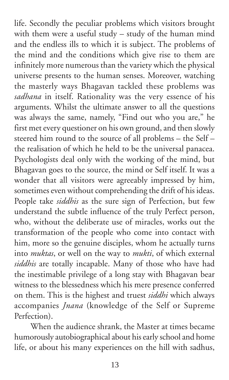life. Secondly the peculiar problems which visitors brought with them were a useful study – study of the human mind and the endless ills to which it is subject. The problems of the mind and the conditions which give rise to them are infinitely more numerous than the variety which the physical universe presents to the human senses. Moreover, watching the masterly ways Bhagavan tackled these problems was *sadhana* in itself. Rationality was the very essence of his arguments. Whilst the ultimate answer to all the questions was always the same, namely, "Find out who you are," he first met every questioner on his own ground, and then slowly steered him round to the source of all problems – the Self – the realisation of which he held to be the universal panacea. Psychologists deal only with the working of the mind, but Bhagavan goes to the source, the mind or Self itself. It was a wonder that all visitors were agreeably impressed by him, sometimes even without comprehending the drift of his ideas. People take *siddhis* as the sure sign of Perfection, but few understand the subtle influence of the truly Perfect person, who, without the deliberate use of miracles, works out the transformation of the people who come into contact with him, more so the genuine disciples, whom he actually turns into *muktas*, or well on the way to *mukti*, of which external *siddhis* are totally incapable. Many of those who have had the inestimable privilege of a long stay with Bhagavan bear witness to the blessedness which his mere presence conferred on them. This is the highest and truest *siddhi* which always accompanies *Jnana* (knowledge of the Self or Supreme Perfection).

When the audience shrank, the Master at times became humorously autobiographical about his early school and home life, or about his many experiences on the hill with sadhus,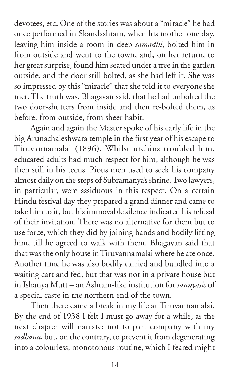devotees, etc. One of the stories was about a "miracle" he had once performed in Skandashram, when his mother one day, leaving him inside a room in deep *samadhi*, bolted him in from outside and went to the town, and, on her return, to her great surprise, found him seated under a tree in the garden outside, and the door still bolted, as she had left it. She was so impressed by this "miracle" that she told it to everyone she met. The truth was, Bhagavan said, that he had unbolted the two door-shutters from inside and then re-bolted them, as before, from outside, from sheer habit.

Again and again the Master spoke of his early life in the big Arunachaleshwara temple in the first year of his escape to Tiruvannamalai (1896). Whilst urchins troubled him, educated adults had much respect for him, although he was then still in his teens. Pious men used to seek his company almost daily on the steps of Subramanya's shrine. Two lawyers, in particular, were assiduous in this respect. On a certain Hindu festival day they prepared a grand dinner and came to take him to it, but his immovable silence indicated his refusal of their invitation. There was no alternative for them but to use force, which they did by joining hands and bodily lifting him, till he agreed to walk with them. Bhagavan said that that was the only house in Tiruvannamalai where he ate once. Another time he was also bodily carried and bundled into a waiting cart and fed, but that was not in a private house but in Ishanya Mutt – an Ashram-like institution for *sannyasis* of a special caste in the northern end of the town.

Then there came a break in my life at Tiruvannamalai. By the end of 1938 I felt I must go away for a while, as the next chapter will narrate: not to part company with my *sadhana*, but, on the contrary, to prevent it from degenerating into a colourless, monotonous routine, which I feared might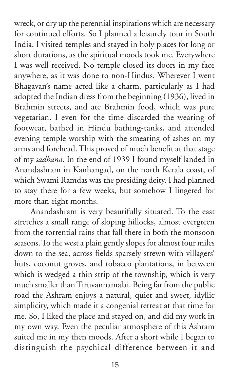wreck, or dry up the perennial inspirations which are necessary for continued efforts. So I planned a leisurely tour in South India. I visited temples and stayed in holy places for long or short durations, as the spiritual moods took me. Everywhere I was well received. No temple closed its doors in my face anywhere, as it was done to non-Hindus. Wherever I went Bhagavan's name acted like a charm, particularly as I had adopted the Indian dress from the beginning (1936), lived in Brahmin streets, and ate Brahmin food, which was pure vegetarian. I even for the time discarded the wearing of footwear, bathed in Hindu bathing-tanks, and attended evening temple worship with the smearing of ashes on my arms and forehead. This proved of much benefit at that stage of my *sadhana*. In the end of 1939 I found myself landed in Anandashram in Kanhangad, on the north Kerala coast, of which Swami Ramdas was the presiding deity. I had planned to stay there for a few weeks, but somehow I lingered for more than eight months.

Anandashram is very beautifully situated. To the east stretches a small range of sloping hillocks, almost evergreen from the torrential rains that fall there in both the monsoon seasons. To the west a plain gently slopes for almost four miles down to the sea, across fields sparsely strewn with villagers' huts, coconut groves, and tobacco plantations, in between which is wedged a thin strip of the township, which is very much smaller than Tiruvannamalai. Being far from the public road the Ashram enjoys a natural, quiet and sweet, idyllic simplicity, which made it a congenial retreat at that time for me. So, I liked the place and stayed on, and did my work in my own way. Even the peculiar atmosphere of this Ashram suited me in my then moods. After a short while I began to distinguish the psychical difference between it and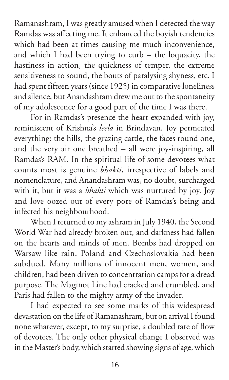Ramanashram, I was greatly amused when I detected the way Ramdas was affecting me. It enhanced the boyish tendencies which had been at times causing me much inconvenience, and which I had been trying to curb – the loquacity, the hastiness in action, the quickness of temper, the extreme sensitiveness to sound, the bouts of paralysing shyness, etc. I had spent fifteen years (since 1925) in comparative loneliness and silence, but Anandashram drew me out to the spontaneity of my adolescence for a good part of the time I was there.

For in Ramdas's presence the heart expanded with joy, reminiscent of Krishna's *leela* in Brindavan. Joy permeated everything: the hills, the grazing cattle, the faces round one, and the very air one breathed – all were joy-inspiring, all Ramdas's RAM. In the spiritual life of some devotees what counts most is genuine *bhakti*, irrespective of labels and nomenclature, and Anandashram was, no doubt, surcharged with it, but it was a *bhakti* which was nurtured by joy. Joy and love oozed out of every pore of Ramdas's being and infected his neighbourhood.

When I returned to my ashram in July 1940, the Second World War had already broken out, and darkness had fallen on the hearts and minds of men. Bombs had dropped on Warsaw like rain. Poland and Czechoslovakia had been subdued. Many millions of innocent men, women, and children, had been driven to concentration camps for a dread purpose. The Maginot Line had cracked and crumbled, and Paris had fallen to the mighty army of the invader.

I had expected to see some marks of this widespread devastation on the life of Ramanashram, but on arrival I found none whatever, except, to my surprise, a doubled rate of flow of devotees. The only other physical change I observed was in the Master's body, which started showing signs of age, which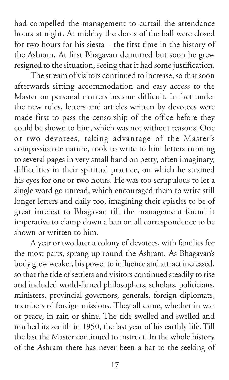had compelled the management to curtail the attendance hours at night. At midday the doors of the hall were closed for two hours for his siesta – the first time in the history of the Ashram. At first Bhagavan demurred but soon he grew resigned to the situation, seeing that it had some justification.

The stream of visitors continued to increase, so that soon afterwards sitting accommodation and easy access to the Master on personal matters became difficult. In fact under the new rules, letters and articles written by devotees were made first to pass the censorship of the office before they could be shown to him, which was not without reasons. One or two devotees, taking advantage of the Master's compassionate nature, took to write to him letters running to several pages in very small hand on petty, often imaginary, difficulties in their spiritual practice, on which he strained his eyes for one or two hours. He was too scrupulous to let a single word go unread, which encouraged them to write still longer letters and daily too, imagining their epistles to be of great interest to Bhagavan till the management found it imperative to clamp down a ban on all correspondence to be shown or written to him.

A year or two later a colony of devotees, with families for the most parts, sprang up round the Ashram. As Bhagavan's body grew weaker, his power to influence and attract increased, so that the tide of settlers and visitors continued steadily to rise and included world-famed philosophers, scholars, politicians, ministers, provincial governors, generals, foreign diplomats, members of foreign missions. They all came, whether in war or peace, in rain or shine. The tide swelled and swelled and reached its zenith in 1950, the last year of his earthly life. Till the last the Master continued to instruct. In the whole history of the Ashram there has never been a bar to the seeking of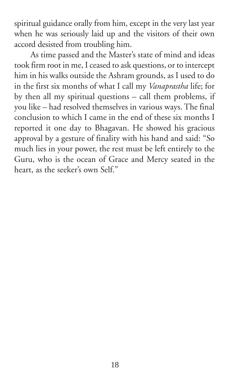spiritual guidance orally from him, except in the very last year when he was seriously laid up and the visitors of their own accord desisted from troubling him.

As time passed and the Master's state of mind and ideas took firm root in me, I ceased to ask questions, or to intercept him in his walks outside the Ashram grounds, as I used to do in the first six months of what I call my *Vanaprastha* life; for by then all my spiritual questions – call them problems, if you like – had resolved themselves in various ways. The final conclusion to which I came in the end of these six months I reported it one day to Bhagavan. He showed his gracious approval by a gesture of finality with his hand and said: "So much lies in your power, the rest must be left entirely to the Guru, who is the ocean of Grace and Mercy seated in the heart, as the seeker's own Self."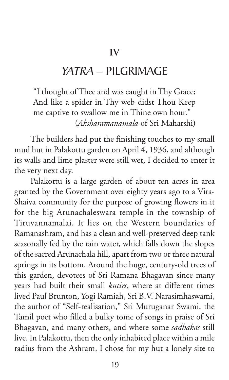### YATRA – PILGRIMAGE

"I thought of Thee and was caught in Thy Grace; And like a spider in Thy web didst Thou Keep me captive to swallow me in Thine own hour." (*Aksharamanamala* of Sri Maharshi)

The builders had put the finishing touches to my small mud hut in Palakottu garden on April 4, 1936, and although its walls and lime plaster were still wet, I decided to enter it the very next day.

Palakottu is a large garden of about ten acres in area granted by the Government over eighty years ago to a Vira-Shaiva community for the purpose of growing flowers in it for the big Arunachaleswara temple in the township of Tiruvannamalai. It lies on the Western boundaries of Ramanashram, and has a clean and well-preserved deep tank seasonally fed by the rain water, which falls down the slopes of the sacred Arunachala hill, apart from two or three natural springs in its bottom. Around the huge, century-old trees of this garden, devotees of Sri Ramana Bhagavan since many years had built their small *kutirs*, where at different times lived Paul Brunton, Yogi Ramiah, Sri B.V. Narasimhaswami, the author of "Self-realisation," Sri Muruganar Swami, the Tamil poet who filled a bulky tome of songs in praise of Sri Bhagavan, and many others, and where some *sadhakas* still live. In Palakottu, then the only inhabited place within a mile radius from the Ashram, I chose for my hut a lonely site to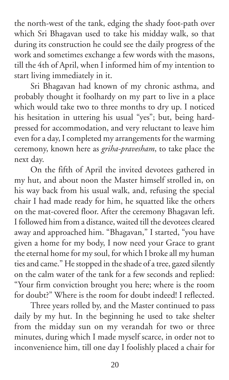the north-west of the tank, edging the shady foot-path over which Sri Bhagavan used to take his midday walk, so that during its construction he could see the daily progress of the work and sometimes exchange a few words with the masons, till the 4th of April, when I informed him of my intention to start living immediately in it.

Sri Bhagavan had known of my chronic asthma, and probably thought it foolhardy on my part to live in a place which would take two to three months to dry up. I noticed his hesitation in uttering his usual "yes"; but, being hardpressed for accommodation, and very reluctant to leave him even for a day, I completed my arrangements for the warming ceremony, known here as *griha-pravesham*, to take place the next day.

On the fifth of April the invited devotees gathered in my hut, and about noon the Master himself strolled in, on his way back from his usual walk, and, refusing the special chair I had made ready for him, he squatted like the others on the mat-covered floor. After the ceremony Bhagavan left. I followed him from a distance, waited till the devotees cleared away and approached him. "Bhagavan," I started, "you have given a home for my body, I now need your Grace to grant the eternal home for my soul, for which I broke all my human ties and came." He stopped in the shade of a tree, gazed silently on the calm water of the tank for a few seconds and replied: "Your firm conviction brought you here; where is the room for doubt?" Where is the room for doubt indeed! I reflected.

Three years rolled by, and the Master continued to pass daily by my hut. In the beginning he used to take shelter from the midday sun on my verandah for two or three minutes, during which I made myself scarce, in order not to inconvenience him, till one day I foolishly placed a chair for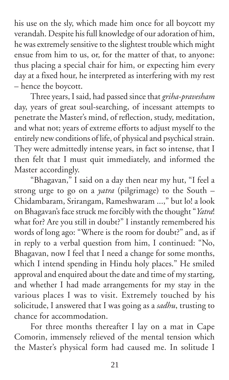his use on the sly, which made him once for all boycott my verandah. Despite his full knowledge of our adoration of him, he was extremely sensitive to the slightest trouble which might ensue from him to us, or, for the matter of that, to anyone: thus placing a special chair for him, or expecting him every day at a fixed hour, he interpreted as interfering with my rest – hence the boycott.

Three years, I said, had passed since that *griha-pravesham* day, years of great soul-searching, of incessant attempts to penetrate the Master's mind, of reflection, study, meditation, and what not; years of extreme efforts to adjust myself to the entirely new conditions of life, of physical and psychical strain. They were admittedly intense years, in fact so intense, that I then felt that I must quit immediately, and informed the Master accordingly.

"Bhagavan," I said on a day then near my hut, "I feel a strong urge to go on a *yatra* (pilgrimage) to the South – Chidambaram, Srirangam, Rameshwaram ...," but lo! a look on Bhagavan's face struck me forcibly with the thought "*Yatra*! what for? Are you still in doubt?" I instantly remembered his words of long ago: "Where is the room for doubt?" and, as if in reply to a verbal question from him, I continued: "No, Bhagavan, now I feel that I need a change for some months, which I intend spending in Hindu holy places." He smiled approval and enquired about the date and time of my starting, and whether I had made arrangements for my stay in the various places I was to visit. Extremely touched by his solicitude, I answered that I was going as a *sadhu*, trusting to chance for accommodation.

For three months thereafter I lay on a mat in Cape Comorin, immensely relieved of the mental tension which the Master's physical form had caused me. In solitude I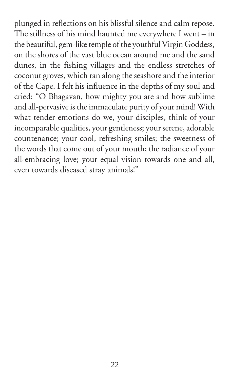plunged in reflections on his blissful silence and calm repose. The stillness of his mind haunted me everywhere I went – in the beautiful, gem-like temple of the youthful Virgin Goddess, on the shores of the vast blue ocean around me and the sand dunes, in the fishing villages and the endless stretches of coconut groves, which ran along the seashore and the interior of the Cape. I felt his influence in the depths of my soul and cried: "O Bhagavan, how mighty you are and how sublime and all-pervasive is the immaculate purity of your mind! With what tender emotions do we, your disciples, think of your incomparable qualities, your gentleness; your serene, adorable countenance; your cool, refreshing smiles; the sweetness of the words that come out of your mouth; the radiance of your all-embracing love; your equal vision towards one and all, even towards diseased stray animals!"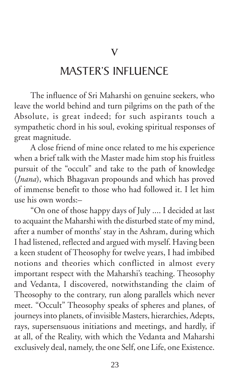### MASTER'S INFLUENCE

The influence of Sri Maharshi on genuine seekers, who leave the world behind and turn pilgrims on the path of the Absolute, is great indeed; for such aspirants touch a sympathetic chord in his soul, evoking spiritual responses of great magnitude.

A close friend of mine once related to me his experience when a brief talk with the Master made him stop his fruitless pursuit of the "occult" and take to the path of knowledge (*Jnana*), which Bhagavan propounds and which has proved of immense benefit to those who had followed it. I let him use his own words:–

"On one of those happy days of July .... I decided at last to acquaint the Maharshi with the disturbed state of my mind, after a number of months' stay in the Ashram, during which I had listened, reflected and argued with myself. Having been a keen student of Theosophy for twelve years, I had imbibed notions and theories which conflicted in almost every important respect with the Maharshi's teaching. Theosophy and Vedanta, I discovered, notwithstanding the claim of Theosophy to the contrary, run along parallels which never meet. "Occult" Theosophy speaks of spheres and planes, of journeys into planets, of invisible Masters, hierarchies, Adepts, rays, supersensuous initiations and meetings, and hardly, if at all, of the Reality, with which the Vedanta and Maharshi exclusively deal, namely, the one Self, one Life, one Existence.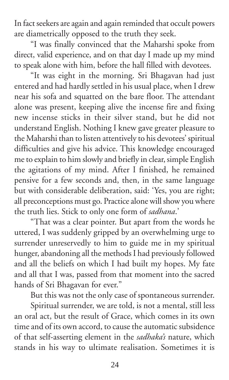In fact seekers are again and again reminded that occult powers are diametrically opposed to the truth they seek.

"I was finally convinced that the Maharshi spoke from direct, valid experience, and on that day I made up my mind to speak alone with him, before the hall filled with devotees.

"It was eight in the morning. Sri Bhagavan had just entered and had hardly settled in his usual place, when I drew near his sofa and squatted on the bare floor. The attendant alone was present, keeping alive the incense fire and fixing new incense sticks in their silver stand, but he did not understand English. Nothing I knew gave greater pleasure to the Maharshi than to listen attentively to his devotees' spiritual difficulties and give his advice. This knowledge encouraged me to explain to him slowly and briefly in clear, simple English the agitations of my mind. After I finished, he remained pensive for a few seconds and, then, in the same language but with considerable deliberation, said: 'Yes, you are right; all preconceptions must go. Practice alone will show you where the truth lies. Stick to only one form of *sadhana*.'

"That was a clear pointer. But apart from the words he uttered, I was suddenly gripped by an overwhelming urge to surrender unreservedly to him to guide me in my spiritual hunger, abandoning all the methods I had previously followed and all the beliefs on which I had built my hopes. My fate and all that I was, passed from that moment into the sacred hands of Sri Bhagavan for ever."

But this was not the only case of spontaneous surrender.

Spiritual surrender, we are told, is not a mental, still less an oral act, but the result of Grace, which comes in its own time and of its own accord, to cause the automatic subsidence of that self-asserting element in the *sadhaka's* nature, which stands in his way to ultimate realisation. Sometimes it is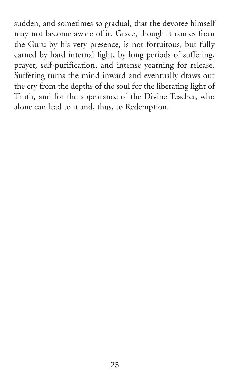sudden, and sometimes so gradual, that the devotee himself may not become aware of it. Grace, though it comes from the Guru by his very presence, is not fortuitous, but fully earned by hard internal fight, by long periods of suffering, prayer, self-purification, and intense yearning for release. Suffering turns the mind inward and eventually draws out the cry from the depths of the soul for the liberating light of Truth, and for the appearance of the Divine Teacher, who alone can lead to it and, thus, to Redemption.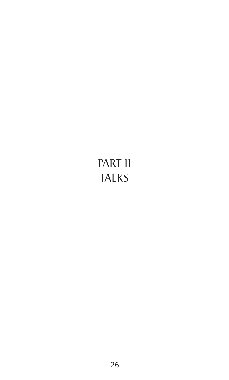# PART II TALKS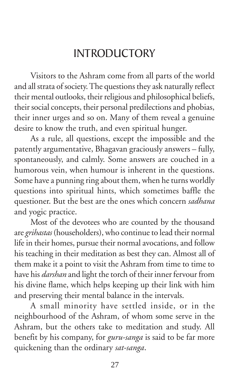### INTRODUCTORY

Visitors to the Ashram come from all parts of the world and all strata of society. The questions they ask naturally reflect their mental outlooks, their religious and philosophical beliefs, their social concepts, their personal predilections and phobias, their inner urges and so on. Many of them reveal a genuine desire to know the truth, and even spiritual hunger.

As a rule, all questions, except the impossible and the patently argumentative, Bhagavan graciously answers – fully, spontaneously, and calmly. Some answers are couched in a humorous vein, when humour is inherent in the questions. Some have a punning ring about them, when he turns worldly questions into spiritual hints, which sometimes baffle the questioner. But the best are the ones which concern *sadhana* and yogic practice.

Most of the devotees who are counted by the thousand are *grihastas* (householders), who continue to lead their normal life in their homes, pursue their normal avocations, and follow his teaching in their meditation as best they can. Almost all of them make it a point to visit the Ashram from time to time to have his *darshan* and light the torch of their inner fervour from his divine flame, which helps keeping up their link with him and preserving their mental balance in the intervals.

A small minority have settled inside, or in the neighbourhood of the Ashram, of whom some serve in the Ashram, but the others take to meditation and study. All benefit by his company, for *guru-sanga* is said to be far more quickening than the ordinary *sat-sanga*.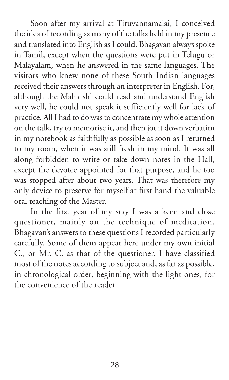Soon after my arrival at Tiruvannamalai, I conceived the idea of recording as many of the talks held in my presence and translated into English as I could. Bhagavan always spoke in Tamil, except when the questions were put in Telugu or Malayalam, when he answered in the same languages. The visitors who knew none of these South Indian languages received their answers through an interpreter in English. For, although the Maharshi could read and understand English very well, he could not speak it sufficiently well for lack of practice. All I had to do was to concentrate my whole attention on the talk, try to memorise it, and then jot it down verbatim in my notebook as faithfully as possible as soon as I returned to my room, when it was still fresh in my mind. It was all along forbidden to write or take down notes in the Hall, except the devotee appointed for that purpose, and he too was stopped after about two years. That was therefore my only device to preserve for myself at first hand the valuable oral teaching of the Master.

In the first year of my stay I was a keen and close questioner, mainly on the technique of meditation. Bhagavan's answers to these questions I recorded particularly carefully. Some of them appear here under my own initial C., or Mr. C. as that of the questioner. I have classified most of the notes according to subject and, as far as possible, in chronological order, beginning with the light ones, for the convenience of the reader.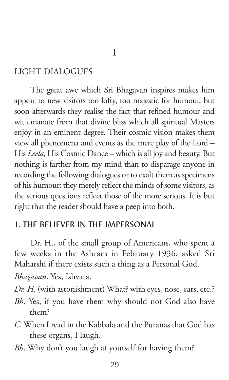#### LIGHT DIALOGUES

The great awe which Sri Bhagavan inspires makes him appear to new visitors too lofty, too majestic for humour, but soon afterwards they realise the fact that refined humour and wit emanate from that divine bliss which all spiritual Masters enjoy in an eminent degree. Their cosmic vision makes them view all phenomena and events as the mere play of the Lord – His *Leela*, His Cosmic Dance – which is all joy and beauty. But nothing is farther from my mind than to disparage anyone in recording the following dialogues or to exalt them as specimens of his humour: they merely reflect the minds of some visitors, as the serious questions reflect those of the more serious. It is but right that the reader should have a peep into both.

#### 1. THE BELIEVER IN THE IMPERSONAL

Dr. H., of the small group of Americans, who spent a few weeks in the Ashram in February 1936, asked Sri Maharshi if there exists such a thing as a Personal God.

*Bhagavan*. Yes, Ishvara.

*Dr. H.* (with astonishment) What? with eyes, nose, ears, etc.?

- *Bh*. Yes, if you have them why should not God also have them?
- *C*. When I read in the Kabbala and the Puranas that God has these organs, I laugh.
- *Bh*. Why don't you laugh at yourself for having them?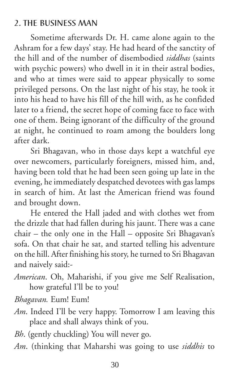### 2. THE BUSINESS MAN

Sometime afterwards Dr. H. came alone again to the Ashram for a few days' stay. He had heard of the sanctity of the hill and of the number of disembodied *siddhas* (saints with psychic powers) who dwell in it in their astral bodies, and who at times were said to appear physically to some privileged persons. On the last night of his stay, he took it into his head to have his fill of the hill with, as he confided later to a friend, the secret hope of coming face to face with one of them. Being ignorant of the difficulty of the ground at night, he continued to roam among the boulders long after dark.

Sri Bhagavan, who in those days kept a watchful eye over newcomers, particularly foreigners, missed him, and, having been told that he had been seen going up late in the evening, he immediately despatched devotees with gas lamps in search of him. At last the American friend was found and brought down.

He entered the Hall jaded and with clothes wet from the drizzle that had fallen during his jaunt. There was a cane chair – the only one in the Hall – opposite Sri Bhagavan's sofa. On that chair he sat, and started telling his adventure on the hill. After finishing his story, he turned to Sri Bhagavan and naively said:-

*American*. Oh, Maharishi, if you give me Self Realisation, how grateful I'll be to you!

*Bhagavan.* Eum! Eum!

*Am*. Indeed I'll be very happy. Tomorrow I am leaving this place and shall always think of you.

*Bh*. (gently chuckling) You will never go.

*Am*. (thinking that Maharshi was going to use *siddhis* to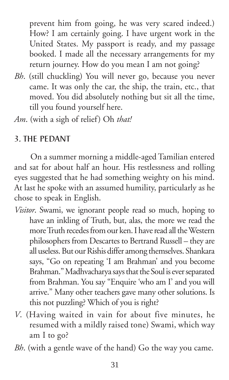prevent him from going, he was very scared indeed.) How? I am certainly going. I have urgent work in the United States. My passport is ready, and my passage booked. I made all the necessary arrangements for my return journey. How do you mean I am not going?

- *Bh*. (still chuckling) You will never go, because you never came. It was only the car, the ship, the train, etc., that moved. You did absolutely nothing but sit all the time, till you found yourself here.
- *Am*. (with a sigh of relief) Oh *that!*

### 3. THE PEDANT

On a summer morning a middle-aged Tamilian entered and sat for about half an hour. His restlessness and rolling eyes suggested that he had something weighty on his mind. At last he spoke with an assumed humility, particularly as he chose to speak in English.

- *Visitor*. Swami, we ignorant people read so much, hoping to have an inkling of Truth, but, alas, the more we read the more Truth recedes from our ken. I have read all the Western philosophers from Descartes to Bertrand Russell – they are all useless. But our Rishis differ among themselves. Shankara says, "Go on repeating 'I am Brahman' and you become Brahman." Madhvacharya says that the Soul is ever separated from Brahman. You say "Enquire 'who am I' and you will arrive." Many other teachers gave many other solutions. Is this not puzzling? Which of you is right?
- *V*. (Having waited in vain for about five minutes, he resumed with a mildly raised tone) Swami, which way am I to go?
- *Bh*. (with a gentle wave of the hand) Go the way you came.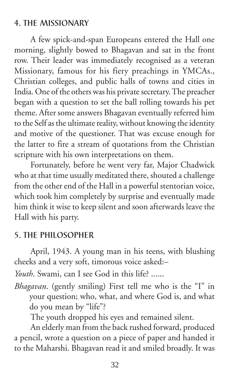### 4. THE MISSIONARY

A few spick-and-span Europeans entered the Hall one morning, slightly bowed to Bhagavan and sat in the front row. Their leader was immediately recognised as a veteran Missionary, famous for his fiery preachings in YMCAs., Christian colleges, and public halls of towns and cities in India. One of the others was his private secretary. The preacher began with a question to set the ball rolling towards his pet theme. After some answers Bhagavan eventually referred him to the Self as the ultimate reality, without knowing the identity and motive of the questioner. That was excuse enough for the latter to fire a stream of quotations from the Christian scripture with his own interpretations on them.

Fortunately, before he went very far, Major Chadwick who at that time usually meditated there, shouted a challenge from the other end of the Hall in a powerful stentorian voice, which took him completely by surprise and eventually made him think it wise to keep silent and soon afterwards leave the Hall with his party.

### 5. THE PHILOSOPHER

April, 1943. A young man in his teens, with blushing cheeks and a very soft, timorous voice asked:–

*Youth*. Swami, can I see God in this life? ......

*Bhagavan*. (gently smiling) First tell me who is the "I" in your question; who, what, and where God is, and what do you mean by "life"?

The youth dropped his eyes and remained silent.

An elderly man from the back rushed forward, produced a pencil, wrote a question on a piece of paper and handed it to the Maharshi. Bhagavan read it and smiled broadly. It was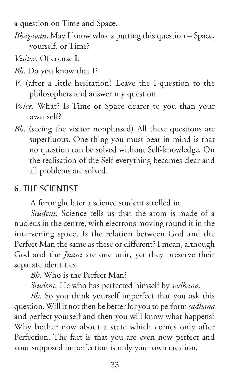a question on Time and Space.

*Bhagavan*. May I know who is putting this question – Space, yourself, or Time?

*Visitor*. Of course I.

*Bh*. Do you know that I?

*V*. (after a little hesitation) Leave the I-question to the philosophers and answer my question.

*Voice*. What? Is Time or Space dearer to you than your own self?

*Bh*. (seeing the visitor nonplussed) All these questions are superfluous. One thing you must bear in mind is that no question can be solved without Self-knowledge. On the realisation of the Self everything becomes clear and all problems are solved.

### 6. THE SCIENTIST

A fortnight later a science student strolled in.

*Student*. Science tells us that the atom is made of a nucleus in the centre, with electrons moving round it in the intervening space. Is the relation between God and the Perfect Man the same as these or different? I mean, although God and the *Jnani* are one unit, yet they preserve their separate identities.

*Bh*. Who is the Perfect Man?

*Student*. He who has perfected himself by *sadhana*.

*Bh*. So you think yourself imperfect that you ask this question. Will it not then be better for you to perform *sadhana* and perfect yourself and then you will know what happens? Why bother now about a state which comes only after Perfection. The fact is that you are even now perfect and your supposed imperfection is only your own creation.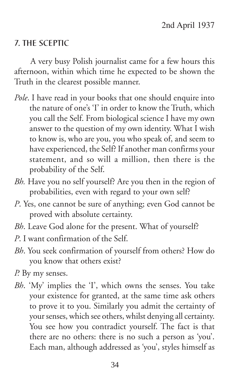### 7. THE SCEPTIC

A very busy Polish journalist came for a few hours this afternoon, within which time he expected to be shown the Truth in the clearest possible manner.

- *Pole*. I have read in your books that one should enquire into the nature of one's 'I' in order to know the Truth, which you call the Self. From biological science I have my own answer to the question of my own identity. What I wish to know is, who are you, you who speak of, and seem to have experienced, the Self? If another man confirms your statement, and so will a million, then there is the probability of the Self.
- *Bh.* Have you no self yourself? Are you then in the region of probabilities, even with regard to your own self?
- *P*. Yes, one cannot be sure of anything; even God cannot be proved with absolute certainty.
- *Bh*. Leave God alone for the present. What of yourself?
- *P*. I want confirmation of the Self.
- *Bh*. You seek confirmation of yourself from others? How do you know that others exist?
- *P.* By my senses.
- *Bh*. 'My' implies the 'I', which owns the senses. You take your existence for granted, at the same time ask others to prove it to you. Similarly you admit the certainty of your senses, which see others, whilst denying all certainty. You see how you contradict yourself. The fact is that there are no others: there is no such a person as 'you'. Each man, although addressed as 'you', styles himself as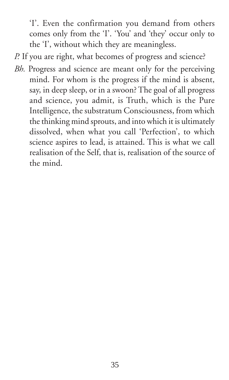'I'. Even the confirmation you demand from others comes only from the 'I'. 'You' and 'they' occur only to the 'I', without which they are meaningless.

*P.* If you are right, what becomes of progress and science?

*Bh.* Progress and science are meant only for the perceiving mind. For whom is the progress if the mind is absent, say, in deep sleep, or in a swoon? The goal of all progress and science, you admit, is Truth, which is the Pure Intelligence, the substratum Consciousness, from which the thinking mind sprouts, and into which it is ultimately dissolved, when what you call 'Perfection', to which science aspires to lead, is attained. This is what we call realisation of the Self, that is, realisation of the source of the mind.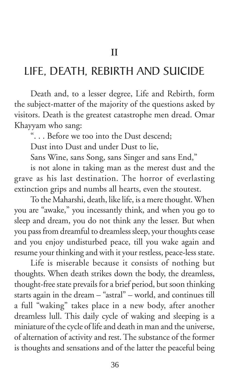## LIFE, DEATH, REBIRTH AND SUICIDE

Death and, to a lesser degree, Life and Rebirth, form the subject-matter of the majority of the questions asked by visitors. Death is the greatest catastrophe men dread. Omar Khayyam who sang:

". . . Before we too into the Dust descend;

Dust into Dust and under Dust to lie,

Sans Wine, sans Song, sans Singer and sans End,"

is not alone in taking man as the merest dust and the grave as his last destination. The horror of everlasting extinction grips and numbs all hearts, even the stoutest.

To the Maharshi, death, like life, is a mere thought. When you are "awake," you incessantly think, and when you go to sleep and dream, you do not think any the lesser. But when you pass from dreamful to dreamless sleep, your thoughts cease and you enjoy undisturbed peace, till you wake again and resume your thinking and with it your restless, peace-less state.

Life is miserable because it consists of nothing but thoughts. When death strikes down the body, the dreamless, thought-free state prevails for a brief period, but soon thinking starts again in the dream – "astral" – world, and continues till a full "waking" takes place in a new body, after another dreamless lull. This daily cycle of waking and sleeping is a miniature of the cycle of life and death in man and the universe, of alternation of activity and rest. The substance of the former is thoughts and sensations and of the latter the peaceful being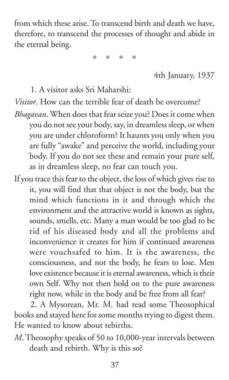from which these arise. To transcend birth and death we have, therefore, to transcend the processes of thought and abide in the eternal being.

\* \* \* \*

4th January, 1937

1. A visitor asks Sri Maharshi:

*Visitor*. How can the terrible fear of death be overcome?

- *Bhagavan*. When does that fear seize you? Does it come when you do not see your body, say, in dreamless sleep, or when you are under chloroform? It haunts you only when you are fully "awake" and perceive the world, including your body. If you do not see these and remain your pure self, as in dreamless sleep, no fear can touch you.
- If you trace this fear to the object, the loss of which gives rise to it, you will find that that object is not the body, but the mind which functions in it and through which the environment and the attractive world is known as sights, sounds, smells, etc. Many a man would be too glad to be rid of his diseased body and all the problems and inconvenience it creates for him if continued awareness were vouchsafed to him. It is the awareness, the consciousness, and not the body, he fears to lose. Men love existence because it is eternal awareness, which is their own Self. Why not then hold on to the pure awareness right now, while in the body and be free from all fear?

2. A Mysorean, Mr. M. had read some Theosophical books and stayed here for some months trying to digest them. He wanted to know about rebirths.

*M*. Theosophy speaks of 50 to 10,000-year intervals between death and rebirth. Why is this so?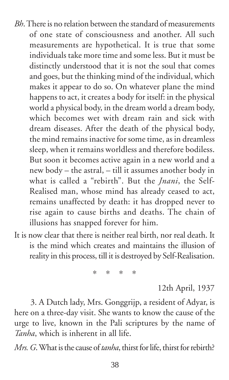- *Bh*. There is no relation between the standard of measurements of one state of consciousness and another. All such measurements are hypothetical. It is true that some individuals take more time and some less. But it must be distinctly understood that it is not the soul that comes and goes, but the thinking mind of the individual, which makes it appear to do so. On whatever plane the mind happens to act, it creates a body for itself: in the physical world a physical body, in the dream world a dream body, which becomes wet with dream rain and sick with dream diseases. After the death of the physical body, the mind remains inactive for some time, as in dreamless sleep, when it remains worldless and therefore bodiless. But soon it becomes active again in a new world and a new body – the astral, – till it assumes another body in what is called a "rebirth". But the *Jnani*, the Self-Realised man, whose mind has already ceased to act, remains unaffected by death: it has dropped never to rise again to cause births and deaths. The chain of illusions has snapped forever for him.
- It is now clear that there is neither real birth, nor real death. It is the mind which creates and maintains the illusion of reality in this process, till it is destroyed by Self-Realisation.

\* \* \* \*

12th April, 1937

3. A Dutch lady, Mrs. Gonggrijp, a resident of Adyar, is here on a three-day visit. She wants to know the cause of the urge to live, known in the Pali scriptures by the name of *Tanha*, which is inherent in all life.

*Mrs. G.* What is the cause of *tanha*, thirst for life, thirst for rebirth?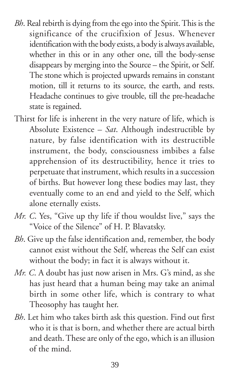- *Bh*. Real rebirth is dying from the ego into the Spirit. This is the significance of the crucifixion of Jesus. Whenever identification with the body exists, a body is always available, whether in this or in any other one, till the body-sense disappears by merging into the Source – the Spirit, or Self. The stone which is projected upwards remains in constant motion, till it returns to its source, the earth, and rests. Headache continues to give trouble, till the pre-headache state is regained.
- Thirst for life is inherent in the very nature of life, which is Absolute Existence – *Sat*. Although indestructible by nature, by false identification with its destructible instrument, the body, consciousness imbibes a false apprehension of its destructibility, hence it tries to perpetuate that instrument, which results in a succession of births. But however long these bodies may last, they eventually come to an end and yield to the Self, which alone eternally exists.
- *Mr. C.* Yes, "Give up thy life if thou wouldst live," says the "Voice of the Silence" of H. P. Blavatsky.
- *Bh*. Give up the false identification and, remember, the body cannot exist without the Self, whereas the Self can exist without the body; in fact it is always without it.
- *Mr. C*. A doubt has just now arisen in Mrs. G's mind, as she has just heard that a human being may take an animal birth in some other life, which is contrary to what Theosophy has taught her.
- *Bh*. Let him who takes birth ask this question. Find out first who it is that is born, and whether there are actual birth and death. These are only of the ego, which is an illusion of the mind.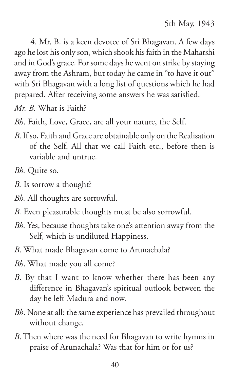4. Mr. B. is a keen devotee of Sri Bhagavan. A few days ago he lost his only son, which shook his faith in the Maharshi and in God's grace. For some days he went on strike by staying away from the Ashram, but today he came in "to have it out" with Sri Bhagavan with a long list of questions which he had prepared. After receiving some answers he was satisfied.

*Mr. B*. What is Faith?

*Bh*. Faith, Love, Grace, are all your nature, the Self.

*B*. If so, Faith and Grace are obtainable only on the Realisation of the Self. All that we call Faith etc., before then is variable and untrue.

*Bh.* Quite so.

*B.* Is sorrow a thought?

*Bh.* All thoughts are sorrowful.

- *B.* Even pleasurable thoughts must be also sorrowful.
- *Bh.* Yes, because thoughts take one's attention away from the Self, which is undiluted Happiness.
- *B*. What made Bhagavan come to Arunachala?
- *Bh*. What made you all come?
- *B*. By that I want to know whether there has been any difference in Bhagavan's spiritual outlook between the day he left Madura and now.
- *Bh*. None at all: the same experience has prevailed throughout without change.
- *B*. Then where was the need for Bhagavan to write hymns in praise of Arunachala? Was that for him or for us?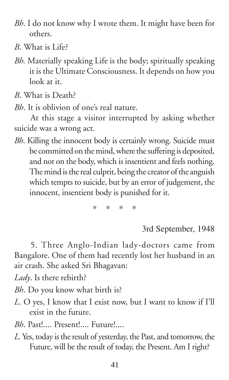- *Bh*. I do not know why I wrote them. It might have been for others.
- *B*. What is Life?
- *Bh.* Materially speaking Life is the body; spiritually speaking it is the Ultimate Consciousness. It depends on how you look at it.
- *B*. What is Death?

*Bh*. It is oblivion of one's real nature.

At this stage a visitor interrupted by asking whether suicide was a wrong act.

*Bh*. Killing the innocent body is certainly wrong. Suicide must be committed on the mind, where the suffering is deposited, and not on the body, which is insentient and feels nothing. The mind is the real culprit, being the creator of the anguish which tempts to suicide, but by an error of judgement, the innocent, insentient body is punished for it.

\* \* \* \*

3rd September, 1948

5. Three Anglo-Indian lady-doctors came from Bangalore. One of them had recently lost her husband in an air crash. She asked Sri Bhagavan:

*Lady*. Is there rebirth?

*Bh*. Do you know what birth is?

- *L*. O yes, I know that I exist now, but I want to know if I'll exist in the future.
- *Bh*. Past!.... Present!.... Future!....
- *L.* Yes, today is the result of yesterday, the Past, and tomorrow, the Future, will be the result of today, the Present. Am I right?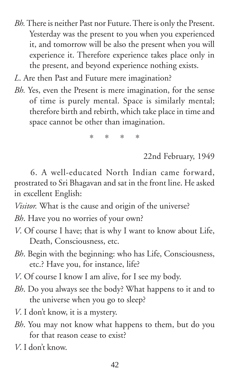- *Bh.* There is neither Past nor Future. There is only the Present. Yesterday was the present to you when you experienced it, and tomorrow will be also the present when you will experience it. Therefore experience takes place only in the present, and beyond experience nothing exists.
- *L*. Are then Past and Future mere imagination?
- *Bh.* Yes, even the Present is mere imagination, for the sense of time is purely mental. Space is similarly mental; therefore birth and rebirth, which take place in time and space cannot be other than imagination.

\* \* \* \*

22nd February, 1949

6. A well-educated North Indian came forward, prostrated to Sri Bhagavan and sat in the front line. He asked in excellent English:

*Visitor.* What is the cause and origin of the universe?

*Bh*. Have you no worries of your own?

- *V*. Of course I have; that is why I want to know about Life, Death, Consciousness, etc.
- *Bh*. Begin with the beginning: who has Life, Consciousness, etc.? Have you, for instance, life?
- *V*. Of course I know I am alive, for I see my body.
- *Bh*. Do you always see the body? What happens to it and to the universe when you go to sleep?
- *V*. I don't know, it is a mystery.
- *Bh*. You may not know what happens to them, but do you for that reason cease to exist?
- *V*. I don't know.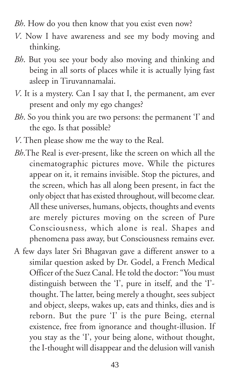- *Bh*. How do you then know that you exist even now?
- *V*. Now I have awareness and see my body moving and thinking.
- *Bh*. But you see your body also moving and thinking and being in all sorts of places while it is actually lying fast asleep in Tiruvannamalai.
- *V*. It is a mystery. Can I say that I, the permanent, am ever present and only my ego changes?
- *Bh*. So you think you are two persons: the permanent 'I' and the ego. Is that possible?
- *V*. Then please show me the way to the Real.
- *Bh*.The Real is ever-present, like the screen on which all the cinematographic pictures move. While the pictures appear on it, it remains invisible. Stop the pictures, and the screen, which has all along been present, in fact the only object that has existed throughout, will become clear. All these universes, humans, objects, thoughts and events are merely pictures moving on the screen of Pure Consciousness, which alone is real. Shapes and phenomena pass away, but Consciousness remains ever.
- A few days later Sri Bhagavan gave a different answer to a similar question asked by Dr. Godel, a French Medical Officer of the Suez Canal. He told the doctor: "You must distinguish between the 'I', pure in itself, and the 'I' thought. The latter, being merely a thought, sees subject and object, sleeps, wakes up, eats and thinks, dies and is reborn. But the pure 'I' is the pure Being, eternal existence, free from ignorance and thought-illusion. If you stay as the 'I', your being alone, without thought, the I-thought will disappear and the delusion will vanish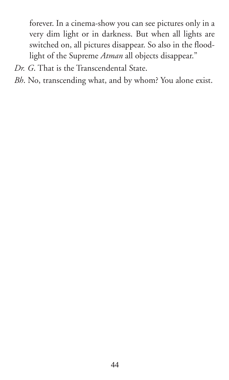forever. In a cinema-show you can see pictures only in a very dim light or in darkness. But when all lights are switched on, all pictures disappear. So also in the floodlight of the Supreme *Atman* all objects disappear."

- *Dr. G*. That is the Transcendental State.
- *Bh*. No, transcending what, and by whom? You alone exist.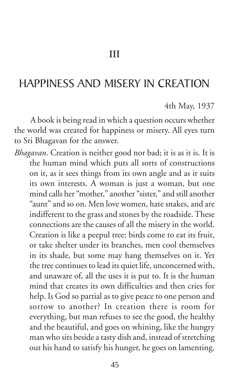## HAPPINESS AND MISERY IN CREATION

#### 4th May, 1937

A book is being read in which a question occurs whether the world was created for happiness or misery. All eyes turn to Sri Bhagavan for the answer.

*Bhagavan*. Creation is neither good nor bad; it is as it is. It is

the human mind which puts all sorts of constructions on it, as it sees things from its own angle and as it suits its own interests. A woman is just a woman, but one mind calls her "mother," another "sister," and still another "aunt" and so on. Men love women, hate snakes, and are indifferent to the grass and stones by the roadside. These connections are the causes of all the misery in the world. Creation is like a peepul tree: birds come to eat its fruit, or take shelter under its branches, men cool themselves in its shade, but some may hang themselves on it. Yet the tree continues to lead its quiet life, unconcerned with, and unaware of, all the uses it is put to. It is the human mind that creates its own difficulties and then cries for help. Is God so partial as to give peace to one person and sorrow to another? In creation there is room for everything, but man refuses to see the good, the healthy and the beautiful, and goes on whining, like the hungry man who sits beside a tasty dish and, instead of stretching out his hand to satisfy his hunger, he goes on lamenting.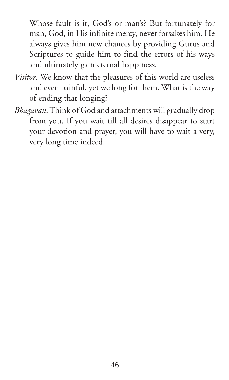Whose fault is it, God's or man's? But fortunately for man, God, in His infinite mercy, never forsakes him. He always gives him new chances by providing Gurus and Scriptures to guide him to find the errors of his ways and ultimately gain eternal happiness.

- *Visitor*. We know that the pleasures of this world are useless and even painful, yet we long for them. What is the way of ending that longing?
- *Bhagavan*. Think of God and attachments will gradually drop from you. If you wait till all desires disappear to start your devotion and prayer, you will have to wait a very, very long time indeed.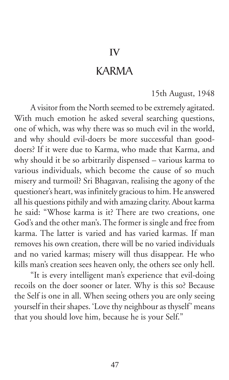## KARMA

#### 15th August, 1948

A visitor from the North seemed to be extremely agitated. With much emotion he asked several searching questions, one of which, was why there was so much evil in the world, and why should evil-doers be more successful than gooddoers? If it were due to Karma, who made that Karma, and why should it be so arbitrarily dispensed – various karma to various individuals, which become the cause of so much misery and turmoil? Sri Bhagavan, realising the agony of the questioner's heart, was infinitely gracious to him. He answered all his questions pithily and with amazing clarity. About karma he said: "Whose karma is it? There are two creations, one God's and the other man's. The former is single and free from karma. The latter is varied and has varied karmas. If man removes his own creation, there will be no varied individuals and no varied karmas; misery will thus disappear. He who kills man's creation sees heaven only, the others see only hell.

"It is every intelligent man's experience that evil-doing recoils on the doer sooner or later. Why is this so? Because the Self is one in all. When seeing others you are only seeing yourself in their shapes. 'Love thy neighbour as thyself' means that you should love him, because he is your Self."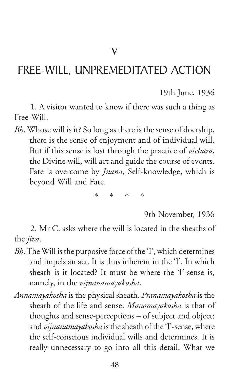## FREE-WILL, UNPREMEDITATED ACTION

19th June, 1936

1. A visitor wanted to know if there was such a thing as Free-Will.

*Bh*. Whose will is it? So long as there is the sense of doership, there is the sense of enjoyment and of individual will. But if this sense is lost through the practice of *vichara*, the Divine will, will act and guide the course of events. Fate is overcome by *Jnana*, Self-knowledge, which is beyond Will and Fate.

\* \* \* \*

9th November, 1936

2. Mr C. asks where the will is located in the sheaths of the *jiva*.

- *Bh*. The Will is the purposive force of the 'I', which determines and impels an act. It is thus inherent in the 'I'. In which sheath is it located? It must be where the 'I'-sense is, namely, in the *vijnanamayakosha*.
- *Annamayakosha* is the physical sheath. *Pranamayakosha* is the sheath of the life and sense. *Manomayakosha* is that of thoughts and sense-perceptions – of subject and object: and *vijnanamayakosha* is the sheath of the 'I'-sense, where the self-conscious individual wills and determines. It is really unnecessary to go into all this detail. What we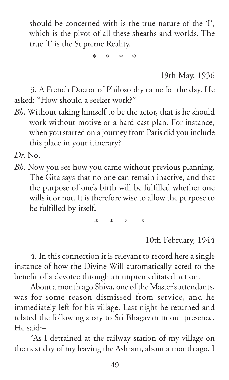should be concerned with is the true nature of the 'I', which is the pivot of all these sheaths and worlds. The true 'I' is the Supreme Reality.

\* \* \* \*

19th May, 1936

3. A French Doctor of Philosophy came for the day. He asked: "How should a seeker work?"

*Bh*. Without taking himself to be the actor, that is he should work without motive or a hard-cast plan. For instance, when you started on a journey from Paris did you include this place in your itinerary?

*Dr*. No.

*Bh*. Now you see how you came without previous planning. The Gita says that no one can remain inactive, and that the purpose of one's birth will be fulfilled whether one wills it or not. It is therefore wise to allow the purpose to be fulfilled by itself.

\* \* \* \*

10th February, 1944

4. In this connection it is relevant to record here a single instance of how the Divine Will automatically acted to the benefit of a devotee through an unpremeditated action.

About a month ago Shiva, one of the Master's attendants, was for some reason dismissed from service, and he immediately left for his village. Last night he returned and related the following story to Sri Bhagavan in our presence. He said:–

"As I detrained at the railway station of my village on the next day of my leaving the Ashram, about a month ago, I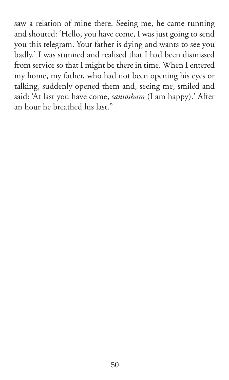saw a relation of mine there. Seeing me, he came running and shouted: 'Hello, you have come, I was just going to send you this telegram. Your father is dying and wants to see you badly.' I was stunned and realised that I had been dismissed from service so that I might be there in time. When I entered my home, my father, who had not been opening his eyes or talking, suddenly opened them and, seeing me, smiled and said: 'At last you have come, *santosham* (I am happy).' After an hour he breathed his last."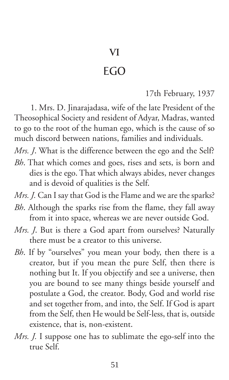## EGO

### 17th February, 1937

1. Mrs. D. Jinarajadasa, wife of the late President of the Theosophical Society and resident of Adyar, Madras, wanted to go to the root of the human ego, which is the cause of so much discord between nations, families and individuals.

*Mrs. J.* What is the difference between the ego and the Self?

- *Bh*. That which comes and goes, rises and sets, is born and dies is the ego. That which always abides, never changes and is devoid of qualities is the Self.
- *Mrs. J.* Can I say that God is the Flame and we are the sparks?
- *Bh*. Although the sparks rise from the flame, they fall away from it into space, whereas we are never outside God.
- *Mrs. J*. But is there a God apart from ourselves? Naturally there must be a creator to this universe.
- *Bh*. If by "ourselves" you mean your body, then there is a creator, but if you mean the pure Self, then there is nothing but It. If you objectify and see a universe, then you are bound to see many things beside yourself and postulate a God, the creator. Body, God and world rise and set together from, and into, the Self. If God is apart from the Self, then He would be Self-less, that is, outside existence, that is, non-existent.
- *Mrs. J.* I suppose one has to sublimate the ego-self into the true Self.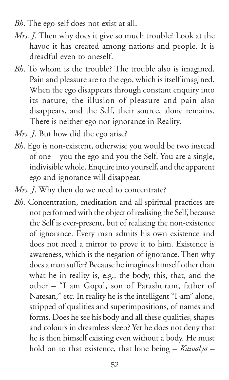- *Bh*. The ego-self does not exist at all.
- *Mrs. J*. Then why does it give so much trouble? Look at the havoc it has created among nations and people. It is dreadful even to oneself.
- *Bh*. To whom is the trouble? The trouble also is imagined. Pain and pleasure are to the ego, which is itself imagined. When the ego disappears through constant enquiry into its nature, the illusion of pleasure and pain also disappears, and the Self, their source, alone remains. There is neither ego nor ignorance in Reality.
- *Mrs. J.* But how did the ego arise?
- *Bh*. Ego is non-existent, otherwise you would be two instead of one – you the ego and you the Self. You are a single, indivisible whole. Enquire into yourself, and the apparent ego and ignorance will disappear.
- *Mrs. J.* Why then do we need to concentrate?
- *Bh*. Concentration, meditation and all spiritual practices are not performed with the object of realising the Self, because the Self is ever-present, but of realising the non-existence of ignorance. Every man admits his own existence and does not need a mirror to prove it to him. Existence is awareness, which is the negation of ignorance. Then why does a man suffer? Because he imagines himself other than what he in reality is, e.g., the body, this, that, and the other – "I am Gopal, son of Parashuram, father of Natesan," etc. In reality he is the intelligent "I-am" alone, stripped of qualities and superimpositions, of names and forms. Does he see his body and all these qualities, shapes and colours in dreamless sleep? Yet he does not deny that he is then himself existing even without a body. He must hold on to that existence, that lone being – *Kaivalya* –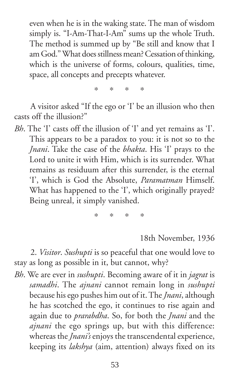even when he is in the waking state. The man of wisdom simply is. "I-Am-That-I-Am" sums up the whole Truth. The method is summed up by "Be still and know that I am God." What does stillness mean? Cessation of thinking, which is the universe of forms, colours, qualities, time, space, all concepts and precepts whatever.

\* \* \* \*

A visitor asked "If the ego or 'I' be an illusion who then casts off the illusion?"

*Bh*. The 'I' casts off the illusion of 'I' and yet remains as 'I'. This appears to be a paradox to you: it is not so to the *Jnani*. Take the case of the *bhakta*. His 'I' prays to the Lord to unite it with Him, which is its surrender. What remains as residuum after this surrender, is the eternal 'I', which is God the Absolute, *Paramatman* Himself. What has happened to the 'I', which originally prayed? Being unreal, it simply vanished.

\* \* \* \*

18th November, 1936

2. *Visitor*. *Sushupti* is so peaceful that one would love to stay as long as possible in it, but cannot, why?

*Bh*. We are ever in *sushupti*. Becoming aware of it in *jagrat* is *samadhi*. The *ajnani* cannot remain long in *sushupti* because his ego pushes him out of it. The *Jnani*, although he has scotched the ego, it continues to rise again and again due to *prarabdha*. So, for both the *Jnani* and the *ajnani* the ego springs up, but with this difference: whereas the *Jnani's* enjoys the transcendental experience, keeping its *lakshya* (aim, attention) always fixed on its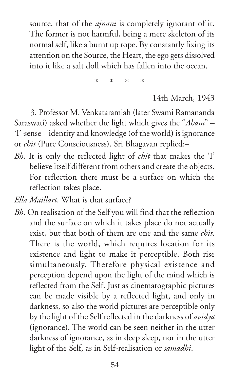source, that of the *ajnani* is completely ignorant of it. The former is not harmful, being a mere skeleton of its normal self, like a burnt up rope. By constantly fixing its attention on the Source, the Heart, the ego gets dissolved into it like a salt doll which has fallen into the ocean.

\* \* \* \*

#### 14th March, 1943

3. Professor M. Venkataramiah (later Swami Ramananda Saraswati) asked whether the light which gives the "*Aham*" – 'I'-sense – identity and knowledge (of the world) is ignorance or *chit* (Pure Consciousness). Sri Bhagavan replied:–

- *Bh*. It is only the reflected light of *chit* that makes the 'I' believe itself different from others and create the objects. For reflection there must be a surface on which the reflection takes place.
- *Ella Maillart*. What is that surface?
- *Bh*. On realisation of the Self you will find that the reflection and the surface on which it takes place do not actually exist, but that both of them are one and the same *chit*. There is the world, which requires location for its existence and light to make it perceptible. Both rise simultaneously. Therefore physical existence and perception depend upon the light of the mind which is reflected from the Self. Just as cinematographic pictures can be made visible by a reflected light, and only in darkness, so also the world pictures are perceptible only by the light of the Self reflected in the darkness of *avidya* (ignorance). The world can be seen neither in the utter darkness of ignorance, as in deep sleep, nor in the utter light of the Self, as in Self-realisation or *samadhi*.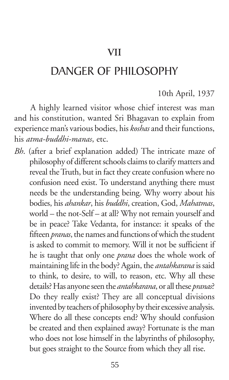## DANGER OF PHILOSOPHY

#### 10th April, 1937

A highly learned visitor whose chief interest was man and his constitution, wanted Sri Bhagavan to explain from experience man's various bodies, his *koshas* and their functions, his *atma-buddhi-manas*, etc.

*Bh*. (after a brief explanation added) The intricate maze of philosophy of different schools claims to clarify matters and reveal the Truth, but in fact they create confusion where no confusion need exist. To understand anything there must needs be the understanding being. Why worry about his bodies, his *ahankar*, his *buddhi*, creation, God, *Mahatmas*, world – the not-Self – at all? Why not remain yourself and be in peace? Take Vedanta, for instance: it speaks of the fifteen *pranas*, the names and functions of which the student is asked to commit to memory. Will it not be sufficient if he is taught that only one *prana* does the whole work of maintaining life in the body? Again, the *antahkarana* is said to think, to desire, to will, to reason, etc. Why all these details? Has anyone seen the *antahkarana*, or all these *pranas*? Do they really exist? They are all conceptual divisions invented by teachers of philosophy by their excessive analysis. Where do all these concepts end? Why should confusion be created and then explained away? Fortunate is the man who does not lose himself in the labyrinths of philosophy, but goes straight to the Source from which they all rise.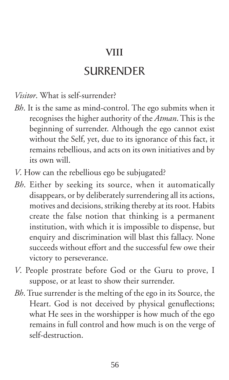## **VIII**

# SURRENDER

*Visitor*. What is self-surrender?

- *Bh*. It is the same as mind-control. The ego submits when it recognises the higher authority of the *Atman*. This is the beginning of surrender. Although the ego cannot exist without the Self, yet, due to its ignorance of this fact, it remains rebellious, and acts on its own initiatives and by its own will.
- *V*. How can the rebellious ego be subjugated?
- *Bh*. Either by seeking its source, when it automatically disappears, or by deliberately surrendering all its actions, motives and decisions, striking thereby at its root. Habits create the false notion that thinking is a permanent institution, with which it is impossible to dispense, but enquiry and discrimination will blast this fallacy. None succeeds without effort and the successful few owe their victory to perseverance.
- *V*. People prostrate before God or the Guru to prove, I suppose, or at least to show their surrender.
- *Bh*. True surrender is the melting of the ego in its Source, the Heart. God is not deceived by physical genuflections; what He sees in the worshipper is how much of the ego remains in full control and how much is on the verge of self-destruction.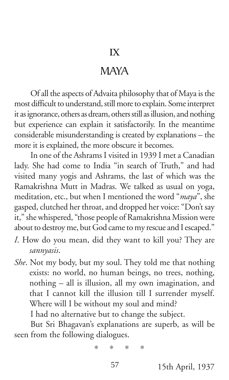## MAYA

Of all the aspects of Advaita philosophy that of Maya is the most difficult to understand, still more to explain. Some interpret it as ignorance, others as dream, others still as illusion, and nothing but experience can explain it satisfactorily. In the meantime considerable misunderstanding is created by explanations – the more it is explained, the more obscure it becomes.

In one of the Ashrams I visited in 1939 I met a Canadian lady. She had come to India "in search of Truth," and had visited many yogis and Ashrams, the last of which was the Ramakrishna Mutt in Madras. We talked as usual on yoga, meditation, etc., but when I mentioned the word "*maya*", she gasped, clutched her throat, and dropped her voice: "Don't say it," she whispered, "those people of Ramakrishna Mission were about to destroy me, but God came to my rescue and I escaped."

- *I*. How do you mean, did they want to kill you? They are *sannyasis*.
- *She*. Not my body, but my soul. They told me that nothing exists: no world, no human beings, no trees, nothing, nothing – all is illusion, all my own imagination, and that I cannot kill the illusion till I surrender myself. Where will I be without my soul and mind?

I had no alternative but to change the subject.

But Sri Bhagavan's explanations are superb, as will be seen from the following dialogues.

\* \* \* \*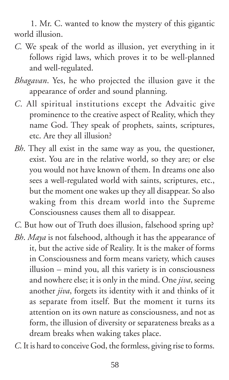1. Mr. C. wanted to know the mystery of this gigantic world illusion.

- *C*. We speak of the world as illusion, yet everything in it follows rigid laws, which proves it to be well-planned and well-regulated.
- *Bhagavan*. Yes, he who projected the illusion gave it the appearance of order and sound planning.
- *C*. All spiritual institutions except the Advaitic give prominence to the creative aspect of Reality, which they name God. They speak of prophets, saints, scriptures, etc. Are they all illusion?
- *Bh*. They all exist in the same way as you, the questioner, exist. You are in the relative world, so they are; or else you would not have known of them. In dreams one also sees a well-regulated world with saints, scriptures, etc., but the moment one wakes up they all disappear. So also waking from this dream world into the Supreme Consciousness causes them all to disappear.
- *C*. But how out of Truth does illusion, falsehood spring up?
- *Bh*. *Maya* is not falsehood, although it has the appearance of it, but the active side of Reality. It is the maker of forms in Consciousness and form means variety, which causes illusion – mind you, all this variety is in consciousness and nowhere else; it is only in the mind. One *jiva*, seeing another *jiva*, forgets its identity with it and thinks of it as separate from itself. But the moment it turns its attention on its own nature as consciousness, and not as form, the illusion of diversity or separateness breaks as a dream breaks when waking takes place.

*C*. It is hard to conceive God, the formless, giving rise to forms.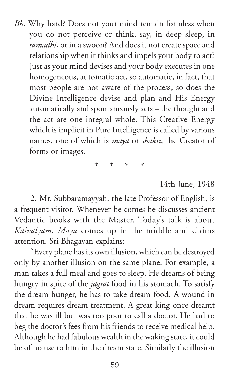*Bh*. Why hard? Does not your mind remain formless when you do not perceive or think, say, in deep sleep, in *samadhi*, or in a swoon? And does it not create space and relationship when it thinks and impels your body to act? Just as your mind devises and your body executes in one homogeneous, automatic act, so automatic, in fact, that most people are not aware of the process, so does the Divine Intelligence devise and plan and His Energy automatically and spontaneously acts – the thought and the act are one integral whole. This Creative Energy which is implicit in Pure Intelligence is called by various names, one of which is *maya* or *shakti*, the Creator of forms or images.

\* \* \* \*

#### 14th June, 1948

2. Mr. Subbaramayyah, the late Professor of English, is a frequent visitor. Whenever he comes he discusses ancient Vedantic books with the Master. Today's talk is about *Kaivalyam*. *Maya* comes up in the middle and claims attention. Sri Bhagavan explains:

"Every plane has its own illusion, which can be destroyed only by another illusion on the same plane. For example, a man takes a full meal and goes to sleep. He dreams of being hungry in spite of the *jagrat* food in his stomach. To satisfy the dream hunger, he has to take dream food. A wound in dream requires dream treatment. A great king once dreamt that he was ill but was too poor to call a doctor. He had to beg the doctor's fees from his friends to receive medical help. Although he had fabulous wealth in the waking state, it could be of no use to him in the dream state. Similarly the illusion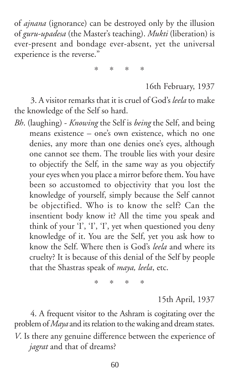of *ajnana* (ignorance) can be destroyed only by the illusion of *guru-upadesa* (the Master's teaching). *Mukti* (liberation) is ever-present and bondage ever-absent, yet the universal experience is the reverse."

\* \* \* \*

### 16th February, 1937

3. A visitor remarks that it is cruel of God's *leela* to make the knowledge of the Self so hard.

*Bh*. (laughing) - *Knowing* the Self is *being* the Self, and being means existence – one's own existence, which no one denies, any more than one denies one's eyes, although one cannot see them. The trouble lies with your desire to objectify the Self, in the same way as you objectify your eyes when you place a mirror before them. You have been so accustomed to objectivity that you lost the knowledge of yourself, simply because the Self cannot be objectified. Who is to know the self? Can the insentient body know it? All the time you speak and think of your 'I', 'I', 'I', yet when questioned you deny knowledge of it. You are the Self, yet you ask how to know the Self. Where then is God's *leela* and where its cruelty? It is because of this denial of the Self by people that the Shastras speak of *maya, leela*, etc.

\* \* \* \*

#### 15th April, 1937

4. A frequent visitor to the Ashram is cogitating over the problem of *Maya* and its relation to the waking and dream states. *V*. Is there any genuine difference between the experience of *jagrat* and that of dreams?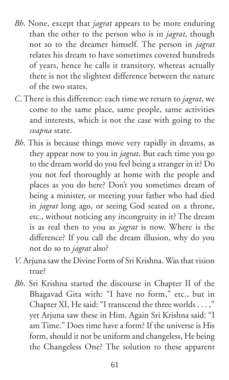- *Bh*. None, except that *jagrat* appears to be more enduring than the other to the person who is in *jagrat*, though not so to the dreamer himself. The person in *jagrat* relates his dream to have sometimes covered hundreds of years, hence he calls it transitory, whereas actually there is not the slightest difference between the nature of the two states.
- *C*. There is this difference: each time we return to *jagrat*, we come to the same place, same people, same activities and interests, which is not the case with going to the *svapna* state.
- *Bh*. This is because things move very rapidly in dreams, as they appear now to you in *jagrat*. But each time you go to the dream world do you feel being a stranger in it? Do you not feel thoroughly at home with the people and places as you do here? Don't you sometimes dream of being a minister, or meeting your father who had died in *jagrat* long ago, or seeing God seated on a throne, etc., without noticing any incongruity in it? The dream is as real then to you as *jagrat* is now. Where is the difference? If you call the dream illusion, why do you not do so to *jagrat* also?
- *V*. Arjuna saw the Divine Form of Sri Krishna. Was that vision true?
- *Bh*. Sri Krishna started the discourse in Chapter II of the Bhagavad Gita with: "I have no form," etc., but in Chapter XI, He said: "I transcend the three worlds . . . ," yet Arjuna saw these in Him. Again Sri Krishna said: "I am Time." Does time have a form? If the universe is His form, should it not be uniform and changeless, He being the Changeless One? The solution to these apparent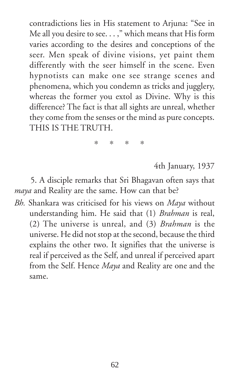contradictions lies in His statement to Arjuna: "See in Me all you desire to see. . . ," which means that His form varies according to the desires and conceptions of the seer. Men speak of divine visions, yet paint them differently with the seer himself in the scene. Even hypnotists can make one see strange scenes and phenomena, which you condemn as tricks and jugglery, whereas the former you extol as Divine. Why is this difference? The fact is that all sights are unreal, whether they come from the senses or the mind as pure concepts. THIS IS THE TRUTH.

\* \* \* \*

4th January, 1937

5. A disciple remarks that Sri Bhagavan often says that *maya* and Reality are the same. How can that be?

*Bh.* Shankara was criticised for his views on *Maya* without understanding him. He said that (1) *Brahman* is real, (2) The universe is unreal, and (3) *Brahman* is the universe. He did not stop at the second, because the third explains the other two. It signifies that the universe is real if perceived as the Self, and unreal if perceived apart from the Self. Hence *Maya* and Reality are one and the same.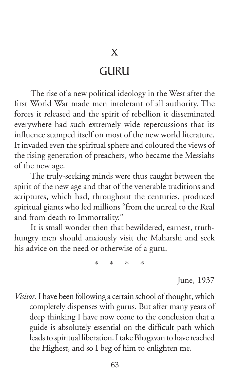## GURU

The rise of a new political ideology in the West after the first World War made men intolerant of all authority. The forces it released and the spirit of rebellion it disseminated everywhere had such extremely wide repercussions that its influence stamped itself on most of the new world literature. It invaded even the spiritual sphere and coloured the views of the rising generation of preachers, who became the Messiahs of the new age.

The truly-seeking minds were thus caught between the spirit of the new age and that of the venerable traditions and scriptures, which had, throughout the centuries, produced spiritual giants who led millions "from the unreal to the Real and from death to Immortality."

It is small wonder then that bewildered, earnest, truthhungry men should anxiously visit the Maharshi and seek his advice on the need or otherwise of a guru.

\* \* \* \*

June, 1937

*Visitor*. I have been following a certain school of thought, which completely dispenses with gurus. But after many years of deep thinking I have now come to the conclusion that a guide is absolutely essential on the difficult path which leads to spiritual liberation. I take Bhagavan to have reached the Highest, and so I beg of him to enlighten me.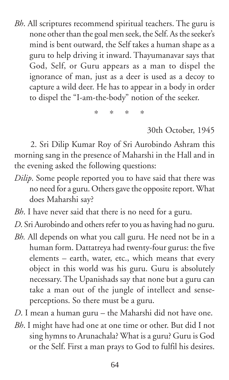*Bh*. All scriptures recommend spiritual teachers. The guru is none other than the goal men seek, the Self. As the seeker's mind is bent outward, the Self takes a human shape as a guru to help driving it inward. Thayumanavar says that God, Self, or Guru appears as a man to dispel the ignorance of man, just as a deer is used as a decoy to capture a wild deer. He has to appear in a body in order to dispel the "I-am-the-body" notion of the seeker.

\* \* \* \*

30th October, 1945

2. Sri Dilip Kumar Roy of Sri Aurobindo Ashram this morning sang in the presence of Maharshi in the Hall and in the evening asked the following questions:

*Dilip*. Some people reported you to have said that there was no need for a guru. Others gave the opposite report. What does Maharshi say?

*Bh*. I have never said that there is no need for a guru.

*D*. Sri Aurobindo and others refer to you as having had no guru.

- *Bh.* All depends on what you call guru. He need not be in a human form. Dattatreya had twenty-four gurus: the five elements – earth, water, etc., which means that every object in this world was his guru. Guru is absolutely necessary. The Upanishads say that none but a guru can take a man out of the jungle of intellect and senseperceptions. So there must be a guru.
- *D*. I mean a human guru the Maharshi did not have one.
- *Bh*. I might have had one at one time or other. But did I not sing hymns to Arunachala? What is a guru? Guru is God or the Self. First a man prays to God to fulfil his desires.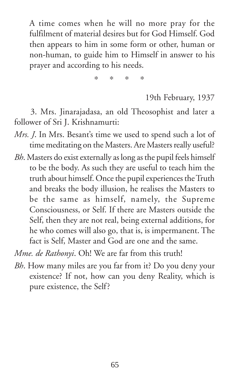A time comes when he will no more pray for the fulfilment of material desires but for God Himself. God then appears to him in some form or other, human or non-human, to guide him to Himself in answer to his prayer and according to his needs.

\* \* \* \*

19th February, 1937

3. Mrs. Jinarajadasa, an old Theosophist and later a follower of Sri J. Krishnamurti:

- *Mrs. J*. In Mrs. Besant's time we used to spend such a lot of time meditating on the Masters. Are Masters really useful?
- *Bh*. Masters do exist externally as long as the pupil feels himself to be the body. As such they are useful to teach him the truth about himself. Once the pupil experiences the Truth and breaks the body illusion, he realises the Masters to be the same as himself, namely, the Supreme Consciousness, or Self. If there are Masters outside the Self, then they are not real, being external additions, for he who comes will also go, that is, is impermanent. The fact is Self, Master and God are one and the same.

*Mme. de Rathonyi*. Oh! We are far from this truth!

*Bh*. How many miles are you far from it? Do you deny your existence? If not, how can you deny Reality, which is pure existence, the Self?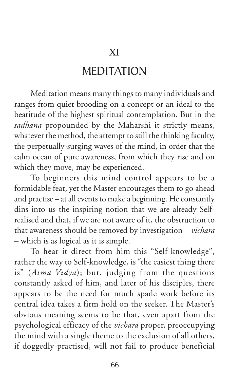# MEDITATION

Meditation means many things to many individuals and ranges from quiet brooding on a concept or an ideal to the beatitude of the highest spiritual contemplation. But in the *sadhana* propounded by the Maharshi it strictly means, whatever the method, the attempt to still the thinking faculty, the perpetually-surging waves of the mind, in order that the calm ocean of pure awareness, from which they rise and on which they move, may be experienced.

To beginners this mind control appears to be a formidable feat, yet the Master encourages them to go ahead and practise – at all events to make a beginning. He constantly dins into us the inspiring notion that we are already Selfrealised and that, if we are not aware of it, the obstruction to that awareness should be removed by investigation – *vichara* – which is as logical as it is simple.

To hear it direct from him this "Self-knowledge", rather the way to Self-knowledge, is "the easiest thing there is" (*Atma Vidya*); but, judging from the questions constantly asked of him, and later of his disciples, there appears to be the need for much spade work before its central idea takes a firm hold on the seeker. The Master's obvious meaning seems to be that, even apart from the psychological efficacy of the *vichara* proper, preoccupying the mind with a single theme to the exclusion of all others, if doggedly practised, will not fail to produce beneficial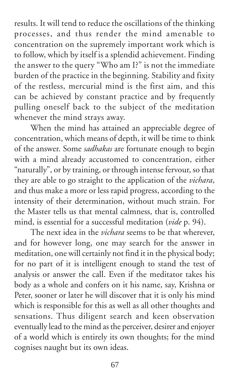results. It will tend to reduce the oscillations of the thinking processes, and thus render the mind amenable to concentration on the supremely important work which is to follow, which by itself is a splendid achievement. Finding the answer to the query "Who am I?" is not the immediate burden of the practice in the beginning. Stability and fixity of the restless, mercurial mind is the first aim, and this can be achieved by constant practice and by frequently pulling oneself back to the subject of the meditation whenever the mind strays away.

When the mind has attained an appreciable degree of concentration, which means of depth, it will be time to think of the answer. Some *sadhakas* are fortunate enough to begin with a mind already accustomed to concentration, either "naturally", or by training, or through intense fervour, so that they are able to go straight to the application of the *vichara*, and thus make a more or less rapid progress, according to the intensity of their determination, without much strain. For the Master tells us that mental calmness, that is, controlled mind, is essential for a successful meditation (*vide* p. 94).

The next idea in the *vichara* seems to be that wherever, and for however long, one may search for the answer in meditation, one will certainly not find it in the physical body; for no part of it is intelligent enough to stand the test of analysis or answer the call. Even if the meditator takes his body as a whole and confers on it his name, say, Krishna or Peter, sooner or later he will discover that it is only his mind which is responsible for this as well as all other thoughts and sensations. Thus diligent search and keen observation eventually lead to the mind as the perceiver, desirer and enjoyer of a world which is entirely its own thoughts; for the mind cognises naught but its own ideas.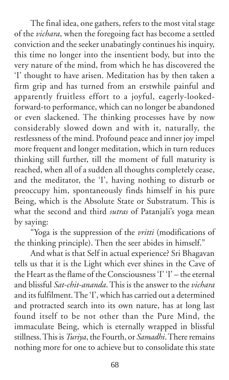The final idea, one gathers, refers to the most vital stage of the *vichara*, when the foregoing fact has become a settled conviction and the seeker unabatingly continues his inquiry, this time no longer into the insentient body, but into the very nature of the mind, from which he has discovered the 'I' thought to have arisen. Meditation has by then taken a firm grip and has turned from an erstwhile painful and apparently fruitless effort to a joyful, eagerly-lookedforward-to performance, which can no longer be abandoned or even slackened. The thinking processes have by now considerably slowed down and with it, naturally, the restlessness of the mind. Profound peace and inner joy impel more frequent and longer meditation, which in turn reduces thinking still further, till the moment of full maturity is reached, when all of a sudden all thoughts completely cease, and the meditator, the 'I', having nothing to disturb or preoccupy him, spontaneously finds himself in his pure Being, which is the Absolute State or Substratum. This is what the second and third *sutras* of Patanjali's yoga mean by saying:

"Yoga is the suppression of the *vritti* (modifications of the thinking principle). Then the seer abides in himself."

And what is that Self in actual experience? Sri Bhagavan tells us that it is the Light which ever shines in the Cave of the Heart as the flame of the Consciousness 'I' 'I' – the eternal and blissful *Sat-chit-ananda*. This is the answer to the *vichara* and its fulfilment. The 'I', which has carried out a determined and protracted search into its own nature, has at long last found itself to be not other than the Pure Mind, the immaculate Being, which is eternally wrapped in blissful stillness. This is *Turiya*, the Fourth, or *Samadhi*. There remains nothing more for one to achieve but to consolidate this state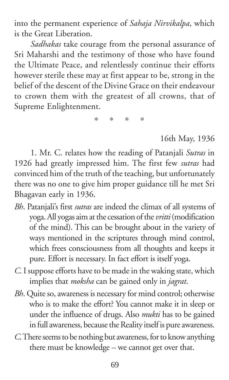into the permanent experience of *Sahaja Nirvikalpa*, which is the Great Liberation.

*Sadhakas* take courage from the personal assurance of Sri Maharshi and the testimony of those who have found the Ultimate Peace, and relentlessly continue their efforts however sterile these may at first appear to be, strong in the belief of the descent of the Divine Grace on their endeavour to crown them with the greatest of all crowns, that of Supreme Enlightenment.

\* \* \* \*

### 16th May, 1936

1. Mr. C. relates how the reading of Patanjali *Sutras* in 1926 had greatly impressed him. The first few *sutras* had convinced him of the truth of the teaching, but unfortunately there was no one to give him proper guidance till he met Sri Bhagavan early in 1936.

- *Bh*. Patanjali's first *sutras* are indeed the climax of all systems of yoga. All yogas aim at the cessation of the *vritti* (modification of the mind). This can be brought about in the variety of ways mentioned in the scriptures through mind control, which frees consciousness from all thoughts and keeps it pure. Effort is necessary. In fact effort is itself yoga.
- *C*. I suppose efforts have to be made in the waking state, which implies that *moksha* can be gained only in *jagrat*.
- *Bh*. Quite so, awareness is necessary for mind control; otherwise who is to make the effort? You cannot make it in sleep or under the influence of drugs. Also *mukti* has to be gained in full awareness, because the Reality itself is pure awareness.
- *C*. There seems to be nothing but awareness, for to know anything there must be knowledge – we cannot get over that.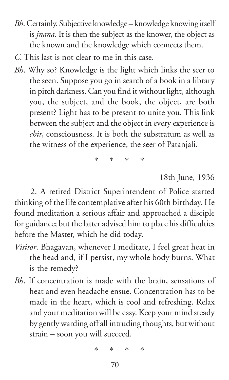- *Bh*. Certainly. Subjective knowledge knowledge knowing itself is *jnana*. It is then the subject as the knower, the object as the known and the knowledge which connects them.
- *C*. This last is not clear to me in this case.
- *Bh*. Why so? Knowledge is the light which links the seer to the seen. Suppose you go in search of a book in a library in pitch darkness. Can you find it without light, although you, the subject, and the book, the object, are both present? Light has to be present to unite you. This link between the subject and the object in every experience is *chit*, consciousness. It is both the substratum as well as the witness of the experience, the seer of Patanjali.

\* \* \* \*

18th June, 1936

2. A retired District Superintendent of Police started thinking of the life contemplative after his 60th birthday. He found meditation a serious affair and approached a disciple for guidance; but the latter advised him to place his difficulties before the Master, which he did today.

- *Visitor*. Bhagavan, whenever I meditate, I feel great heat in the head and, if I persist, my whole body burns. What is the remedy?
- *Bh*. If concentration is made with the brain, sensations of heat and even headache ensue. Concentration has to be made in the heart, which is cool and refreshing. Relax and your meditation will be easy. Keep your mind steady by gently warding off all intruding thoughts, but without strain – soon you will succeed.

$$
\ast\quad \ast\quad \ast\quad \ast
$$

70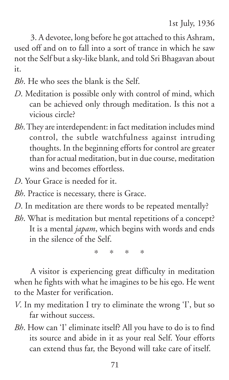3. A devotee, long before he got attached to this Ashram, used off and on to fall into a sort of trance in which he saw not the Self but a sky-like blank, and told Sri Bhagavan about it.

*Bh*. He who sees the blank is the Self.

- *D*. Meditation is possible only with control of mind, which can be achieved only through meditation. Is this not a vicious circle?
- *Bh*. They are interdependent: in fact meditation includes mind control, the subtle watchfulness against intruding thoughts. In the beginning efforts for control are greater than for actual meditation, but in due course, meditation wins and becomes effortless.

*D*. Your Grace is needed for it.

*Bh*. Practice is necessary, there is Grace.

*D*. In meditation are there words to be repeated mentally?

*Bh*. What is meditation but mental repetitions of a concept? It is a mental *japam*, which begins with words and ends in the silence of the Self.

\* \* \* \*

A visitor is experiencing great difficulty in meditation when he fights with what he imagines to be his ego. He went to the Master for verification.

- *V*. In my meditation I try to eliminate the wrong 'I', but so far without success.
- *Bh*. How can 'I' eliminate itself? All you have to do is to find its source and abide in it as your real Self. Your efforts can extend thus far, the Beyond will take care of itself.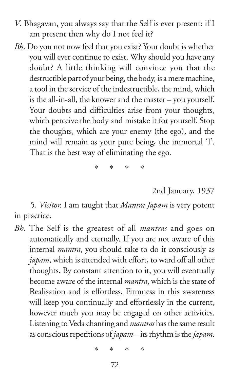- *V*. Bhagavan, you always say that the Self is ever present: if I am present then why do I not feel it?
- *Bh*. Do you not now feel that you exist? Your doubt is whether you will ever continue to exist. Why should you have any doubt? A little thinking will convince you that the destructible part of your being, the body, is a mere machine, a tool in the service of the indestructible, the mind, which is the all-in-all, the knower and the master – you yourself. Your doubts and difficulties arise from your thoughts, which perceive the body and mistake it for yourself. Stop the thoughts, which are your enemy (the ego), and the mind will remain as your pure being, the immortal 'I'. That is the best way of eliminating the ego.

\* \* \* \*

2nd January, 1937

5. *Visitor.* I am taught that *Mantra Japam* is very potent in practice.

*Bh*. The Self is the greatest of all *mantras* and goes on automatically and eternally. If you are not aware of this internal *mantra*, you should take to do it consciously as *japam*, which is attended with effort, to ward off all other thoughts. By constant attention to it, you will eventually become aware of the internal *mantra*, which is the state of Realisation and is effortless. Firmness in this awareness will keep you continually and effortlessly in the current, however much you may be engaged on other activities. Listening to Veda chanting and *mantras* has the same result as conscious repetitions of *japam* – its rhythm is the *japam*.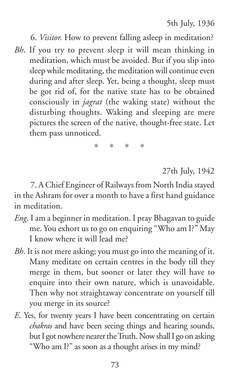6. *Visitor.* How to prevent falling asleep in meditation?

*Bh*. If you try to prevent sleep it will mean thinking in meditation, which must be avoided. But if you slip into sleep while meditating, the meditation will continue even during and after sleep. Yet, being a thought, sleep must be got rid of, for the native state has to be obtained consciously in *jagrat* (the waking state) without the disturbing thoughts. Waking and sleeping are mere pictures the screen of the native, thought-free state. Let them pass unnoticed.

\* \* \* \*

27th July, 1942

7. A Chief Engineer of Railways from North India stayed in the Ashram for over a month to have a first hand guidance in meditation.

- *Eng*. I am a beginner in meditation. I pray Bhagavan to guide me. You exhort us to go on enquiring "Who am I?" May I know where it will lead me?
- *Bh*. It is not mere asking; you must go into the meaning of it. Many meditate on certain centres in the body till they merge in them, but sooner or later they will have to enquire into their own nature, which is unavoidable. Then why not straightaway concentrate on yourself till you merge in its source?
- *E*. Yes, for twenty years I have been concentrating on certain *chakras* and have been seeing things and hearing sounds, but I got nowhere nearer the Truth. Now shall I go on asking "Who am I?" as soon as a thought arises in my mind?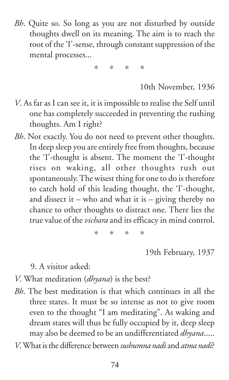*Bh*. Quite so. So long as you are not disturbed by outside thoughts dwell on its meaning. The aim is to reach the root of the 'I'-sense, through constant suppression of the mental processes...

\* \* \* \*

10th November, 1936

- *V*. As far as I can see it, it is impossible to realise the Self until one has completely succeeded in preventing the rushing thoughts. Am I right?
- *Bh*. Not exactly. You do not need to prevent other thoughts. In deep sleep you are entirely free from thoughts, because the 'I'-thought is absent. The moment the 'I'-thought rises on waking, all other thoughts rush out spontaneously. The wisest thing for one to do is therefore to catch hold of this leading thought, the 'I'-thought, and dissect it – who and what it is – giving thereby no chance to other thoughts to distract one. There lies the true value of the *vichara* and its efficacy in mind control.

\* \* \* \*

19th February, 1937

9. A visitor asked:

- *V*. What meditation (*dhyana*) is the best?
- *Bh*. The best meditation is that which continues in all the three states. It must be so intense as not to give room even to the thought "I am meditating". As waking and dream states will thus be fully occupied by it, deep sleep may also be deemed to be an undifferentiated *dhyana*.....

*V*. What is the difference between *sushumna nadi* and *atma nadi*?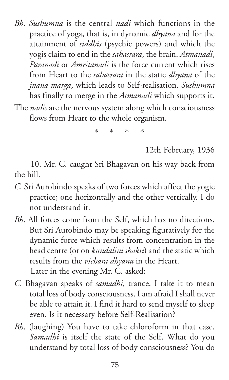- *Bh*. *Sushumna* is the central *nadi* which functions in the practice of yoga, that is, in dynamic *dhyana* and for the attainment of *siddhis* (psychic powers) and which the yogis claim to end in the *sahasrara*, the brain. *Atmanadi*, *Paranadi* or *Amritanadi* is the force current which rises from Heart to the *sahasrara* in the static *dhyana* of the *jnana marga*, which leads to Self-realisation. *Sushumna* has finally to merge in the *Atmanadi* which supports it.
- The *nadis* are the nervous system along which consciousness flows from Heart to the whole organism.

\* \* \* \*

12th February, 1936

10. Mr. C. caught Sri Bhagavan on his way back from the hill.

- *C*. Sri Aurobindo speaks of two forces which affect the yogic practice; one horizontally and the other vertically. I do not understand it.
- *Bh*. All forces come from the Self, which has no directions. But Sri Aurobindo may be speaking figuratively for the dynamic force which results from concentration in the head centre (or on *kundalini shakti*) and the static which results from the *vichara dhyana* in the Heart. Later in the evening Mr. C. asked:
- *C*. Bhagavan speaks of *samadhi*, trance. I take it to mean total loss of body consciousness. I am afraid I shall never be able to attain it. I find it hard to send myself to sleep even. Is it necessary before Self-Realisation?
- *Bh*. (laughing) You have to take chloroform in that case. *Samadhi* is itself the state of the Self. What do you understand by total loss of body consciousness? You do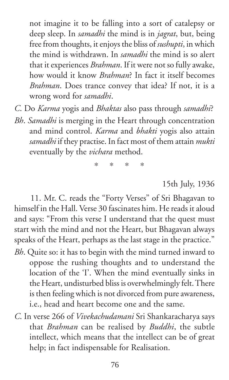not imagine it to be falling into a sort of catalepsy or deep sleep. In *samadhi* the mind is in *jagrat*, but, being free from thoughts, it enjoys the bliss of *sushupti*, in which the mind is withdrawn. In *samadhi* the mind is so alert that it experiences *Brahman*. If it were not so fully awake, how would it know *Brahman*? In fact it itself becomes *Brahman*. Does trance convey that idea? If not, it is a wrong word for *samadhi*.

*C*. Do *Karma* yogis and *Bhaktas* also pass through *samadhi*?

*Bh*. *Samadhi* is merging in the Heart through concentration and mind control. *Karma* and *bhakti* yogis also attain *samadhi* if they practise. In fact most of them attain *mukti* eventually by the *vichara* method.

\* \* \* \*

#### 15th July, 1936

11. Mr. C. reads the "Forty Verses" of Sri Bhagavan to himself in the Hall. Verse 30 fascinates him. He reads it aloud and says: "From this verse I understand that the quest must start with the mind and not the Heart, but Bhagavan always speaks of the Heart, perhaps as the last stage in the practice."

- *Bh*. Quite so: it has to begin with the mind turned inward to oppose the rushing thoughts and to understand the location of the 'I'. When the mind eventually sinks in the Heart, undisturbed bliss is overwhelmingly felt. There is then feeling which is not divorced from pure awareness, i.e., head and heart become one and the same.
- *C*. In verse 266 of *Vivekachudamani* Sri Shankaracharya says that *Brahman* can be realised by *Buddhi*, the subtle intellect, which means that the intellect can be of great help; in fact indispensable for Realisation.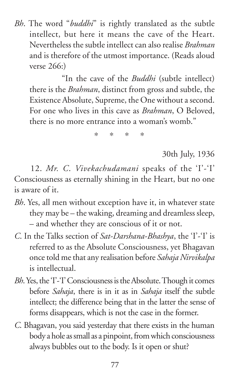*Bh*. The word "*buddhi*" is rightly translated as the subtle intellect, but here it means the cave of the Heart. Nevertheless the subtle intellect can also realise *Brahman* and is therefore of the utmost importance. (Reads aloud verse 266:)

"In the cave of the *Buddhi* (subtle intellect) there is the *Brahman*, distinct from gross and subtle, the Existence Absolute, Supreme, the One without a second. For one who lives in this cave as *Brahman*, O Beloved, there is no more entrance into a woman's womb."

\* \* \* \*

30th July, 1936

12. *Mr. C*. *Vivekachudamani* speaks of the 'I'-'I' Consciousness as eternally shining in the Heart, but no one is aware of it.

- *Bh*. Yes, all men without exception have it, in whatever state they may be – the waking, dreaming and dreamless sleep, – and whether they are conscious of it or not.
- *C*. In the Talks section of *Sat-Darshana-Bhashya*, the 'I'-'I' is referred to as the Absolute Consciousness, yet Bhagavan once told me that any realisation before *Sahaja Nirvikalpa* is intellectual.
- *Bh*. Yes, the 'I'-'I' Consciousness is the Absolute. Though it comes before *Sahaja*, there is in it as in *Sahaja* itself the subtle intellect; the difference being that in the latter the sense of forms disappears, which is not the case in the former.
- *C*. Bhagavan, you said yesterday that there exists in the human body a hole as small as a pinpoint, from which consciousness always bubbles out to the body. Is it open or shut?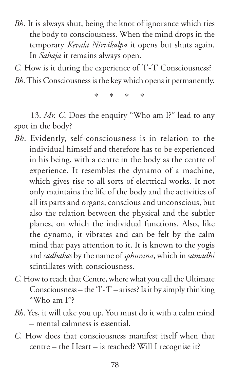*Bh*. It is always shut, being the knot of ignorance which ties the body to consciousness. When the mind drops in the temporary *Kevala Nirvikalpa* it opens but shuts again. In *Sahaja* it remains always open.

*C*. How is it during the experience of 'I'-'I' Consciousness? *Bh*. This Consciousness is the key which opens it permanently.

\* \* \* \*

13. *Mr. C*. Does the enquiry "Who am I?" lead to any spot in the body?

- *Bh*. Evidently, self-consciousness is in relation to the individual himself and therefore has to be experienced in his being, with a centre in the body as the centre of experience. It resembles the dynamo of a machine, which gives rise to all sorts of electrical works. It not only maintains the life of the body and the activities of all its parts and organs, conscious and unconscious, but also the relation between the physical and the subtler planes, on which the individual functions. Also, like the dynamo, it vibrates and can be felt by the calm mind that pays attention to it. It is known to the yogis and *sadhakas* by the name of *sphurana*, which in *samadhi* scintillates with consciousness.
- *C*. How to reach that Centre, where what you call the Ultimate Consciousness – the 'I'-'I' – arises? Is it by simply thinking "Who am I"?
- *Bh*. Yes, it will take you up. You must do it with a calm mind – mental calmness is essential.
- *C*. How does that consciousness manifest itself when that centre – the Heart – is reached? Will I recognise it?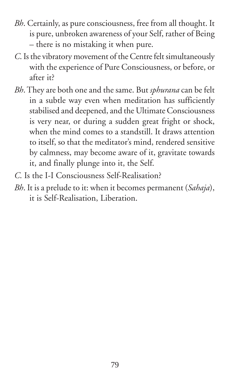- *Bh*. Certainly, as pure consciousness, free from all thought. It is pure, unbroken awareness of your Self, rather of Being – there is no mistaking it when pure.
- *C*. Is the vibratory movement of the Centre felt simultaneously with the experience of Pure Consciousness, or before, or after it?
- *Bh*. They are both one and the same. But *sphurana* can be felt in a subtle way even when meditation has sufficiently stabilised and deepened, and the Ultimate Consciousness is very near, or during a sudden great fright or shock, when the mind comes to a standstill. It draws attention to itself, so that the meditator's mind, rendered sensitive by calmness, may become aware of it, gravitate towards it, and finally plunge into it, the Self.
- *C*. Is the I-I Consciousness Self-Realisation?
- *Bh*. It is a prelude to it: when it becomes permanent (*Sahaja*), it is Self-Realisation, Liberation.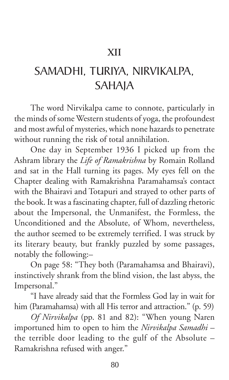# **XII**

# SAMADHI, TURIYA, NIRVIKALPA, SAHAJA

The word Nirvikalpa came to connote, particularly in the minds of some Western students of yoga, the profoundest and most awful of mysteries, which none hazards to penetrate without running the risk of total annihilation.

One day in September 1936 I picked up from the Ashram library the *Life of Ramakrishna* by Romain Rolland and sat in the Hall turning its pages. My eyes fell on the Chapter dealing with Ramakrishna Paramahamsa's contact with the Bhairavi and Totapuri and strayed to other parts of the book. It was a fascinating chapter, full of dazzling rhetoric about the Impersonal, the Unmanifest, the Formless, the Unconditioned and the Absolute, of Whom, nevertheless, the author seemed to be extremely terrified. I was struck by its literary beauty, but frankly puzzled by some passages, notably the following:–

On page 58: "They both (Paramahamsa and Bhairavi), instinctively shrank from the blind vision, the last abyss, the Impersonal."

"I have already said that the Formless God lay in wait for him (Paramahamsa) with all His terror and attraction." (p. 59)

*Of Nirvikalpa* (pp. 81 and 82): "When young Naren importuned him to open to him the *Nirvikalpa Samadhi* – the terrible door leading to the gulf of the Absolute – Ramakrishna refused with anger."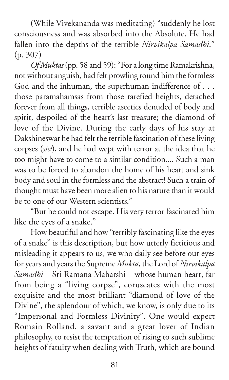(While Vivekananda was meditating) "suddenly he lost consciousness and was absorbed into the Absolute. He had fallen into the depths of the terrible *Nirvikalpa Samadhi*." (p. 307)

*Of Muktas* (pp. 58 and 59): "For a long time Ramakrishna, not without anguish, had felt prowling round him the formless God and the inhuman, the superhuman indifference of . . . those paramahamsas from those rarefied heights, detached forever from all things, terrible ascetics denuded of body and spirit, despoiled of the heart's last treasure; the diamond of love of the Divine. During the early days of his stay at Dakshineswar he had felt the terrible fascination of these living corpses (*sic!*), and he had wept with terror at the idea that he too might have to come to a similar condition.... Such a man was to be forced to abandon the home of his heart and sink body and soul in the formless and the abstract! Such a train of thought must have been more alien to his nature than it would be to one of our Western scientists."

"But he could not escape. His very terror fascinated him like the eyes of a snake."

How beautiful and how "terribly fascinating like the eyes of a snake" is this description, but how utterly fictitious and misleading it appears to us, we who daily see before our eyes for years and years the Supreme *Mukta*, the Lord of *Nirvikalpa Samadhi* – Sri Ramana Maharshi – whose human heart, far from being a "living corpse", coruscates with the most exquisite and the most brilliant "diamond of love of the Divine", the splendour of which, we know, is only due to its "Impersonal and Formless Divinity". One would expect Romain Rolland, a savant and a great lover of Indian philosophy, to resist the temptation of rising to such sublime heights of fatuity when dealing with Truth, which are bound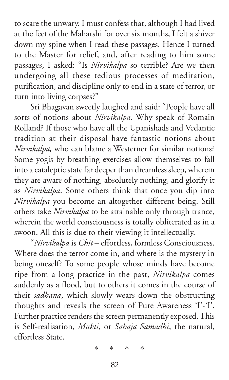to scare the unwary. I must confess that, although I had lived at the feet of the Maharshi for over six months, I felt a shiver down my spine when I read these passages. Hence I turned to the Master for relief, and, after reading to him some passages, I asked: "Is *Nirvikalpa* so terrible? Are we then undergoing all these tedious processes of meditation, purification, and discipline only to end in a state of terror, or turn into living corpses?"

Sri Bhagavan sweetly laughed and said: "People have all sorts of notions about *Nirvikalpa*. Why speak of Romain Rolland? If those who have all the Upanishads and Vedantic tradition at their disposal have fantastic notions about *Nirvikalpa,* who can blame a Westerner for similar notions? Some yogis by breathing exercises allow themselves to fall into a cataleptic state far deeper than dreamless sleep, wherein they are aware of nothing, absolutely nothing, and glorify it as *Nirvikalpa*. Some others think that once you dip into *Nirvikalpa* you become an altogether different being. Still others take *Nirvikalpa* to be attainable only through trance, wherein the world consciousness is totally obliterated as in a swoon. All this is due to their viewing it intellectually.

"*Nirvikalpa* is *Chit* – effortless, formless Consciousness. Where does the terror come in, and where is the mystery in being oneself? To some people whose minds have become ripe from a long practice in the past, *Nirvikalpa* comes suddenly as a flood, but to others it comes in the course of their *sadhana*, which slowly wears down the obstructing thoughts and reveals the screen of Pure Awareness 'I'-'I'. Further practice renders the screen permanently exposed. This is Self-realisation, *Mukti*, or *Sahaja Samadhi*, the natural, effortless State.

\* \* \* \*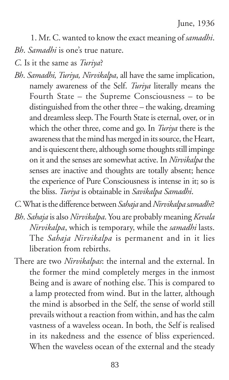1. Mr. C. wanted to know the exact meaning of *samadhi*. *Bh*. *Samadhi* is one's true nature.

*C*. Is it the same as *Turiya*?

*Bh*. *Samadhi, Turiya, Nirvikalpa*, all have the same implication, namely awareness of the Self. *Turiya* literally means the Fourth State – the Supreme Consciousness – to be distinguished from the other three – the waking, dreaming and dreamless sleep. The Fourth State is eternal, over, or in which the other three, come and go. In *Turiya* there is the awareness that the mind has merged in its source, the Heart, and is quiescent there, although some thoughts still impinge on it and the senses are somewhat active. In *Nirvikalpa* the senses are inactive and thoughts are totally absent; hence the experience of Pure Consciousness is intense in it; so is the bliss. *Turiya* is obtainable in *Savikalpa Samadhi*.

*C*. What is the difference between *Sahaja* and *Nirvikalpa samadhi*?

- *Bh*. *Sahaja* is also *Nirvikalpa*. You are probably meaning *Kevala Nirvikalpa*, which is temporary, while the *samadhi* lasts. The *Sahaja Nirvikalpa* is permanent and in it lies liberation from rebirths.
- There are two *Nirvikalpas*: the internal and the external. In the former the mind completely merges in the inmost Being and is aware of nothing else. This is compared to a lamp protected from wind. But in the latter, although the mind is absorbed in the Self, the sense of world still prevails without a reaction from within, and has the calm vastness of a waveless ocean. In both, the Self is realised in its nakedness and the essence of bliss experienced. When the waveless ocean of the external and the steady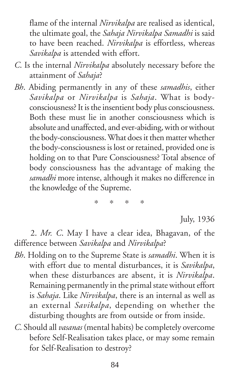flame of the internal *Nirvikalpa* are realised as identical, the ultimate goal, the *Sahaja Nirvikalpa Samadhi* is said to have been reached. *Nirvikalpa* is effortless, whereas *Savikalpa* is attended with effort.

- *C*. Is the internal *Nirvikalpa* absolutely necessary before the attainment of *Sahaja*?
- *Bh*. Abiding permanently in any of these *samadhis*, either *Savikalpa* or *Nirvikalpa* is *Sahaja*. What is bodyconsciousness? It is the insentient body plus consciousness. Both these must lie in another consciousness which is absolute and unaffected, and ever-abiding, with or without the body-consciousness. What does it then matter whether the body-consciousness is lost or retained, provided one is holding on to that Pure Consciousness? Total absence of body consciousness has the advantage of making the *samadhi* more intense, although it makes no difference in the knowledge of the Supreme.

\* \* \* \*

July, 1936

2. *Mr. C*. May I have a clear idea, Bhagavan, of the difference between *Savikalpa* and *Nirvikalpa*?

- *Bh*. Holding on to the Supreme State is *samadhi*. When it is with effort due to mental disturbances, it is *Savikalpa*, when these disturbances are absent, it is *Nirvikalpa*. Remaining permanently in the primal state without effort is *Sahaja*. Like *Nirvikalpa*, there is an internal as well as an external *Savikalpa*, depending on whether the disturbing thoughts are from outside or from inside.
- *C*. Should all *vasanas* (mental habits) be completely overcome before Self-Realisation takes place, or may some remain for Self-Realisation to destroy?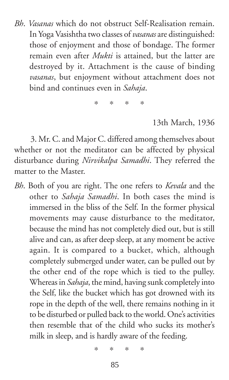*Bh*. *Vasanas* which do not obstruct Self-Realisation remain. In Yoga Vasishtha two classes of *vasanas* are distinguished: those of enjoyment and those of bondage. The former remain even after *Mukti* is attained, but the latter are destroyed by it. Attachment is the cause of binding *vasanas*, but enjoyment without attachment does not bind and continues even in *Sahaja*.

\* \* \* \*

#### 13th March, 1936

3. Mr. C. and Major C. differed among themselves about whether or not the meditator can be affected by physical disturbance during *Nirvikalpa Samadhi*. They referred the matter to the Master.

*Bh*. Both of you are right. The one refers to *Kevala* and the other to *Sahaja Samadhi*. In both cases the mind is immersed in the bliss of the Self. In the former physical movements may cause disturbance to the meditator, because the mind has not completely died out, but is still alive and can, as after deep sleep, at any moment be active again. It is compared to a bucket, which, although completely submerged under water, can be pulled out by the other end of the rope which is tied to the pulley. Whereas in *Sahaja*, the mind, having sunk completely into the Self, like the bucket which has got drowned with its rope in the depth of the well, there remains nothing in it to be disturbed or pulled back to the world. One's activities then resemble that of the child who sucks its mother's milk in sleep, and is hardly aware of the feeding.

\* \* \* \*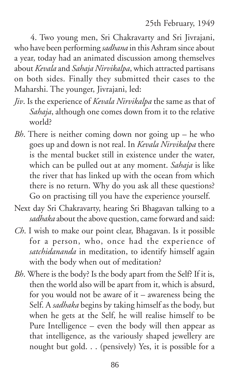4. Two young men, Sri Chakravarty and Sri Jivrajani, who have been performing *sadhana* in this Ashram since about a year, today had an animated discussion among themselves about *Kevala* and *Sahaja Nirvikalpa*, which attracted partisans on both sides. Finally they submitted their cases to the Maharshi. The younger, Jivrajani, led:

- *Jiv*. Is the experience of *Kevala Nirvikalpa* the same as that of *Sahaja*, although one comes down from it to the relative world?
- *Bh*. There is neither coming down nor going up he who goes up and down is not real. In *Kevala Nirvikalpa* there is the mental bucket still in existence under the water, which can be pulled out at any moment. *Sahaja* is like the river that has linked up with the ocean from which there is no return. Why do you ask all these questions? Go on practising till you have the experience yourself.
- Next day Sri Chakravarty, hearing Sri Bhagavan talking to a *sadhaka* about the above question, came forward and said:
- *Ch*. I wish to make our point clear, Bhagavan. Is it possible for a person, who, once had the experience of *satchidananda* in meditation, to identify himself again with the body when out of meditation?
- *Bh*. Where is the body? Is the body apart from the Self? If it is, then the world also will be apart from it, which is absurd, for you would not be aware of it – awareness being the Self. A *sadhaka* begins by taking himself as the body, but when he gets at the Self, he will realise himself to be Pure Intelligence – even the body will then appear as that intelligence, as the variously shaped jewellery are nought but gold. . . (pensively) Yes, it is possible for a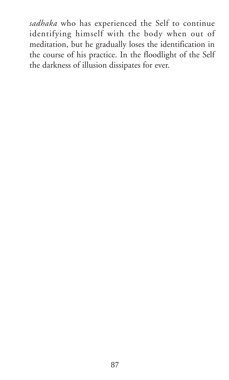*sadhaka* who has experienced the Self to continue identifying himself with the body when out of meditation, but he gradually loses the identification in the course of his practice. In the floodlight of the Self the darkness of illusion dissipates for ever.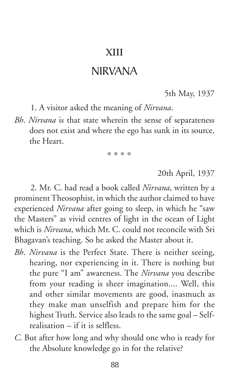## **XIII**

# NIRVANA

5th May, 1937

1. A visitor asked the meaning of *Nirvana*.

*Bh*. *Nirvana* is that state wherein the sense of separateness does not exist and where the ego has sunk in its source, the Heart.

\* \* \* \*

#### 20th April, 1937

2. Mr. C. had read a book called *Nirvana*, written by a prominent Theosophist, in which the author claimed to have experienced *Nirvana* after going to sleep, in which he "saw the Masters" as vivid centres of light in the ocean of Light which is *Nirvana*, which Mr. C. could not reconcile with Sri Bhagavan's teaching. So he asked the Master about it.

- *Bh*. *Nirvana* is the Perfect State. There is neither seeing, hearing, nor experiencing in it. There is nothing but the pure "I am" awareness. The *Nirvana* you describe from your reading is sheer imagination.... Well, this and other similar movements are good, inasmuch as they make man unselfish and prepare him for the highest Truth. Service also leads to the same goal – Selfrealisation – if it is selfless.
- *C*. But after how long and why should one who is ready for the Absolute knowledge go in for the relative?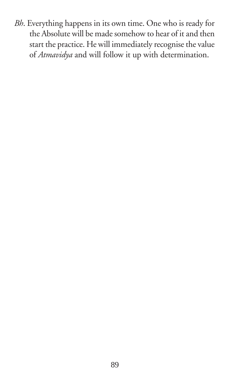*Bh*. Everything happens in its own time. One who is ready for the Absolute will be made somehow to hear of it and then start the practice. He will immediately recognise the value of *Atmavidya* and will follow it up with determination.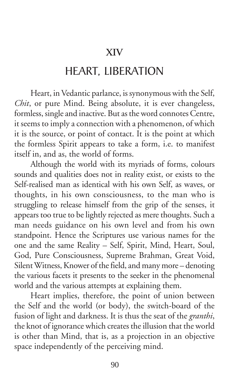# HEART, LIBERATION

Heart, in Vedantic parlance, is synonymous with the Self, *Chit*, or pure Mind. Being absolute, it is ever changeless, formless, single and inactive. But as the word connotes Centre, it seems to imply a connection with a phenomenon, of which it is the source, or point of contact. It is the point at which the formless Spirit appears to take a form, i.e. to manifest itself in, and as, the world of forms.

Although the world with its myriads of forms, colours sounds and qualities does not in reality exist, or exists to the Self-realised man as identical with his own Self, as waves, or thoughts, in his own consciousness, to the man who is struggling to release himself from the grip of the senses, it appears too true to be lightly rejected as mere thoughts. Such a man needs guidance on his own level and from his own standpoint. Hence the Scriptures use various names for the one and the same Reality – Self, Spirit, Mind, Heart, Soul, God, Pure Consciousness, Supreme Brahman, Great Void, Silent Witness, Knower of the field, and many more – denoting the various facets it presents to the seeker in the phenomenal world and the various attempts at explaining them.

Heart implies, therefore, the point of union between the Self and the world (or body), the switch-board of the fusion of light and darkness. It is thus the seat of the *granthi*, the knot of ignorance which creates the illusion that the world is other than Mind, that is, as a projection in an objective space independently of the perceiving mind.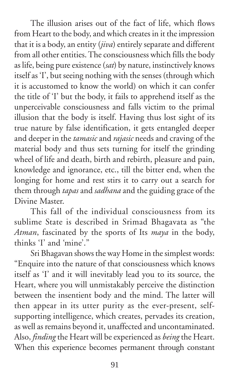The illusion arises out of the fact of life, which flows from Heart to the body, and which creates in it the impression that it is a body, an entity (*jiva*) entirely separate and different from all other entities. The consciousness which fills the body as life, being pure existence (*sat*) by nature, instinctively knows itself as 'I', but seeing nothing with the senses (through which it is accustomed to know the world) on which it can confer the title of 'I' but the body, it fails to apprehend itself as the unperceivable consciousness and falls victim to the primal illusion that the body is itself. Having thus lost sight of its true nature by false identification, it gets entangled deeper and deeper in the *tamasic* and *rajasic* needs and craving of the material body and thus sets turning for itself the grinding wheel of life and death, birth and rebirth, pleasure and pain, knowledge and ignorance, etc., till the bitter end, when the longing for home and rest stirs it to carry out a search for them through *tapas* and *sadhana* and the guiding grace of the Divine Master.

This fall of the individual consciousness from its sublime State is described in Srimad Bhagavata as "the *Atman*, fascinated by the sports of Its *maya* in the body, thinks 'I' and 'mine'"

Sri Bhagavan shows the way Home in the simplest words: "Enquire into the nature of that consciousness which knows itself as 'I' and it will inevitably lead you to its source, the Heart, where you will unmistakably perceive the distinction between the insentient body and the mind. The latter will then appear in its utter purity as the ever-present, selfsupporting intelligence, which creates, pervades its creation, as well as remains beyond it, unaffected and uncontaminated. Also, *finding* the Heart will be experienced as *being* the Heart. When this experience becomes permanent through constant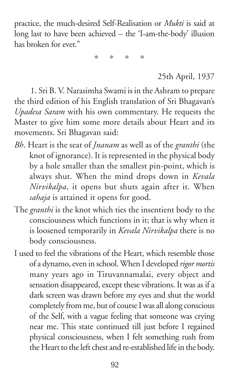practice, the much-desired Self-Realisation or *Mukti* is said at long last to have been achieved – the 'I-am-the-body' illusion has broken for ever."

\* \* \* \*

# 25th April, 1937

1. Sri B. V. Narasimha Swami is in the Ashram to prepare the third edition of his English translation of Sri Bhagavan's *Upadesa Saram* with his own commentary. He requests the Master to give him some more details about Heart and its movements. Sri Bhagavan said:

- *Bh*. Heart is the seat of *Jnanam* as well as of the *granthi* (the knot of ignorance). It is represented in the physical body by a hole smaller than the smallest pin-point, which is always shut. When the mind drops down in *Kevala Nirvikalpa*, it opens but shuts again after it. When *sahaja* is attained it opens for good.
- The *granthi* is the knot which ties the insentient body to the consciousness which functions in it; that is why when it is loosened temporarily in *Kevala Nirvikalpa* there is no body consciousness.
- I used to feel the vibrations of the Heart, which resemble those of a dynamo, even in school. When I developed *rigor mortis* many years ago in Tiruvannamalai, every object and sensation disappeared, except these vibrations. It was as if a dark screen was drawn before my eyes and shut the world completely from me, but of course I was all along conscious of the Self, with a vague feeling that someone was crying near me. This state continued till just before I regained physical consciousness, when I felt something rush from the Heart to the left chest and re-established life in the body.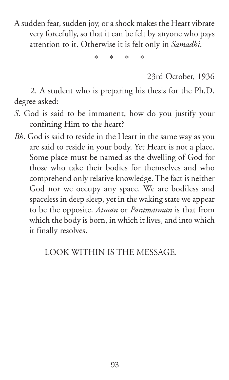A sudden fear, sudden joy, or a shock makes the Heart vibrate very forcefully, so that it can be felt by anyone who pays attention to it. Otherwise it is felt only in *Samadhi*.

\* \* \* \*

23rd October, 1936

2. A student who is preparing his thesis for the Ph.D. degree asked:

- *S*. God is said to be immanent, how do you justify your confining Him to the heart?
- *Bh*. God is said to reside in the Heart in the same way as you are said to reside in your body. Yet Heart is not a place. Some place must be named as the dwelling of God for those who take their bodies for themselves and who comprehend only relative knowledge. The fact is neither God nor we occupy any space. We are bodiless and spaceless in deep sleep, yet in the waking state we appear to be the opposite. *Atman* or *Paramatman* is that from which the body is born, in which it lives, and into which it finally resolves.

LOOK WITHIN IS THE MESSAGE.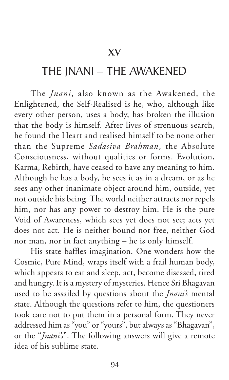# THE JNANI – THE AWAKENED

The *Jnani*, also known as the Awakened, the Enlightened, the Self-Realised is he, who, although like every other person, uses a body, has broken the illusion that the body is himself. After lives of strenuous search, he found the Heart and realised himself to be none other than the Supreme *Sadasiva Brahman*, the Absolute Consciousness, without qualities or forms. Evolution, Karma, Rebirth, have ceased to have any meaning to him. Although he has a body, he sees it as in a dream, or as he sees any other inanimate object around him, outside, yet not outside his being. The world neither attracts nor repels him, nor has any power to destroy him. He is the pure Void of Awareness, which sees yet does not see; acts yet does not act. He is neither bound nor free, neither God nor man, nor in fact anything – he is only himself.

His state baffles imagination. One wonders how the Cosmic, Pure Mind, wraps itself with a frail human body, which appears to eat and sleep, act, become diseased, tired and hungry. It is a mystery of mysteries. Hence Sri Bhagavan used to be assailed by questions about the *Jnani's* mental state. Although the questions refer to him, the questioners took care not to put them in a personal form. They never addressed him as "you" or "yours", but always as "Bhagavan", or the "*Jnani's*". The following answers will give a remote idea of his sublime state.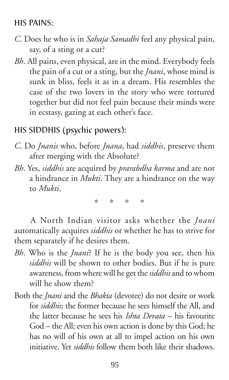## HIS PAINS:

- *C*. Does he who is in *Sahaja Samadhi* feel any physical pain, say, of a sting or a cut?
- *Bh*. All pains, even physical, are in the mind. Everybody feels the pain of a cut or a sting, but the *Jnani*, whose mind is sunk in bliss, feels it as in a dream. His resembles the case of the two lovers in the story who were tortured together but did not feel pain because their minds were in ecstasy, gazing at each other's face.

# HIS SIDDHIS (psychic powers):

- *C*. Do *Jnanis* who, before *Jnana*, had *siddhis*, preserve them after merging with the Absolute?
- *Bh*. Yes, *siddhis* are acquired by *prarabdha karma* and are not a hindrance in *Mukti*. They are a hindrance on the way to *Mukti*.

\* \* \* \*

A North Indian visitor asks whether the *Jnani* automatically acquires *siddhis* or whether he has to strive for them separately if he desires them.

- *Bh*. Who is the *Jnani*? If he is the body you see, then his *siddhis* will be shown to other bodies. But if he is pure awareness, from where will he get the *siddhis* and to whom will he show them?
- Both the *Jnani* and the *Bhakta* (devotee) do not desire or work for *siddhis*; the former because he sees himself the All, and the latter because he sees his *Ishta Devata* – his favourite God – the All; even his own action is done by this God; he has no will of his own at all to impel action on his own initiative. Yet *siddhis* follow them both like their shadows.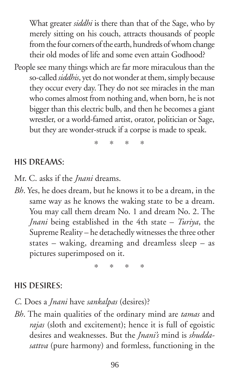What greater *siddhi* is there than that of the Sage, who by merely sitting on his couch, attracts thousands of people from the four corners of the earth, hundreds of whom change their old modes of life and some even attain Godhood?

People see many things which are far more miraculous than the so-called *siddhis*, yet do not wonder at them, simply because they occur every day. They do not see miracles in the man who comes almost from nothing and, when born, he is not bigger than this electric bulb, and then he becomes a giant wrestler, or a world-famed artist, orator, politician or Sage, but they are wonder-struck if a corpse is made to speak.

\* \* \* \*

# HIS DREAMS:

- Mr. C. asks if the *Jnani* dreams.
- *Bh*. Yes, he does dream, but he knows it to be a dream, in the same way as he knows the waking state to be a dream. You may call them dream No. 1 and dream No. 2. The *Jnani* being established in the 4th state – *Turiya*, the Supreme Reality – he detachedly witnesses the three other states – waking, dreaming and dreamless sleep – as pictures superimposed on it.

\* \* \* \*

#### HIS DESIRES:

- *C*. Does a *Jnani* have *sankalpas* (desires)?
- *Bh*. The main qualities of the ordinary mind are *tamas* and *rajas* (sloth and excitement); hence it is full of egoistic desires and weaknesses. But the *Jnani's* mind is *shuddasattva* (pure harmony) and formless, functioning in the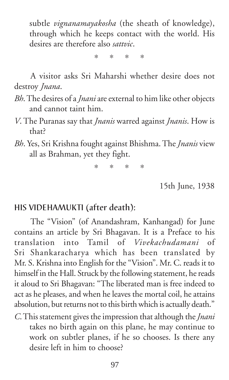subtle *vignanamayakosha* (the sheath of knowledge), through which he keeps contact with the world. His desires are therefore also *sattvic*.

\* \* \* \*

A visitor asks Sri Maharshi whether desire does not destroy *Jnana*.

- *Bh*. The desires of a *Jnani* are external to him like other objects and cannot taint him.
- *V*. The Puranas say that *Jnanis* warred against *Jnanis*. How is that?
- *Bh*. Yes, Sri Krishna fought against Bhishma. The *Jnanis* view all as Brahman, yet they fight.

\* \* \* \*

15th June, 1938

### HIS VIDEHAMUKTI (after death):

The "Vision" (of Anandashram, Kanhangad) for June contains an article by Sri Bhagavan. It is a Preface to his translation into Tamil of *Vivekachudamani* of Sri Shankaracharya which has been translated by Mr. S. Krishna into English for the "Vision". Mr. C. reads it to himself in the Hall. Struck by the following statement, he reads it aloud to Sri Bhagavan: "The liberated man is free indeed to act as he pleases, and when he leaves the mortal coil, he attains absolution, but returns not to this birth which is actually death."

*C*. This statement gives the impression that although the *Jnani* takes no birth again on this plane, he may continue to work on subtler planes, if he so chooses. Is there any desire left in him to choose?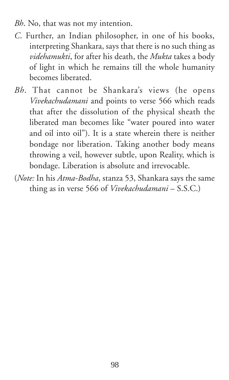*Bh*. No, that was not my intention.

- *C*. Further, an Indian philosopher, in one of his books, interpreting Shankara, says that there is no such thing as *videhamukti*, for after his death, the *Mukta* takes a body of light in which he remains till the whole humanity becomes liberated.
- *Bh*. That cannot be Shankara's views (he opens *Vivekachudamani* and points to verse 566 which reads that after the dissolution of the physical sheath the liberated man becomes like "water poured into water and oil into oil"). It is a state wherein there is neither bondage nor liberation. Taking another body means throwing a veil, however subtle, upon Reality, which is bondage. Liberation is absolute and irrevocable.
- (*Note:* In his *Atma-Bodha*, stanza 53, Shankara says the same thing as in verse 566 of *Vivekachudamani* – S.S.C.)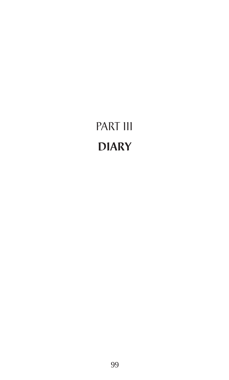# PART III **DIARY**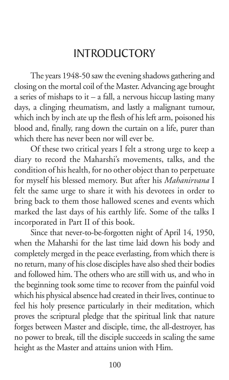# INTRODUCTORY

The years 1948-50 saw the evening shadows gathering and closing on the mortal coil of the Master. Advancing age brought a series of mishaps to it  $-$  a fall, a nervous hiccup lasting many days, a clinging rheumatism, and lastly a malignant tumour, which inch by inch ate up the flesh of his left arm, poisoned his blood and, finally, rang down the curtain on a life, purer than which there has never been nor will ever be.

Of these two critical years I felt a strong urge to keep a diary to record the Maharshi's movements, talks, and the condition of his health, for no other object than to perpetuate for myself his blessed memory. But after his *Mahanirvana* I felt the same urge to share it with his devotees in order to bring back to them those hallowed scenes and events which marked the last days of his earthly life. Some of the talks I incorporated in Part II of this book.

Since that never-to-be-forgotten night of April 14, 1950, when the Maharshi for the last time laid down his body and completely merged in the peace everlasting, from which there is no return, many of his close disciples have also shed their bodies and followed him. The others who are still with us, and who in the beginning took some time to recover from the painful void which his physical absence had created in their lives, continue to feel his holy presence particularly in their meditation, which proves the scriptural pledge that the spiritual link that nature forges between Master and disciple, time, the all-destroyer, has no power to break, till the disciple succeeds in scaling the same height as the Master and attains union with Him.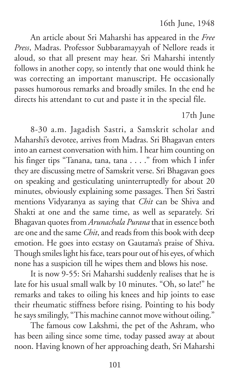An article about Sri Maharshi has appeared in the *Free Press*, Madras. Professor Subbaramayyah of Nellore reads it aloud, so that all present may hear. Sri Maharshi intently follows in another copy, so intently that one would think he was correcting an important manuscript. He occasionally passes humorous remarks and broadly smiles. In the end he directs his attendant to cut and paste it in the special file.

#### 17th June

8-30 a.m. Jagadish Sastri, a Samskrit scholar and Maharshi's devotee, arrives from Madras. Sri Bhagavan enters into an earnest conversation with him. I hear him counting on his finger tips "Tanana, tana, tana . . . ." from which I infer they are discussing metre of Samskrit verse. Sri Bhagavan goes on speaking and gesticulating uninterruptedly for about 20 minutes, obviously explaining some passages. Then Sri Sastri mentions Vidyaranya as saying that *Chit* can be Shiva and Shakti at one and the same time, as well as separately. Sri Bhagavan quotes from *Arunachala Purana* that in essence both are one and the same *Chit*, and reads from this book with deep emotion. He goes into ecstasy on Gautama's praise of Shiva. Though smiles light his face, tears pour out of his eyes, of which none has a suspicion till he wipes them and blows his nose.

It is now 9-55: Sri Maharshi suddenly realises that he is late for his usual small walk by 10 minutes. "Oh, so late!" he remarks and takes to oiling his knees and hip joints to ease their rheumatic stiffness before rising. Pointing to his body he says smilingly, "This machine cannot move without oiling."

The famous cow Lakshmi, the pet of the Ashram, who has been ailing since some time, today passed away at about noon. Having known of her approaching death, Sri Maharshi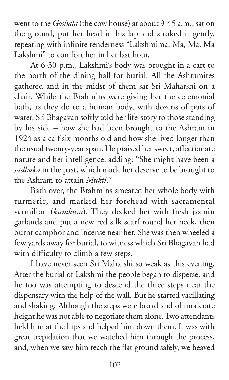went to the *Goshala* (the cow house) at about 9-45 a.m., sat on the ground, put her head in his lap and stroked it gently, repeating with infinite tenderness "Lakshmima, Ma, Ma, Ma Lakshmi" to comfort her in her last hour.

At 6-30 p.m., Lakshmi's body was brought in a cart to the north of the dining hall for burial. All the Ashramites gathered and in the midst of them sat Sri Maharshi on a chair. While the Brahmins were giving her the ceremonial bath, as they do to a human body, with dozens of pots of water, Sri Bhagavan softly told her life-story to those standing by his side – how she had been brought to the Ashram in 1924 as a calf six months old and how she lived longer than the usual twenty-year span. He praised her sweet, affectionate nature and her intelligence, adding: "She might have been a *sadhaka* in the past, which made her deserve to be brought to the Ashram to attain *Mukti*."

Bath over, the Brahmins smeared her whole body with turmeric, and marked her forehead with sacramental vermilion (*kumkum*). They decked her with fresh jasmin garlands and put a new red silk scarf round her neck, then burnt camphor and incense near her. She was then wheeled a few yards away for burial, to witness which Sri Bhagavan had with difficulty to climb a few steps.

I have never seen Sri Maharshi so weak as this evening. After the burial of Lakshmi the people began to disperse, and he too was attempting to descend the three steps near the dispensary with the help of the wall. But he started vacillating and shaking. Although the steps were broad and of moderate height he was not able to negotiate them alone. Two attendants held him at the hips and helped him down them. It was with great trepidation that we watched him through the process, and, when we saw him reach the flat ground safely, we heaved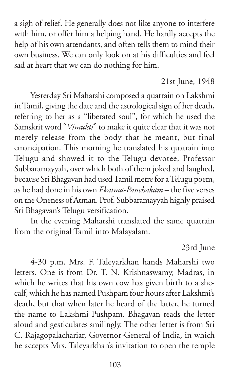a sigh of relief. He generally does not like anyone to interfere with him, or offer him a helping hand. He hardly accepts the help of his own attendants, and often tells them to mind their own business. We can only look on at his difficulties and feel sad at heart that we can do nothing for him.

## 21st June, 1948

Yesterday Sri Maharshi composed a quatrain on Lakshmi in Tamil, giving the date and the astrological sign of her death, referring to her as a "liberated soul", for which he used the Samskrit word "*Vimukti*" to make it quite clear that it was not merely release from the body that he meant, but final emancipation. This morning he translated his quatrain into Telugu and showed it to the Telugu devotee, Professor Subbaramayyah, over which both of them joked and laughed, because Sri Bhagavan had used Tamil metre for a Telugu poem, as he had done in his own *Ekatma-Panchakam* – the five verses on the Oneness of Atman. Prof. Subbaramayyah highly praised Sri Bhagavan's Telugu versification.

In the evening Maharshi translated the same quatrain from the original Tamil into Malayalam.

23rd June

4-30 p.m. Mrs. F. Taleyarkhan hands Maharshi two letters. One is from Dr. T. N. Krishnaswamy, Madras, in which he writes that his own cow has given birth to a shecalf, which he has named Pushpam four hours after Lakshmi's death, but that when later he heard of the latter, he turned the name to Lakshmi Pushpam. Bhagavan reads the letter aloud and gesticulates smilingly. The other letter is from Sri C. Rajagopalachariar, Governor-General of India, in which he accepts Mrs. Taleyarkhan's invitation to open the temple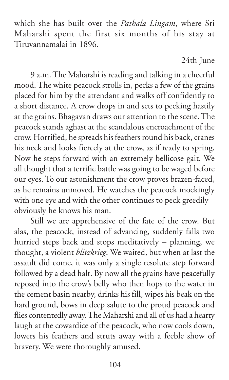which she has built over the *Pathala Lingam*, where Sri Maharshi spent the first six months of his stay at Tiruvannamalai in 1896.

24th June

9 a.m. The Maharshi is reading and talking in a cheerful mood. The white peacock strolls in, pecks a few of the grains placed for him by the attendant and walks off confidently to a short distance. A crow drops in and sets to pecking hastily at the grains. Bhagavan draws our attention to the scene. The peacock stands aghast at the scandalous encroachment of the crow. Horrified, he spreads his feathers round his back, cranes his neck and looks fiercely at the crow, as if ready to spring. Now he steps forward with an extremely bellicose gait. We all thought that a terrific battle was going to be waged before our eyes. To our astonishment the crow proves brazen-faced, as he remains unmoved. He watches the peacock mockingly with one eye and with the other continues to peck greedily – obviously he knows his man.

Still we are apprehensive of the fate of the crow. But alas, the peacock, instead of advancing, suddenly falls two hurried steps back and stops meditatively – planning, we thought, a violent *blitzkrieg*. We waited, but when at last the assault did come, it was only a single resolute step forward followed by a dead halt. By now all the grains have peacefully reposed into the crow's belly who then hops to the water in the cement basin nearby, drinks his fill, wipes his beak on the hard ground, bows in deep salute to the proud peacock and flies contentedly away. The Maharshi and all of us had a hearty laugh at the cowardice of the peacock, who now cools down, lowers his feathers and struts away with a feeble show of bravery. We were thoroughly amused.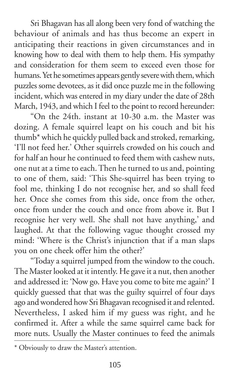Sri Bhagavan has all along been very fond of watching the behaviour of animals and has thus become an expert in anticipating their reactions in given circumstances and in knowing how to deal with them to help them. His sympathy and consideration for them seem to exceed even those for humans. Yet he sometimes appears gently severe with them, which puzzles some devotees, as it did once puzzle me in the following incident, which was entered in my diary under the date of 28th March, 1943, and which I feel to the point to record hereunder:

"On the 24th. instant at 10-30 a.m. the Master was dozing. A female squirrel leapt on his couch and bit his thumb\* which he quickly pulled back and stroked, remarking, 'I'll not feed her.' Other squirrels crowded on his couch and for half an hour he continued to feed them with cashew nuts, one nut at a time to each. Then he turned to us and, pointing to one of them, said: 'This She-squirrel has been trying to fool me, thinking I do not recognise her, and so shall feed her. Once she comes from this side, once from the other, once from under the couch and once from above it. But I recognise her very well. She shall not have anything,' and laughed. At that the following vague thought crossed my mind: 'Where is the Christ's injunction that if a man slaps you on one cheek offer him the other?'

"Today a squirrel jumped from the window to the couch. The Master looked at it intently. He gave it a nut, then another and addressed it: 'Now go. Have you come to bite me again?' I quickly guessed that that was the guilty squirrel of four days ago and wondered how Sri Bhagavan recognised it and relented. Nevertheless, I asked him if my guess was right, and he confirmed it. After a while the same squirrel came back for more nuts. Usually the Master continues to feed the animals

<sup>\*</sup> Obviously to draw the Master's attention.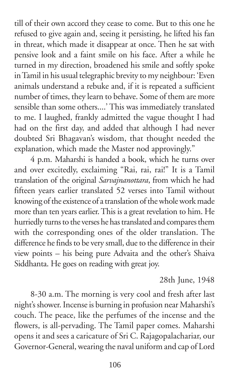till of their own accord they cease to come. But to this one he refused to give again and, seeing it persisting, he lifted his fan in threat, which made it disappear at once. Then he sat with pensive look and a faint smile on his face. After a while he turned in my direction, broadened his smile and softly spoke in Tamil in his usual telegraphic brevity to my neighbour: 'Even animals understand a rebuke and, if it is repeated a sufficient number of times, they learn to behave. Some of them are more sensible than some others....' This was immediately translated to me. I laughed, frankly admitted the vague thought I had had on the first day, and added that although I had never doubted Sri Bhagavan's wisdom, that thought needed the explanation, which made the Master nod approvingly."

4 p.m. Maharshi is handed a book, which he turns over and over excitedly, exclaiming "Rai, rai, rai!" It is a Tamil translation of the original *Sarvajnanottara*, from which he had fifteen years earlier translated 52 verses into Tamil without knowing of the existence of a translation of the whole work made more than ten years earlier. This is a great revelation to him. He hurriedly turns to the verses he has translated and compares them with the corresponding ones of the older translation. The difference he finds to be very small, due to the difference in their view points – his being pure Advaita and the other's Shaiva Siddhanta. He goes on reading with great joy.

### 28th June, 1948

8-30 a.m. The morning is very cool and fresh after last night's shower. Incense is burning in profusion near Maharshi's couch. The peace, like the perfumes of the incense and the flowers, is all-pervading. The Tamil paper comes. Maharshi opens it and sees a caricature of Sri C. Rajagopalachariar, our Governor-General, wearing the naval uniform and cap of Lord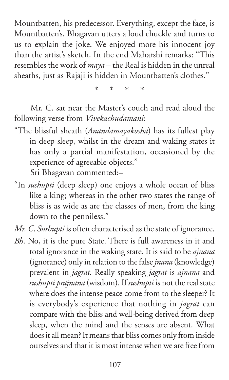Mountbatten, his predecessor. Everything, except the face, is Mountbatten's. Bhagavan utters a loud chuckle and turns to us to explain the joke. We enjoyed more his innocent joy than the artist's sketch. In the end Maharshi remarks: "This resembles the work of *maya* – the Real is hidden in the unreal sheaths, just as Rajaji is hidden in Mountbatten's clothes."

\* \* \* \*

Mr. C. sat near the Master's couch and read aloud the following verse from *Vivekachudamani*:–

"The blissful sheath (*Anandamayakosha*) has its fullest play in deep sleep, whilst in the dream and waking states it has only a partial manifestation, occasioned by the experience of agreeable objects."

Sri Bhagavan commented:–

- "In *sushupti* (deep sleep) one enjoys a whole ocean of bliss like a king; whereas in the other two states the range of bliss is as wide as are the classes of men, from the king down to the penniless."
- *Mr. C*. *Sushupti* is often characterised as the state of ignorance.
- *Bh*. No, it is the pure State. There is full awareness in it and total ignorance in the waking state. It is said to be *ajnana* (ignorance) only in relation to the false *jnana* (knowledge) prevalent in *jagrat*. Really speaking *jagrat* is *ajnana* and *sushupti prajnana* (wisdom). If *sushupti* is not the real state where does the intense peace come from to the sleeper? It is everybody's experience that nothing in *jagrat* can compare with the bliss and well-being derived from deep sleep, when the mind and the senses are absent. What does it all mean? It means that bliss comes only from inside ourselves and that it is most intense when we are free from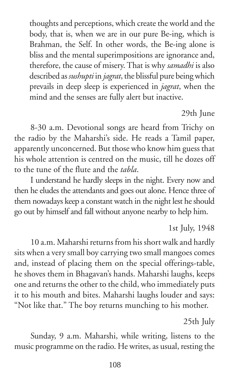thoughts and perceptions, which create the world and the body, that is, when we are in our pure Be-ing, which is Brahman, the Self. In other words, the Be-ing alone is bliss and the mental superimpositions are ignorance and, therefore, the cause of misery. That is why *samadhi* is also described as *sushupti* in *jagrat*, the blissful pure being which prevails in deep sleep is experienced in *jagrat*, when the mind and the senses are fully alert but inactive.

29th June

8-30 a.m. Devotional songs are heard from Trichy on the radio by the Maharshi's side. He reads a Tamil paper, apparently unconcerned. But those who know him guess that his whole attention is centred on the music, till he dozes off to the tune of the flute and the *tabla*.

I understand he hardly sleeps in the night. Every now and then he eludes the attendants and goes out alone. Hence three of them nowadays keep a constant watch in the night lest he should go out by himself and fall without anyone nearby to help him.

1st July, 1948

10 a.m. Maharshi returns from his short walk and hardly sits when a very small boy carrying two small mangoes comes and, instead of placing them on the special offerings-table, he shoves them in Bhagavan's hands. Maharshi laughs, keeps one and returns the other to the child, who immediately puts it to his mouth and bites. Maharshi laughs louder and says: "Not like that." The boy returns munching to his mother.

25th July

Sunday, 9 a.m. Maharshi, while writing, listens to the music programme on the radio. He writes, as usual, resting the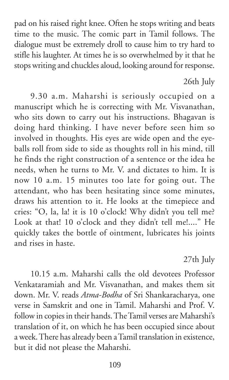pad on his raised right knee. Often he stops writing and beats time to the music. The comic part in Tamil follows. The dialogue must be extremely droll to cause him to try hard to stifle his laughter. At times he is so overwhelmed by it that he stops writing and chuckles aloud, looking around for response.

# 26th July

9.30 a.m. Maharshi is seriously occupied on a manuscript which he is correcting with Mr. Visvanathan, who sits down to carry out his instructions. Bhagavan is doing hard thinking. I have never before seen him so involved in thoughts. His eyes are wide open and the eyeballs roll from side to side as thoughts roll in his mind, till he finds the right construction of a sentence or the idea he needs, when he turns to Mr. V. and dictates to him. It is now 10 a.m. 15 minutes too late for going out. The attendant, who has been hesitating since some minutes, draws his attention to it. He looks at the timepiece and cries: "O, la, la! it is 10 o'clock! Why didn't you tell me? Look at that! 10 o'clock and they didn't tell me!...." He quickly takes the bottle of ointment, lubricates his joints and rises in haste.

27th July

10.15 a.m. Maharshi calls the old devotees Professor Venkataramiah and Mr. Visvanathan, and makes them sit down. Mr. V. reads *Atma-Bodha* of Sri Shankaracharya, one verse in Samskrit and one in Tamil. Maharshi and Prof. V. follow in copies in their hands. The Tamil verses are Maharshi's translation of it, on which he has been occupied since about a week. There has already been a Tamil translation in existence, but it did not please the Maharshi.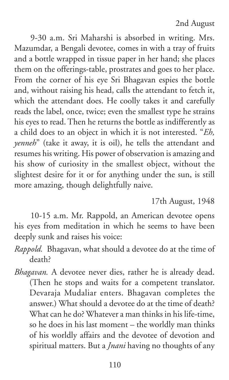9-30 a.m. Sri Maharshi is absorbed in writing. Mrs. Mazumdar, a Bengali devotee, comes in with a tray of fruits and a bottle wrapped in tissue paper in her hand; she places them on the offerings-table, prostrates and goes to her place. From the corner of his eye Sri Bhagavan espies the bottle and, without raising his head, calls the attendant to fetch it, which the attendant does. He coolly takes it and carefully reads the label, once, twice; even the smallest type he strains his eyes to read. Then he returns the bottle as indifferently as a child does to an object in which it is not interested. "*Eh, yenneh*" (take it away, it is oil), he tells the attendant and resumes his writing. His power of observation is amazing and his show of curiosity in the smallest object, without the slightest desire for it or for anything under the sun, is still more amazing, though delightfully naive.

17th August, 1948

10-15 a.m. Mr. Rappold, an American devotee opens his eyes from meditation in which he seems to have been deeply sunk and raises his voice:

- *Rappold.* Bhagavan, what should a devotee do at the time of death?
- *Bhagavan.* A devotee never dies, rather he is already dead. (Then he stops and waits for a competent translator. Devaraja Mudaliar enters. Bhagavan completes the answer.) What should a devotee do at the time of death? What can he do? Whatever a man thinks in his life-time, so he does in his last moment – the worldly man thinks of his worldly affairs and the devotee of devotion and spiritual matters. But a *Jnani* having no thoughts of any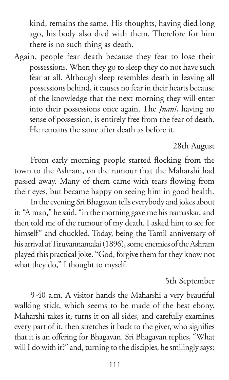kind, remains the same. His thoughts, having died long ago, his body also died with them. Therefore for him there is no such thing as death.

Again, people fear death because they fear to lose their possessions. When they go to sleep they do not have such fear at all. Although sleep resembles death in leaving all possessions behind, it causes no fear in their hearts because of the knowledge that the next morning they will enter into their possessions once again. The *Jnani*, having no sense of possession, is entirely free from the fear of death. He remains the same after death as before it.

# 28th August

From early morning people started flocking from the town to the Ashram, on the rumour that the Maharshi had passed away. Many of them came with tears flowing from their eyes, but became happy on seeing him in good health.

In the evening Sri Bhagavan tells everybody and jokes about it: "A man," he said, "in the morning gave me his namaskar, and then told me of the rumour of my death. I asked him to see for himself" and chuckled. Today, being the Tamil anniversary of his arrival at Tiruvannamalai (1896), some enemies of the Ashram played this practical joke. "God, forgive them for they know not what they do," I thought to myself.

### 5th September

9-40 a.m. A visitor hands the Maharshi a very beautiful walking stick, which seems to be made of the best ebony. Maharshi takes it, turns it on all sides, and carefully examines every part of it, then stretches it back to the giver, who signifies that it is an offering for Bhagavan. Sri Bhagavan replies, "What will I do with it?" and, turning to the disciples, he smilingly says: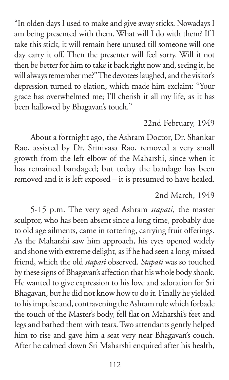"In olden days I used to make and give away sticks. Nowadays I am being presented with them. What will I do with them? If I take this stick, it will remain here unused till someone will one day carry it off. Then the presenter will feel sorry. Will it not then be better for him to take it back right now and, seeing it, he will always remember me?" The devotees laughed, and the visitor's depression turned to elation, which made him exclaim: "Your grace has overwhelmed me; I'll cherish it all my life, as it has been hallowed by Bhagavan's touch."

## 22nd February, 1949

About a fortnight ago, the Ashram Doctor, Dr. Shankar Rao, assisted by Dr. Srinivasa Rao, removed a very small growth from the left elbow of the Maharshi, since when it has remained bandaged; but today the bandage has been removed and it is left exposed – it is presumed to have healed.

# 2nd March, 1949

5-15 p.m. The very aged Ashram *stapati*, the master sculptor, who has been absent since a long time, probably due to old age ailments, came in tottering, carrying fruit offerings. As the Maharshi saw him approach, his eyes opened widely and shone with extreme delight, as if he had seen a long-missed friend, which the old *stapati* observed. *Stapati* was so touched by these signs of Bhagavan's affection that his whole body shook. He wanted to give expression to his love and adoration for Sri Bhagavan, but he did not know how to do it. Finally he yielded to his impulse and, contravening the Ashram rule which forbade the touch of the Master's body, fell flat on Maharshi's feet and legs and bathed them with tears. Two attendants gently helped him to rise and gave him a seat very near Bhagavan's couch. After he calmed down Sri Maharshi enquired after his health,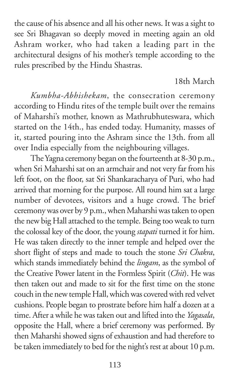the cause of his absence and all his other news. It was a sight to see Sri Bhagavan so deeply moved in meeting again an old Ashram worker, who had taken a leading part in the architectural designs of his mother's temple according to the rules prescribed by the Hindu Shastras.

# 18th March

*Kumbha-Abhishekam*, the consecration ceremony according to Hindu rites of the temple built over the remains of Maharshi's mother, known as Mathrubhuteswara, which started on the 14th., has ended today. Humanity, masses of it, started pouring into the Ashram since the 13th. from all over India especially from the neighbouring villages.

The Yagna ceremony began on the fourteenth at 8-30 p.m., when Sri Maharshi sat on an armchair and not very far from his left foot, on the floor, sat Sri Shankaracharya of Puri, who had arrived that morning for the purpose. All round him sat a large number of devotees, visitors and a huge crowd. The brief ceremony was over by 9 p.m., when Maharshi was taken to open the new big Hall attached to the temple. Being too weak to turn the colossal key of the door, the young *stapati* turned it for him. He was taken directly to the inner temple and helped over the short flight of steps and made to touch the stone *Sri Chakra*, which stands immediately behind the *lingam*, as the symbol of the Creative Power latent in the Formless Spirit (*Chit*). He was then taken out and made to sit for the first time on the stone couch in the new temple Hall, which was covered with red velvet cushions. People began to prostrate before him half a dozen at a time. After a while he was taken out and lifted into the *Yagasala*, opposite the Hall, where a brief ceremony was performed. By then Maharshi showed signs of exhaustion and had therefore to be taken immediately to bed for the night's rest at about 10 p.m.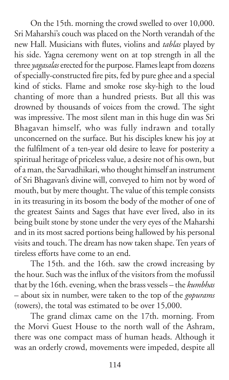On the 15th. morning the crowd swelled to over 10,000. Sri Maharshi's couch was placed on the North verandah of the new Hall. Musicians with flutes, violins and *tablas* played by his side. Yagna ceremony went on at top strength in all the three *yagasalas* erected for the purpose. Flames leapt from dozens of specially-constructed fire pits, fed by pure ghee and a special kind of sticks. Flame and smoke rose sky-high to the loud chanting of more than a hundred priests. But all this was drowned by thousands of voices from the crowd. The sight was impressive. The most silent man in this huge din was Sri Bhagavan himself, who was fully indrawn and totally unconcerned on the surface. But his disciples knew his joy at the fulfilment of a ten-year old desire to leave for posterity a spiritual heritage of priceless value, a desire not of his own, but of a man, the Sarvadhikari, who thought himself an instrument of Sri Bhagavan's divine will, conveyed to him not by word of mouth, but by mere thought. The value of this temple consists in its treasuring in its bosom the body of the mother of one of the greatest Saints and Sages that have ever lived, also in its being built stone by stone under the very eyes of the Maharshi and in its most sacred portions being hallowed by his personal visits and touch. The dream has now taken shape. Ten years of tireless efforts have come to an end.

The 15th. and the 16th. saw the crowd increasing by the hour. Such was the influx of the visitors from the mofussil that by the 16th. evening, when the brass vessels – the *kumbhas* – about six in number, were taken to the top of the *gopurams* (towers), the total was estimated to be over 15,000.

The grand climax came on the 17th. morning. From the Morvi Guest House to the north wall of the Ashram, there was one compact mass of human heads. Although it was an orderly crowd, movements were impeded, despite all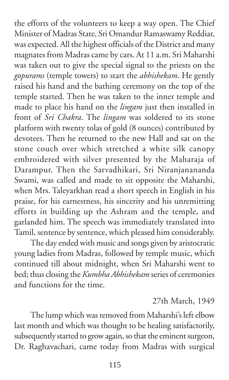the efforts of the volunteers to keep a way open. The Chief Minister of Madras State, Sri Omandur Ramaswamy Reddiar, was expected. All the highest officials of the District and many magnates from Madras came by cars. At 11 a.m. Sri Maharshi was taken out to give the special signal to the priests on the *gopurams* (temple towers) to start the *abhishekam*. He gently raised his hand and the bathing ceremony on the top of the temple started. Then he was taken to the inner temple and made to place his hand on the *lingam* just then installed in front of *Sri Chakra*. The *lingam* was soldered to its stone platform with twenty tolas of gold (8 ounces) contributed by devotees. Then he returned to the new Hall and sat on the stone couch over which stretched a white silk canopy embroidered with silver presented by the Maharaja of Darampur. Then the Sarvadhikari, Sri Niranjanananda Swami, was called and made to sit opposite the Maharshi, when Mrs. Taleyarkhan read a short speech in English in his praise, for his earnestness, his sincerity and his unremitting efforts in building up the Ashram and the temple, and garlanded him. The speech was immediately translated into Tamil, sentence by sentence, which pleased him considerably.

The day ended with music and songs given by aristocratic young ladies from Madras, followed by temple music, which continued till about midnight, when Sri Maharshi went to bed; thus closing the *Kumbha Abhishekam* series of ceremonies and functions for the time.

#### 27th March, 1949

The lump which was removed from Maharshi's left elbow last month and which was thought to be healing satisfactorily, subsequently started to grow again, so that the eminent surgeon, Dr. Raghavachari, came today from Madras with surgical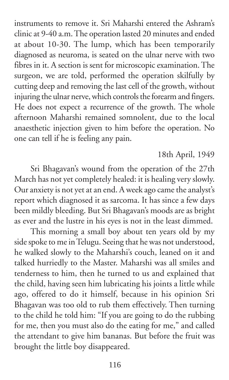instruments to remove it. Sri Maharshi entered the Ashram's clinic at 9-40 a.m. The operation lasted 20 minutes and ended at about 10-30. The lump, which has been temporarily diagnosed as neuroma, is seated on the ulnar nerve with two fibres in it. A section is sent for microscopic examination. The surgeon, we are told, performed the operation skilfully by cutting deep and removing the last cell of the growth, without injuring the ulnar nerve, which controls the forearm and fingers. He does not expect a recurrence of the growth. The whole afternoon Maharshi remained somnolent, due to the local anaesthetic injection given to him before the operation. No one can tell if he is feeling any pain.

# 18th April, 1949

Sri Bhagavan's wound from the operation of the 27th March has not yet completely healed: it is healing very slowly. Our anxiety is not yet at an end. A week ago came the analyst's report which diagnosed it as sarcoma. It has since a few days been mildly bleeding. But Sri Bhagavan's moods are as bright as ever and the lustre in his eyes is not in the least dimmed.

This morning a small boy about ten years old by my side spoke to me in Telugu. Seeing that he was not understood, he walked slowly to the Maharshi's couch, leaned on it and talked hurriedly to the Master. Maharshi was all smiles and tenderness to him, then he turned to us and explained that the child, having seen him lubricating his joints a little while ago, offered to do it himself, because in his opinion Sri Bhagavan was too old to rub them effectively. Then turning to the child he told him: "If you are going to do the rubbing for me, then you must also do the eating for me," and called the attendant to give him bananas. But before the fruit was brought the little boy disappeared.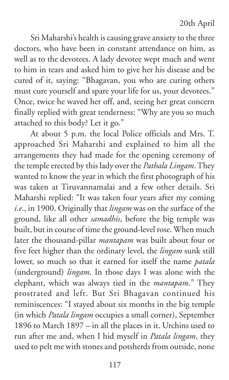Sri Maharshi's health is causing grave anxiety to the three doctors, who have been in constant attendance on him, as well as to the devotees. A lady devotee wept much and went to him in tears and asked him to give her his disease and be cured of it, saying: "Bhagavan, you who are curing others must cure yourself and spare your life for us, your devotees." Once, twice he waved her off, and, seeing her great concern finally replied with great tenderness: "Why are you so much attached to this body? Let it go."

At about 5 p.m. the local Police officials and Mrs. T. approached Sri Maharshi and explained to him all the arrangements they had made for the opening ceremony of the temple erected by this lady over the *Pathala Lingam*. They wanted to know the year in which the first photograph of his was taken at Tiruvannamalai and a few other details. Sri Maharshi replied: "It was taken four years after my coming *i.e*., in 1900. Originally that *lingam* was on the surface of the ground, like all other *samadhis*, before the big temple was built, but in course of time the ground-level rose. When much later the thousand-pillar *mantapam* was built about four or five feet higher than the ordinary level, the *lingam* sunk still lower, so much so that it earned for itself the name *patala* (underground) *lingam*. In those days I was alone with the elephant, which was always tied in the *mantapam*." They prostrated and left. But Sri Bhagavan continued his reminiscences: "I stayed about six months in the big temple (in which *Patala lingam* occupies a small corner), September 1896 to March 1897 – in all the places in it. Urchins used to run after me and, when I hid myself in *Patala lingam*, they used to pelt me with stones and potsherds from outside, none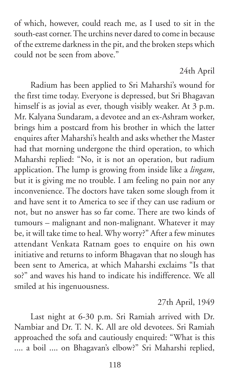of which, however, could reach me, as I used to sit in the south-east corner. The urchins never dared to come in because of the extreme darkness in the pit, and the broken steps which could not be seen from above."

# 24th April

Radium has been applied to Sri Maharshi's wound for the first time today. Everyone is depressed, but Sri Bhagavan himself is as jovial as ever, though visibly weaker. At 3 p.m. Mr. Kalyana Sundaram, a devotee and an ex-Ashram worker, brings him a postcard from his brother in which the latter enquires after Maharshi's health and asks whether the Master had that morning undergone the third operation, to which Maharshi replied: "No, it is not an operation, but radium application. The lump is growing from inside like a *lingam*, but it is giving me no trouble. I am feeling no pain nor any inconvenience. The doctors have taken some slough from it and have sent it to America to see if they can use radium or not, but no answer has so far come. There are two kinds of tumours – malignant and non-malignant. Whatever it may be, it will take time to heal. Why worry?" After a few minutes attendant Venkata Ratnam goes to enquire on his own initiative and returns to inform Bhagavan that no slough has been sent to America, at which Maharshi exclaims "Is that so?" and waves his hand to indicate his indifference. We all smiled at his ingenuousness.

# 27th April, 1949

Last night at 6-30 p.m. Sri Ramiah arrived with Dr. Nambiar and Dr. T. N. K. All are old devotees. Sri Ramiah approached the sofa and cautiously enquired: "What is this .... a boil .... on Bhagavan's elbow?" Sri Maharshi replied,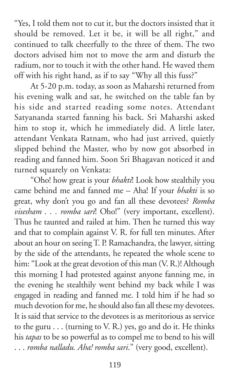"Yes, I told them not to cut it, but the doctors insisted that it should be removed. Let it be, it will be all right," and continued to talk cheerfully to the three of them. The two doctors advised him not to move the arm and disturb the radium, nor to touch it with the other hand. He waved them off with his right hand, as if to say "Why all this fuss?"

At 5-20 p.m. today, as soon as Maharshi returned from his evening walk and sat, he switched on the table fan by his side and started reading some notes. Attendant Satyananda started fanning his back. Sri Maharshi asked him to stop it, which he immediately did. A little later, attendant Venkata Ratnam, who had just arrived, quietly slipped behind the Master, who by now got absorbed in reading and fanned him. Soon Sri Bhagavan noticed it and turned squarely on Venkata:

"Oho! how great is your *bhakti*! Look how stealthily you came behind me and fanned me – Aha! If your *bhakti* is so great, why don't you go and fan all these devotees? *Romba visesham . . . romba sari*! Oho!" (very important, excellent). Thus he taunted and railed at him. Then he turned this way and that to complain against V. R. for full ten minutes. After about an hour on seeing T. P. Ramachandra, the lawyer, sitting by the side of the attendants, he repeated the whole scene to him: "Look at the great devotion of this man (V. R.)! Although this morning I had protested against anyone fanning me, in the evening he stealthily went behind my back while I was engaged in reading and fanned me. I told him if he had so much devotion for me, he should also fan all these my devotees. It is said that service to the devotees is as meritorious as service to the guru  $\ldots$  (turning to V. R.) yes, go and do it. He thinks his *tapas* to be so powerful as to compel me to bend to his will . . . *romba nalladu. Aha! romba sari*." (very good, excellent).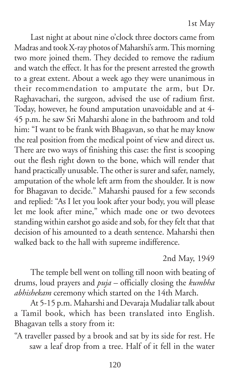Last night at about nine o'clock three doctors came from Madras and took X-ray photos of Maharshi's arm. This morning two more joined them. They decided to remove the radium and watch the effect. It has for the present arrested the growth to a great extent. About a week ago they were unanimous in their recommendation to amputate the arm, but Dr. Raghavachari, the surgeon, advised the use of radium first. Today, however, he found amputation unavoidable and at 4- 45 p.m. he saw Sri Maharshi alone in the bathroom and told him: "I want to be frank with Bhagavan, so that he may know the real position from the medical point of view and direct us. There are two ways of finishing this case: the first is scooping out the flesh right down to the bone, which will render that hand practically unusable. The other is surer and safer, namely, amputation of the whole left arm from the shoulder. It is now for Bhagavan to decide." Maharshi paused for a few seconds and replied: "As I let you look after your body, you will please let me look after mine," which made one or two devotees standing within earshot go aside and sob, for they felt that that decision of his amounted to a death sentence. Maharshi then walked back to the hall with supreme indifference.

2nd May, 1949

The temple bell went on tolling till noon with beating of drums, loud prayers and *puja* – officially closing the *kumbha abhishekam* ceremony which started on the 14th March.

At 5-15 p.m. Maharshi and Devaraja Mudaliar talk about a Tamil book, which has been translated into English. Bhagavan tells a story from it:

"A traveller passed by a brook and sat by its side for rest. He saw a leaf drop from a tree. Half of it fell in the water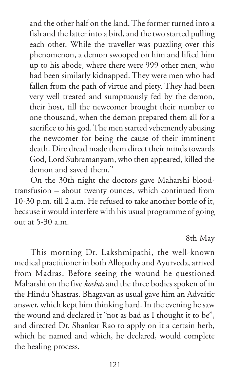and the other half on the land. The former turned into a fish and the latter into a bird, and the two started pulling each other. While the traveller was puzzling over this phenomenon, a demon swooped on him and lifted him up to his abode, where there were 999 other men, who had been similarly kidnapped. They were men who had fallen from the path of virtue and piety. They had been very well treated and sumptuously fed by the demon, their host, till the newcomer brought their number to one thousand, when the demon prepared them all for a sacrifice to his god. The men started vehemently abusing the newcomer for being the cause of their imminent death. Dire dread made them direct their minds towards God, Lord Subramanyam, who then appeared, killed the demon and saved them."

On the 30th night the doctors gave Maharshi bloodtransfusion – about twenty ounces, which continued from 10-30 p.m. till 2 a.m. He refused to take another bottle of it, because it would interfere with his usual programme of going out at 5-30 a.m.

#### 8th May

This morning Dr. Lakshmipathi, the well-known medical practitioner in both Allopathy and Ayurveda, arrived from Madras. Before seeing the wound he questioned Maharshi on the five *koshas* and the three bodies spoken of in the Hindu Shastras. Bhagavan as usual gave him an Advaitic answer, which kept him thinking hard. In the evening he saw the wound and declared it "not as bad as I thought it to be", and directed Dr. Shankar Rao to apply on it a certain herb, which he named and which, he declared, would complete the healing process.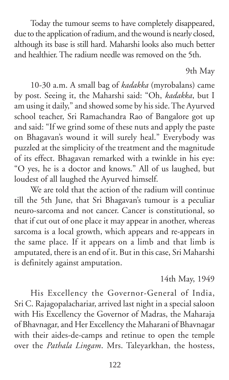Today the tumour seems to have completely disappeared, due to the application of radium, and the wound is nearly closed, although its base is still hard. Maharshi looks also much better and healthier. The radium needle was removed on the 5th.

### 9th May

10-30 a.m. A small bag of *kadakka* (myrobalans) came by post. Seeing it, the Maharshi said: "Oh, *kadakka*, but I am using it daily," and showed some by his side. The Ayurved school teacher, Sri Ramachandra Rao of Bangalore got up and said: "If we grind some of these nuts and apply the paste on Bhagavan's wound it will surely heal." Everybody was puzzled at the simplicity of the treatment and the magnitude of its effect. Bhagavan remarked with a twinkle in his eye: "O yes, he is a doctor and knows." All of us laughed, but loudest of all laughed the Ayurved himself.

We are told that the action of the radium will continue till the 5th June, that Sri Bhagavan's tumour is a peculiar neuro-sarcoma and not cancer. Cancer is constitutional, so that if cut out of one place it may appear in another, whereas sarcoma is a local growth, which appears and re-appears in the same place. If it appears on a limb and that limb is amputated, there is an end of it. But in this case, Sri Maharshi is definitely against amputation.

### 14th May, 1949

His Excellency the Governor-General of India, Sri C. Rajagopalachariar, arrived last night in a special saloon with His Excellency the Governor of Madras, the Maharaja of Bhavnagar, and Her Excellency the Maharani of Bhavnagar with their aides-de-camps and retinue to open the temple over the *Pathala Lingam*. Mrs. Taleyarkhan, the hostess,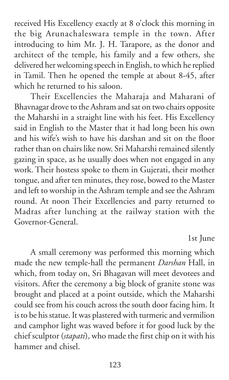received His Excellency exactly at 8 o'clock this morning in the big Arunachaleswara temple in the town. After introducing to him Mr. J. H. Tarapore, as the donor and architect of the temple, his family and a few others, she delivered her welcoming speech in English, to which he replied in Tamil. Then he opened the temple at about 8-45, after which he returned to his saloon.

Their Excellencies the Maharaja and Maharani of Bhavnagar drove to the Ashram and sat on two chairs opposite the Maharshi in a straight line with his feet. His Excellency said in English to the Master that it had long been his own and his wife's wish to have his darshan and sit on the floor rather than on chairs like now. Sri Maharshi remained silently gazing in space, as he usually does when not engaged in any work. Their hostess spoke to them in Gujerati, their mother tongue, and after ten minutes, they rose, bowed to the Master and left to worship in the Ashram temple and see the Ashram round. At noon Their Excellencies and party returned to Madras after lunching at the railway station with the Governor-General.

### 1st June

A small ceremony was performed this morning which made the new temple-hall the permanent *Darshan* Hall, in which, from today on, Sri Bhagavan will meet devotees and visitors. After the ceremony a big block of granite stone was brought and placed at a point outside, which the Maharshi could see from his couch across the south door facing him. It is to be his statue. It was plastered with turmeric and vermilion and camphor light was waved before it for good luck by the chief sculptor (*stapati*), who made the first chip on it with his hammer and chisel.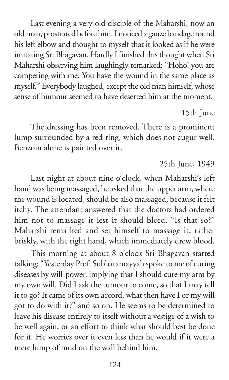Last evening a very old disciple of the Maharshi, now an old man, prostrated before him. I noticed a gauze bandage round his left elbow and thought to myself that it looked as if he were imitating Sri Bhagavan. Hardly I finished this thought when Sri Maharshi observing him laughingly remarked: "Hoho! you are competing with me. You have the wound in the same place as myself." Everybody laughed, except the old man himself, whose sense of humour seemed to have deserted him at the moment.

15th June

The dressing has been removed. There is a prominent lump surrounded by a red ring, which does not augur well. Benzoin alone is painted over it.

#### 25th June, 1949

Last night at about nine o'clock, when Maharshi's left hand was being massaged, he asked that the upper arm, where the wound is located, should be also massaged, because it felt itchy. The attendant answered that the doctors had ordered him not to massage it lest it should bleed. "Is that so?" Maharshi remarked and set himself to massage it, rather briskly, with the right hand, which immediately drew blood.

This morning at about 8 o'clock Sri Bhagavan started talking: "Yesterday Prof. Subbaramayyah spoke to me of curing diseases by will-power, implying that I should cure my arm by my own will. Did I ask the tumour to come, so that I may tell it to go? It came of its own accord, what then have I or my will got to do with it?" and so on. He seems to be determined to leave his disease entirely to itself without a vestige of a wish to be well again, or an effort to think what should best be done for it. He worries over it even less than he would if it were a mere lump of mud on the wall behind him.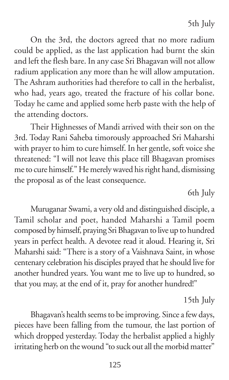On the 3rd, the doctors agreed that no more radium could be applied, as the last application had burnt the skin and left the flesh bare. In any case Sri Bhagavan will not allow radium application any more than he will allow amputation. The Ashram authorities had therefore to call in the herbalist, who had, years ago, treated the fracture of his collar bone. Today he came and applied some herb paste with the help of the attending doctors.

Their Highnesses of Mandi arrived with their son on the 3rd. Today Rani Saheba timorously approached Sri Maharshi with prayer to him to cure himself. In her gentle, soft voice she threatened: "I will not leave this place till Bhagavan promises me to cure himself." He merely waved his right hand, dismissing the proposal as of the least consequence.

## 6th July

Muruganar Swami, a very old and distinguished disciple, a Tamil scholar and poet, handed Maharshi a Tamil poem composed by himself, praying Sri Bhagavan to live up to hundred years in perfect health. A devotee read it aloud. Hearing it, Sri Maharshi said: "There is a story of a Vaishnava Saint, in whose centenary celebration his disciples prayed that he should live for another hundred years. You want me to live up to hundred, so that you may, at the end of it, pray for another hundred!"

# 15th July

Bhagavan's health seems to be improving. Since a few days, pieces have been falling from the tumour, the last portion of which dropped yesterday. Today the herbalist applied a highly irritating herb on the wound "to suck out all the morbid matter"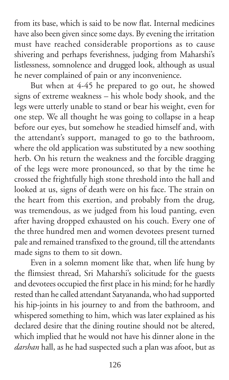from its base, which is said to be now flat. Internal medicines have also been given since some days. By evening the irritation must have reached considerable proportions as to cause shivering and perhaps feverishness, judging from Maharshi's listlessness, somnolence and drugged look, although as usual he never complained of pain or any inconvenience.

But when at 4-45 he prepared to go out, he showed signs of extreme weakness – his whole body shook, and the legs were utterly unable to stand or bear his weight, even for one step. We all thought he was going to collapse in a heap before our eyes, but somehow he steadied himself and, with the attendant's support, managed to go to the bathroom, where the old application was substituted by a new soothing herb. On his return the weakness and the forcible dragging of the legs were more pronounced, so that by the time he crossed the frightfully high stone threshold into the hall and looked at us, signs of death were on his face. The strain on the heart from this exertion, and probably from the drug, was tremendous, as we judged from his loud panting, even after having dropped exhausted on his couch. Every one of the three hundred men and women devotees present turned pale and remained transfixed to the ground, till the attendants made signs to them to sit down.

Even in a solemn moment like that, when life hung by the flimsiest thread, Sri Maharshi's solicitude for the guests and devotees occupied the first place in his mind; for he hardly rested than he called attendant Satyananda, who had supported his hip-joints in his journey to and from the bathroom, and whispered something to him, which was later explained as his declared desire that the dining routine should not be altered, which implied that he would not have his dinner alone in the *darshan* hall, as he had suspected such a plan was afoot, but as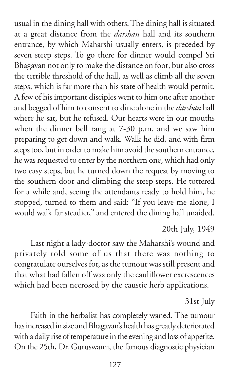usual in the dining hall with others. The dining hall is situated at a great distance from the *darshan* hall and its southern entrance, by which Maharshi usually enters, is preceded by seven steep steps. To go there for dinner would compel Sri Bhagavan not only to make the distance on foot, but also cross the terrible threshold of the hall, as well as climb all the seven steps, which is far more than his state of health would permit. A few of his important disciples went to him one after another and begged of him to consent to dine alone in the *darshan* hall where he sat, but he refused. Our hearts were in our mouths when the dinner bell rang at 7-30 p.m. and we saw him preparing to get down and walk. Walk he did, and with firm steps too, but in order to make him avoid the southern entrance, he was requested to enter by the northern one, which had only two easy steps, but he turned down the request by moving to the southern door and climbing the steep steps. He tottered for a while and, seeing the attendants ready to hold him, he stopped, turned to them and said: "If you leave me alone, I would walk far steadier," and entered the dining hall unaided.

#### 20th July, 1949

Last night a lady-doctor saw the Maharshi's wound and privately told some of us that there was nothing to congratulate ourselves for, as the tumour was still present and that what had fallen off was only the cauliflower excrescences which had been necrosed by the caustic herb applications.

31st July

Faith in the herbalist has completely waned. The tumour has increased in size and Bhagavan's health has greatly deteriorated with a daily rise of temperature in the evening and loss of appetite. On the 25th, Dr. Guruswami, the famous diagnostic physician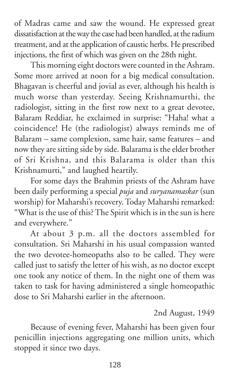of Madras came and saw the wound. He expressed great dissatisfaction at the way the case had been handled, at the radium treatment, and at the application of caustic herbs. He prescribed injections, the first of which was given on the 28th night.

This morning eight doctors were counted in the Ashram. Some more arrived at noon for a big medical consultation. Bhagavan is cheerful and jovial as ever, although his health is much worse than yesterday. Seeing Krishnamurthi, the radiologist, sitting in the first row next to a great devotee, Balaram Reddiar, he exclaimed in surprise: "Haha! what a coincidence! He (the radiologist) always reminds me of Balaram – same complexion, same hair, same features – and now they are sitting side by side. Balarama is the elder brother of Sri Krishna, and this Balarama is older than this Krishnamurti," and laughed heartily.

For some days the Brahmin priests of the Ashram have been daily performing a special *puja* and *suryanamaskar* (sun worship) for Maharshi's recovery. Today Maharshi remarked: "What is the use of this? The Spirit which is in the sun is here and everywhere."

At about 3 p.m. all the doctors assembled for consultation. Sri Maharshi in his usual compassion wanted the two devotee-homeopaths also to be called. They were called just to satisfy the letter of his wish, as no doctor except one took any notice of them. In the night one of them was taken to task for having administered a single homeopathic dose to Sri Maharshi earlier in the afternoon.

2nd August, 1949

Because of evening fever, Maharshi has been given four penicillin injections aggregating one million units, which stopped it since two days.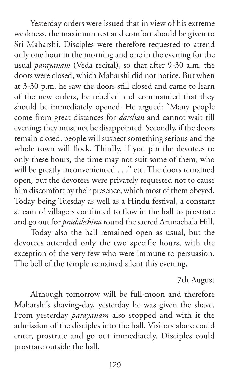Yesterday orders were issued that in view of his extreme weakness, the maximum rest and comfort should be given to Sri Maharshi. Disciples were therefore requested to attend only one hour in the morning and one in the evening for the usual *parayanam* (Veda recital), so that after 9-30 a.m. the doors were closed, which Maharshi did not notice. But when at 3-30 p.m. he saw the doors still closed and came to learn of the new orders, he rebelled and commanded that they should be immediately opened. He argued: "Many people come from great distances for *darshan* and cannot wait till evening; they must not be disappointed. Secondly, if the doors remain closed, people will suspect something serious and the whole town will flock. Thirdly, if you pin the devotees to only these hours, the time may not suit some of them, who will be greatly inconvenienced . . ." etc. The doors remained open, but the devotees were privately requested not to cause him discomfort by their presence, which most of them obeyed. Today being Tuesday as well as a Hindu festival, a constant stream of villagers continued to flow in the hall to prostrate and go out for *pradakshina* round the sacred Arunachala Hill.

Today also the hall remained open as usual, but the devotees attended only the two specific hours, with the exception of the very few who were immune to persuasion. The bell of the temple remained silent this evening.

# 7th August

Although tomorrow will be full-moon and therefore Maharshi's shaving-day, yesterday he was given the shave. From yesterday *parayanam* also stopped and with it the admission of the disciples into the hall. Visitors alone could enter, prostrate and go out immediately. Disciples could prostrate outside the hall.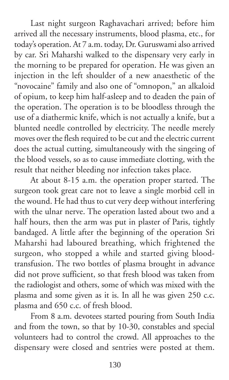Last night surgeon Raghavachari arrived; before him arrived all the necessary instruments, blood plasma, etc., for today's operation. At 7 a.m. today, Dr. Guruswami also arrived by car. Sri Maharshi walked to the dispensary very early in the morning to be prepared for operation. He was given an injection in the left shoulder of a new anaesthetic of the "novocaine" family and also one of "omnopon," an alkaloid of opium, to keep him half-asleep and to deaden the pain of the operation. The operation is to be bloodless through the use of a diathermic knife, which is not actually a knife, but a blunted needle controlled by electricity. The needle merely moves over the flesh required to be cut and the electric current does the actual cutting, simultaneously with the singeing of the blood vessels, so as to cause immediate clotting, with the result that neither bleeding nor infection takes place.

At about 8-15 a.m. the operation proper started. The surgeon took great care not to leave a single morbid cell in the wound. He had thus to cut very deep without interfering with the ulnar nerve. The operation lasted about two and a half hours, then the arm was put in plaster of Paris, tightly bandaged. A little after the beginning of the operation Sri Maharshi had laboured breathing, which frightened the surgeon, who stopped a while and started giving bloodtransfusion. The two bottles of plasma brought in advance did not prove sufficient, so that fresh blood was taken from the radiologist and others, some of which was mixed with the plasma and some given as it is. In all he was given 250 c.c. plasma and 650 c.c. of fresh blood.

From 8 a.m. devotees started pouring from South India and from the town, so that by 10-30, constables and special volunteers had to control the crowd. All approaches to the dispensary were closed and sentries were posted at them.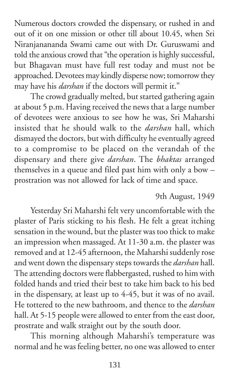Numerous doctors crowded the dispensary, or rushed in and out of it on one mission or other till about 10.45, when Sri Niranjanananda Swami came out with Dr. Guruswami and told the anxious crowd that "the operation is highly successful, but Bhagavan must have full rest today and must not be approached. Devotees may kindly disperse now; tomorrow they may have his *darshan* if the doctors will permit it."

The crowd gradually melted, but started gathering again at about 5 p.m. Having received the news that a large number of devotees were anxious to see how he was, Sri Maharshi insisted that he should walk to the *darshan* hall, which dismayed the doctors, but with difficulty he eventually agreed to a compromise to be placed on the verandah of the dispensary and there give *darshan*. The *bhaktas* arranged themselves in a queue and filed past him with only a bow – prostration was not allowed for lack of time and space.

# 9th August, 1949

Yesterday Sri Maharshi felt very uncomfortable with the plaster of Paris sticking to his flesh. He felt a great itching sensation in the wound, but the plaster was too thick to make an impression when massaged. At 11-30 a.m. the plaster was removed and at 12-45 afternoon, the Maharshi suddenly rose and went down the dispensary steps towards the *darshan* hall. The attending doctors were flabbergasted, rushed to him with folded hands and tried their best to take him back to his bed in the dispensary, at least up to 4-45, but it was of no avail. He tottered to the new bathroom, and thence to the *darshan* hall. At 5-15 people were allowed to enter from the east door, prostrate and walk straight out by the south door.

This morning although Maharshi's temperature was normal and he was feeling better, no one was allowed to enter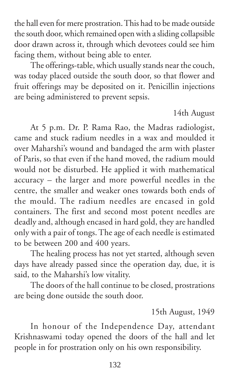the hall even for mere prostration. This had to be made outside the south door, which remained open with a sliding collapsible door drawn across it, through which devotees could see him facing them, without being able to enter.

The offerings-table, which usually stands near the couch, was today placed outside the south door, so that flower and fruit offerings may be deposited on it. Penicillin injections are being administered to prevent sepsis.

# 14th August

At 5 p.m. Dr. P. Rama Rao, the Madras radiologist, came and stuck radium needles in a wax and moulded it over Maharshi's wound and bandaged the arm with plaster of Paris, so that even if the hand moved, the radium mould would not be disturbed. He applied it with mathematical accuracy – the larger and more powerful needles in the centre, the smaller and weaker ones towards both ends of the mould. The radium needles are encased in gold containers. The first and second most potent needles are deadly and, although encased in hard gold, they are handled only with a pair of tongs. The age of each needle is estimated to be between 200 and 400 years.

The healing process has not yet started, although seven days have already passed since the operation day, due, it is said, to the Maharshi's low vitality.

The doors of the hall continue to be closed, prostrations are being done outside the south door.

15th August, 1949

In honour of the Independence Day, attendant Krishnaswami today opened the doors of the hall and let people in for prostration only on his own responsibility.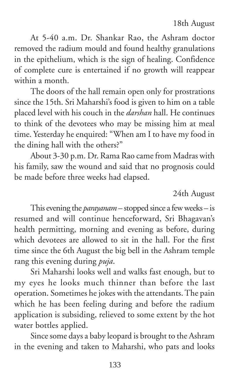At 5-40 a.m. Dr. Shankar Rao, the Ashram doctor removed the radium mould and found healthy granulations in the epithelium, which is the sign of healing. Confidence of complete cure is entertained if no growth will reappear within a month.

The doors of the hall remain open only for prostrations since the 15th. Sri Maharshi's food is given to him on a table placed level with his couch in the *darshan* hall. He continues to think of the devotees who may be missing him at meal time. Yesterday he enquired: "When am I to have my food in the dining hall with the others?"

About 3-30 p.m. Dr. Rama Rao came from Madras with his family, saw the wound and said that no prognosis could be made before three weeks had elapsed.

24th August

This evening the *parayanam* – stopped since a few weeks – is resumed and will continue henceforward, Sri Bhagavan's health permitting, morning and evening as before, during which devotees are allowed to sit in the hall. For the first time since the 6th August the big bell in the Ashram temple rang this evening during *puja*.

Sri Maharshi looks well and walks fast enough, but to my eyes he looks much thinner than before the last operation. Sometimes he jokes with the attendants. The pain which he has been feeling during and before the radium application is subsiding, relieved to some extent by the hot water bottles applied.

Since some days a baby leopard is brought to the Ashram in the evening and taken to Maharshi, who pats and looks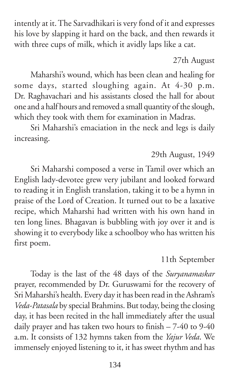intently at it. The Sarvadhikari is very fond of it and expresses his love by slapping it hard on the back, and then rewards it with three cups of milk, which it avidly laps like a cat.

## 27th August

Maharshi's wound, which has been clean and healing for some days, started sloughing again. At 4-30 p.m. Dr. Raghavachari and his assistants closed the hall for about one and a half hours and removed a small quantity of the slough, which they took with them for examination in Madras.

Sri Maharshi's emaciation in the neck and legs is daily increasing.

# 29th August, 1949

Sri Maharshi composed a verse in Tamil over which an English lady-devotee grew very jubilant and looked forward to reading it in English translation, taking it to be a hymn in praise of the Lord of Creation. It turned out to be a laxative recipe, which Maharshi had written with his own hand in ten long lines. Bhagavan is bubbling with joy over it and is showing it to everybody like a schoolboy who has written his first poem.

# 11th September

Today is the last of the 48 days of the *Suryanamaskar* prayer, recommended by Dr. Guruswami for the recovery of Sri Maharshi's health. Every day it has been read in the Ashram's *Veda-Patasala* by special Brahmins. But today, being the closing day, it has been recited in the hall immediately after the usual daily prayer and has taken two hours to finish – 7-40 to 9-40 a.m. It consists of 132 hymns taken from the *Yajur Veda*. We immensely enjoyed listening to it, it has sweet rhythm and has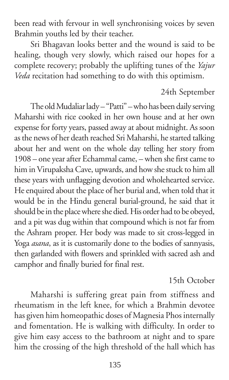been read with fervour in well synchronising voices by seven Brahmin youths led by their teacher.

Sri Bhagavan looks better and the wound is said to be healing, though very slowly, which raised our hopes for a complete recovery; probably the uplifting tunes of the *Yajur Veda* recitation had something to do with this optimism.

#### 24th September

The old Mudaliar lady – "Patti" – who has been daily serving Maharshi with rice cooked in her own house and at her own expense for forty years, passed away at about midnight. As soon as the news of her death reached Sri Maharshi, he started talking about her and went on the whole day telling her story from 1908 – one year after Echammal came, – when she first came to him in Virupaksha Cave, upwards, and how she stuck to him all these years with unflagging devotion and wholehearted service. He enquired about the place of her burial and, when told that it would be in the Hindu general burial-ground, he said that it should be in the place where she died. His order had to be obeyed, and a pit was dug within that compound which is not far from the Ashram proper. Her body was made to sit cross-legged in Yoga *asana*, as it is customarily done to the bodies of sannyasis, then garlanded with flowers and sprinkled with sacred ash and camphor and finally buried for final rest.

#### 15th October

Maharshi is suffering great pain from stiffness and rheumatism in the left knee, for which a Brahmin devotee has given him homeopathic doses of Magnesia Phos internally and fomentation. He is walking with difficulty. In order to give him easy access to the bathroom at night and to spare him the crossing of the high threshold of the hall which has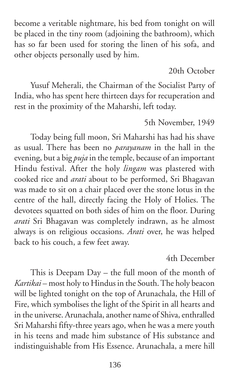become a veritable nightmare, his bed from tonight on will be placed in the tiny room (adjoining the bathroom), which has so far been used for storing the linen of his sofa, and other objects personally used by him.

20th October

Yusuf Meherali, the Chairman of the Socialist Party of India, who has spent here thirteen days for recuperation and rest in the proximity of the Maharshi, left today.

## 5th November, 1949

Today being full moon, Sri Maharshi has had his shave as usual. There has been no *parayanam* in the hall in the evening, but a big *puja* in the temple, because of an important Hindu festival. After the holy *lingam* was plastered with cooked rice and *arati* about to be performed, Sri Bhagavan was made to sit on a chair placed over the stone lotus in the centre of the hall, directly facing the Holy of Holies. The devotees squatted on both sides of him on the floor. During *arati* Sri Bhagavan was completely indrawn, as he almost always is on religious occasions. *Arati* over, he was helped back to his couch, a few feet away.

#### 4th December

This is Deepam Day – the full moon of the month of *Kartikai* – most holy to Hindus in the South. The holy beacon will be lighted tonight on the top of Arunachala, the Hill of Fire, which symbolises the light of the Spirit in all hearts and in the universe. Arunachala, another name of Shiva, enthralled Sri Maharshi fifty-three years ago, when he was a mere youth in his teens and made him substance of His substance and indistinguishable from His Essence. Arunachala, a mere hill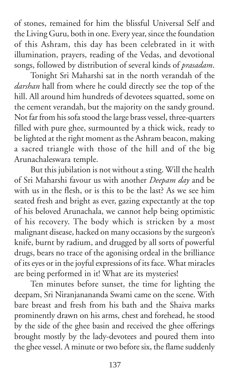of stones, remained for him the blissful Universal Self and the Living Guru, both in one. Every year, since the foundation of this Ashram, this day has been celebrated in it with illumination, prayers, reading of the Vedas, and devotional songs, followed by distribution of several kinds of *prasadam*.

Tonight Sri Maharshi sat in the north verandah of the *darshan* hall from where he could directly see the top of the hill. All around him hundreds of devotees squatted, some on the cement verandah, but the majority on the sandy ground. Not far from his sofa stood the large brass vessel, three-quarters filled with pure ghee, surmounted by a thick wick, ready to be lighted at the right moment as the Ashram beacon, making a sacred triangle with those of the hill and of the big Arunachaleswara temple.

But this jubilation is not without a sting. Will the health of Sri Maharshi favour us with another *Deepam day* and be with us in the flesh, or is this to be the last? As we see him seated fresh and bright as ever, gazing expectantly at the top of his beloved Arunachala, we cannot help being optimistic of his recovery. The body which is stricken by a most malignant disease, hacked on many occasions by the surgeon's knife, burnt by radium, and drugged by all sorts of powerful drugs, bears no trace of the agonising ordeal in the brilliance of its eyes or in the joyful expressions of its face. What miracles are being performed in it! What are its mysteries!

Ten minutes before sunset, the time for lighting the deepam, Sri Niranjanananda Swami came on the scene. With bare breast and fresh from his bath and the Shaiva marks prominently drawn on his arms, chest and forehead, he stood by the side of the ghee basin and received the ghee offerings brought mostly by the lady-devotees and poured them into the ghee vessel. A minute or two before six, the flame suddenly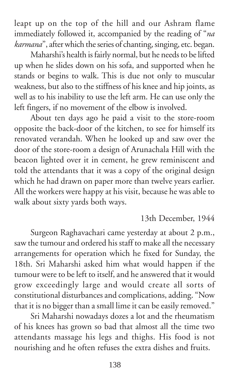leapt up on the top of the hill and our Ashram flame immediately followed it, accompanied by the reading of "*na karmana*", after which the series of chanting, singing, etc. began.

Maharshi's health is fairly normal, but he needs to be lifted up when he slides down on his sofa, and supported when he stands or begins to walk. This is due not only to muscular weakness, but also to the stiffness of his knee and hip joints, as well as to his inability to use the left arm. He can use only the left fingers, if no movement of the elbow is involved.

About ten days ago he paid a visit to the store-room opposite the back-door of the kitchen, to see for himself its renovated verandah. When he looked up and saw over the door of the store-room a design of Arunachala Hill with the beacon lighted over it in cement, he grew reminiscent and told the attendants that it was a copy of the original design which he had drawn on paper more than twelve years earlier. All the workers were happy at his visit, because he was able to walk about sixty yards both ways.

# 13th December, 1944

Surgeon Raghavachari came yesterday at about 2 p.m., saw the tumour and ordered his staff to make all the necessary arrangements for operation which he fixed for Sunday, the 18th. Sri Maharshi asked him what would happen if the tumour were to be left to itself, and he answered that it would grow exceedingly large and would create all sorts of constitutional disturbances and complications, adding. "Now that it is no bigger than a small lime it can be easily removed."

Sri Maharshi nowadays dozes a lot and the rheumatism of his knees has grown so bad that almost all the time two attendants massage his legs and thighs. His food is not nourishing and he often refuses the extra dishes and fruits.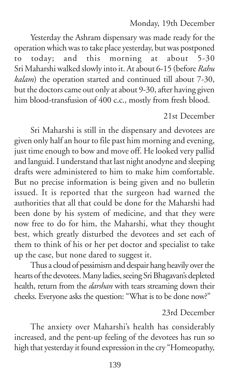# Monday, 19th December

Yesterday the Ashram dispensary was made ready for the operation which was to take place yesterday, but was postponed to today; and this morning at about 5-30 Sri Maharshi walked slowly into it. At about 6-15 (before *Rahu kalam*) the operation started and continued till about 7-30, but the doctors came out only at about 9-30, after having given him blood-transfusion of 400 c.c., mostly from fresh blood.

#### 21st December

Sri Maharshi is still in the dispensary and devotees are given only half an hour to file past him morning and evening, just time enough to bow and move off. He looked very pallid and languid. I understand that last night anodyne and sleeping drafts were administered to him to make him comfortable. But no precise information is being given and no bulletin issued. It is reported that the surgeon had warned the authorities that all that could be done for the Maharshi had been done by his system of medicine, and that they were now free to do for him, the Maharshi, what they thought best, which greatly disturbed the devotees and set each of them to think of his or her pet doctor and specialist to take up the case, but none dared to suggest it.

Thus a cloud of pessimism and despair hang heavily over the hearts of the devotees. Many ladies, seeing Sri Bhagavan's depleted health, return from the *darshan* with tears streaming down their cheeks. Everyone asks the question: "What is to be done now?"

#### 23rd December

The anxiety over Maharshi's health has considerably increased, and the pent-up feeling of the devotees has run so high that yesterday it found expression in the cry "Homeopathy,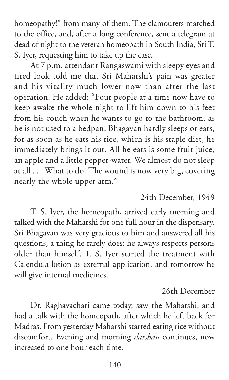homeopathy!" from many of them. The clamourers marched to the office, and, after a long conference, sent a telegram at dead of night to the veteran homeopath in South India, Sri T. S. Iyer, requesting him to take up the case.

At 7 p.m. attendant Rangaswami with sleepy eyes and tired look told me that Sri Maharshi's pain was greater and his vitality much lower now than after the last operation. He added: "Four people at a time now have to keep awake the whole night to lift him down to his feet from his couch when he wants to go to the bathroom, as he is not used to a bedpan. Bhagavan hardly sleeps or eats, for as soon as he eats his rice, which is his staple diet, he immediately brings it out. All he eats is some fruit juice, an apple and a little pepper-water. We almost do not sleep at all . . . What to do? The wound is now very big, covering nearly the whole upper arm."

# 24th December, 1949

T. S. Iyer, the homeopath, arrived early morning and talked with the Maharshi for one full hour in the dispensary. Sri Bhagavan was very gracious to him and answered all his questions, a thing he rarely does: he always respects persons older than himself. T. S. Iyer started the treatment with Calendula lotion as external application, and tomorrow he will give internal medicines.

# 26th December

Dr. Raghavachari came today, saw the Maharshi, and had a talk with the homeopath, after which he left back for Madras. From yesterday Maharshi started eating rice without discomfort. Evening and morning *darshan* continues, now increased to one hour each time.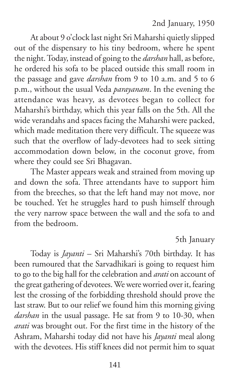At about 9 o'clock last night Sri Maharshi quietly slipped out of the dispensary to his tiny bedroom, where he spent the night. Today, instead of going to the *darshan* hall, as before, he ordered his sofa to be placed outside this small room in the passage and gave *darshan* from 9 to 10 a.m. and 5 to 6 p.m., without the usual Veda *parayanam*. In the evening the attendance was heavy, as devotees began to collect for Maharshi's birthday, which this year falls on the 5th. All the wide verandahs and spaces facing the Maharshi were packed, which made meditation there very difficult. The squeeze was such that the overflow of lady-devotees had to seek sitting accommodation down below, in the coconut grove, from where they could see Sri Bhagavan.

The Master appears weak and strained from moving up and down the sofa. Three attendants have to support him from the breeches, so that the left hand may not move, nor be touched. Yet he struggles hard to push himself through the very narrow space between the wall and the sofa to and from the bedroom.

5th January

Today is *Jayanti* – Sri Maharshi's 70th birthday. It has been rumoured that the Sarvadhikari is going to request him to go to the big hall for the celebration and *arati* on account of the great gathering of devotees. We were worried over it, fearing lest the crossing of the forbidding threshold should prove the last straw. But to our relief we found him this morning giving *darshan* in the usual passage. He sat from 9 to 10-30, when *arati* was brought out. For the first time in the history of the Ashram, Maharshi today did not have his *Jayanti* meal along with the devotees. His stiff knees did not permit him to squat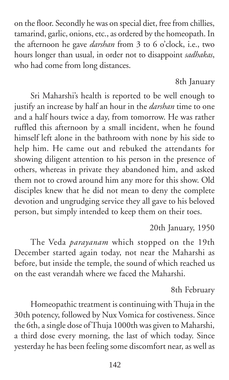on the floor. Secondly he was on special diet, free from chillies, tamarind, garlic, onions, etc., as ordered by the homeopath. In the afternoon he gave *darshan* from 3 to 6 o'clock, i.e., two hours longer than usual, in order not to disappoint *sadhakas*, who had come from long distances.

8th January

Sri Maharshi's health is reported to be well enough to justify an increase by half an hour in the *darshan* time to one and a half hours twice a day, from tomorrow. He was rather ruffled this afternoon by a small incident, when he found himself left alone in the bathroom with none by his side to help him. He came out and rebuked the attendants for showing diligent attention to his person in the presence of others, whereas in private they abandoned him, and asked them not to crowd around him any more for this show. Old disciples knew that he did not mean to deny the complete devotion and ungrudging service they all gave to his beloved person, but simply intended to keep them on their toes.

20th January, 1950

The Veda *parayanam* which stopped on the 19th December started again today, not near the Maharshi as before, but inside the temple, the sound of which reached us on the east verandah where we faced the Maharshi.

8th February

Homeopathic treatment is continuing with Thuja in the 30th potency, followed by Nux Vomica for costiveness. Since the 6th, a single dose of Thuja 1000th was given to Maharshi, a third dose every morning, the last of which today. Since yesterday he has been feeling some discomfort near, as well as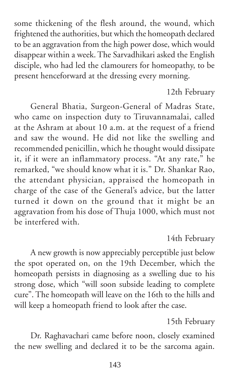some thickening of the flesh around, the wound, which frightened the authorities, but which the homeopath declared to be an aggravation from the high power dose, which would disappear within a week. The Sarvadhikari asked the English disciple, who had led the clamourers for homeopathy, to be present henceforward at the dressing every morning.

# 12th February

General Bhatia, Surgeon-General of Madras State, who came on inspection duty to Tiruvannamalai, called at the Ashram at about 10 a.m. at the request of a friend and saw the wound. He did not like the swelling and recommended penicillin, which he thought would dissipate it, if it were an inflammatory process. "At any rate," he remarked, "we should know what it is." Dr. Shankar Rao, the attendant physician, appraised the homeopath in charge of the case of the General's advice, but the latter turned it down on the ground that it might be an aggravation from his dose of Thuja 1000, which must not be interfered with.

14th February

A new growth is now appreciably perceptible just below the spot operated on, on the 19th December, which the homeopath persists in diagnosing as a swelling due to his strong dose, which "will soon subside leading to complete cure". The homeopath will leave on the 16th to the hills and will keep a homeopath friend to look after the case.

15th February

Dr. Raghavachari came before noon, closely examined the new swelling and declared it to be the sarcoma again.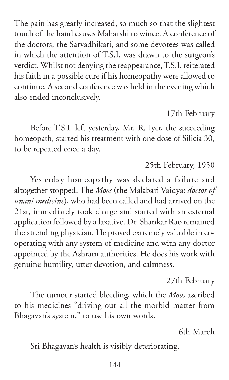The pain has greatly increased, so much so that the slightest touch of the hand causes Maharshi to wince. A conference of the doctors, the Sarvadhikari, and some devotees was called in which the attention of T.S.I. was drawn to the surgeon's verdict. Whilst not denying the reappearance, T.S.I. reiterated his faith in a possible cure if his homeopathy were allowed to continue. A second conference was held in the evening which also ended inconclusively.

17th February

Before T.S.I. left yesterday, Mr. R. Iyer, the succeeding homeopath, started his treatment with one dose of Silicia 30, to be repeated once a day.

25th February, 1950

Yesterday homeopathy was declared a failure and altogether stopped. The *Moos* (the Malabari Vaidya: *doctor of unani medicine*), who had been called and had arrived on the 21st, immediately took charge and started with an external application followed by a laxative. Dr. Shankar Rao remained the attending physician. He proved extremely valuable in cooperating with any system of medicine and with any doctor appointed by the Ashram authorities. He does his work with genuine humility, utter devotion, and calmness.

27th February

The tumour started bleeding, which the *Moos* ascribed to his medicines "driving out all the morbid matter from Bhagavan's system," to use his own words.

6th March

Sri Bhagavan's health is visibly deteriorating.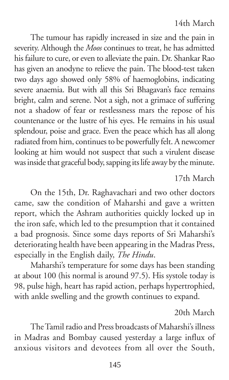# 14th March

The tumour has rapidly increased in size and the pain in severity. Although the *Moos* continues to treat, he has admitted his failure to cure, or even to alleviate the pain. Dr. Shankar Rao has given an anodyne to relieve the pain. The blood-test taken two days ago showed only 58% of haemoglobins, indicating severe anaemia. But with all this Sri Bhagavan's face remains bright, calm and serene. Not a sigh, not a grimace of suffering not a shadow of fear or restlessness mars the repose of his countenance or the lustre of his eyes. He remains in his usual splendour, poise and grace. Even the peace which has all along radiated from him, continues to be powerfully felt. A newcomer looking at him would not suspect that such a virulent disease was inside that graceful body, sapping its life away by the minute.

17th March

On the 15th, Dr. Raghavachari and two other doctors came, saw the condition of Maharshi and gave a written report, which the Ashram authorities quickly locked up in the iron safe, which led to the presumption that it contained a bad prognosis. Since some days reports of Sri Maharshi's deteriorating health have been appearing in the Madras Press, especially in the English daily, *The Hindu*.

Maharshi's temperature for some days has been standing at about 100 (his normal is around 97.5). His systole today is 98, pulse high, heart has rapid action, perhaps hypertrophied, with ankle swelling and the growth continues to expand.

20th March

The Tamil radio and Press broadcasts of Maharshi's illness in Madras and Bombay caused yesterday a large influx of anxious visitors and devotees from all over the South,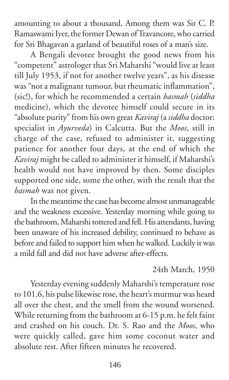amounting to about a thousand. Among them was Sir C. P. Ramaswami Iyer, the former Dewan of Travancore, who carried for Sri Bhagavan a garland of beautiful roses of a man's size.

A Bengali devotee brought the good news from his "competent" astrologer that Sri Maharshi "would live at least till July 1953, if not for another twelve years", as his disease was "not a malignant tumour, but rheumatic inflammation", (sic!), for which he recommended a certain *basmah* (*siddha* medicine), which the devotee himself could secure in its "absolute purity" from his own great *Kaviraj* (a *siddha* doctor: specialist in *Ayurveda*) in Calcutta. But the *Moos*, still in charge of the case, refused to administer it, suggesting patience for another four days, at the end of which the *Kaviraj* might be called to administer it himself, if Maharshi's health would not have improved by then. Some disciples supported one side, some the other, with the result that the *basmah* was not given.

In the meantime the case has become almost unmanageable and the weakness excessive. Yesterday morning while going to the bathroom, Maharshi tottered and fell. His attendants, having been unaware of his increased debility, continued to behave as before and failed to support him when he walked. Luckily it was a mild fall and did not have adverse after-effects.

# 24th March, 1950

Yesterday evening suddenly Maharshi's temperature rose to 101.6, his pulse likewise rose, the heart's murmur was heard all over the chest, and the smell from the wound worsened. While returning from the bathroom at 6-15 p.m. he felt faint and crashed on his couch. Dr. S. Rao and the *Moos*, who were quickly called, gave him some coconut water and absolute rest. After fifteen minutes he recovered.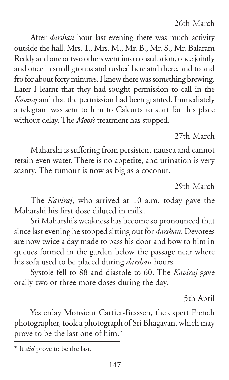After *darshan* hour last evening there was much activity outside the hall. Mrs. T., Mrs. M., Mr. B., Mr. S., Mr. Balaram Reddy and one or two others went into consultation, once jointly and once in small groups and rushed here and there, and to and fro for about forty minutes. I knew there was something brewing. Later I learnt that they had sought permission to call in the *Kaviraj* and that the permission had been granted. Immediately a telegram was sent to him to Calcutta to start for this place without delay. The *Moos's* treatment has stopped.

27th March

Maharshi is suffering from persistent nausea and cannot retain even water. There is no appetite, and urination is very scanty. The tumour is now as big as a coconut.

29th March

The *Kaviraj*, who arrived at 10 a.m. today gave the Maharshi his first dose diluted in milk.

Sri Maharshi's weakness has become so pronounced that since last evening he stopped sitting out for *darshan*. Devotees are now twice a day made to pass his door and bow to him in queues formed in the garden below the passage near where his sofa used to be placed during *darshan* hours.

Systole fell to 88 and diastole to 60. The *Kaviraj* gave orally two or three more doses during the day.

5th April

Yesterday Monsieur Cartier-Brassen, the expert French photographer, took a photograph of Sri Bhagavan, which may prove to be the last one of him.\*

<sup>\*</sup> It *did* prove to be the last.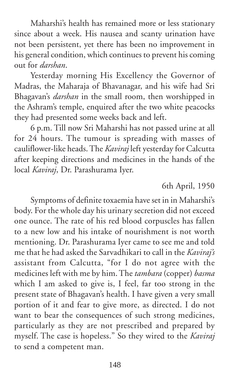Maharshi's health has remained more or less stationary since about a week. His nausea and scanty urination have not been persistent, yet there has been no improvement in his general condition, which continues to prevent his coming out for *darshan*.

Yesterday morning His Excellency the Governor of Madras, the Maharaja of Bhavanagar, and his wife had Sri Bhagavan's *darshan* in the small room, then worshipped in the Ashram's temple, enquired after the two white peacocks they had presented some weeks back and left.

6 p.m. Till now Sri Maharshi has not passed urine at all for 24 hours. The tumour is spreading with masses of cauliflower-like heads. The *Kaviraj* left yesterday for Calcutta after keeping directions and medicines in the hands of the local *Kaviraj*, Dr. Parashurama Iyer.

# 6th April, 1950

Symptoms of definite toxaemia have set in in Maharshi's body. For the whole day his urinary secretion did not exceed one ounce. The rate of his red blood corpuscles has fallen to a new low and his intake of nourishment is not worth mentioning. Dr. Parashurama Iyer came to see me and told me that he had asked the Sarvadhikari to call in the *Kaviraj's* assistant from Calcutta, "for I do not agree with the medicines left with me by him. The *tambara* (copper) *basma* which I am asked to give is, I feel, far too strong in the present state of Bhagavan's health. I have given a very small portion of it and fear to give more, as directed. I do not want to bear the consequences of such strong medicines, particularly as they are not prescribed and prepared by myself. The case is hopeless." So they wired to the *Kaviraj* to send a competent man.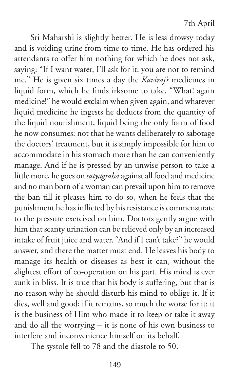Sri Maharshi is slightly better. He is less drowsy today and is voiding urine from time to time. He has ordered his attendants to offer him nothing for which he does not ask, saying: "If I want water, I'll ask for it: you are not to remind me." He is given six times a day the *Kaviraj's* medicines in liquid form, which he finds irksome to take. "What! again medicine!" he would exclaim when given again, and whatever liquid medicine he ingests he deducts from the quantity of the liquid nourishment, liquid being the only form of food he now consumes: not that he wants deliberately to sabotage the doctors' treatment, but it is simply impossible for him to accommodate in his stomach more than he can conveniently manage. And if he is pressed by an unwise person to take a little more, he goes on *satyagraha* against all food and medicine and no man born of a woman can prevail upon him to remove the ban till it pleases him to do so, when he feels that the punishment he has inflicted by his resistance is commensurate to the pressure exercised on him. Doctors gently argue with him that scanty urination can be relieved only by an increased intake of fruit juice and water. "And if I can't take?" he would answer, and there the matter must end. He leaves his body to manage its health or diseases as best it can, without the slightest effort of co-operation on his part. His mind is ever sunk in bliss. It is true that his body is suffering, but that is no reason why he should disturb his mind to oblige it. If it dies, well and good; if it remains, so much the worse for it: it is the business of Him who made it to keep or take it away and do all the worrying – it is none of his own business to interfere and inconvenience himself on its behalf.

The systole fell to 78 and the diastole to 50.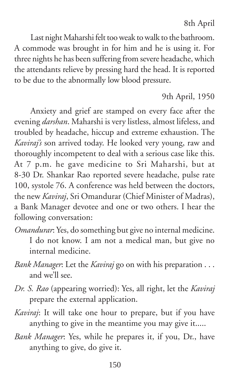Last night Maharshi felt too weak to walk to the bathroom. A commode was brought in for him and he is using it. For three nights he has been suffering from severe headache, which the attendants relieve by pressing hard the head. It is reported to be due to the abnormally low blood pressure.

#### 9th April, 1950

Anxiety and grief are stamped on every face after the evening *darshan*. Maharshi is very listless, almost lifeless, and troubled by headache, hiccup and extreme exhaustion. The *Kaviraj's* son arrived today. He looked very young, raw and thoroughly incompetent to deal with a serious case like this. At 7 p.m. he gave medicine to Sri Maharshi, but at 8-30 Dr. Shankar Rao reported severe headache, pulse rate 100, systole 76. A conference was held between the doctors, the new *Kaviraj*, Sri Omandurar (Chief Minister of Madras), a Bank Manager devotee and one or two others. I hear the following conversation:

- *Omandurar*: Yes, do something but give no internal medicine. I do not know. I am not a medical man, but give no internal medicine.
- *Bank Manager*: Let the *Kaviraj* go on with his preparation . . . and we'll see.
- *Dr. S. Rao* (appearing worried): Yes, all right, let the *Kaviraj* prepare the external application.
- *Kaviraj*: It will take one hour to prepare, but if you have anything to give in the meantime you may give it.....
- *Bank Manager*: Yes, while he prepares it, if you, Dr., have anything to give, do give it.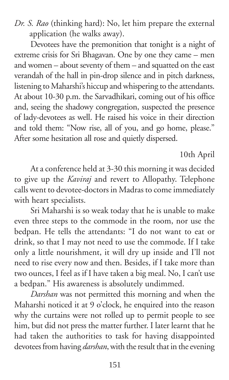*Dr. S. Rao* (thinking hard): No, let him prepare the external application (he walks away).

Devotees have the premonition that tonight is a night of extreme crisis for Sri Bhagavan. One by one they came – men and women – about seventy of them – and squatted on the east verandah of the hall in pin-drop silence and in pitch darkness, listening to Maharshi's hiccup and whispering to the attendants. At about 10-30 p.m. the Sarvadhikari, coming out of his office and, seeing the shadowy congregation, suspected the presence of lady-devotees as well. He raised his voice in their direction and told them: "Now rise, all of you, and go home, please." After some hesitation all rose and quietly dispersed.

10th April

At a conference held at 3-30 this morning it was decided to give up the *Kaviraj* and revert to Allopathy. Telephone calls went to devotee-doctors in Madras to come immediately with heart specialists.

Sri Maharshi is so weak today that he is unable to make even three steps to the commode in the room, nor use the bedpan. He tells the attendants: "I do not want to eat or drink, so that I may not need to use the commode. If I take only a little nourishment, it will dry up inside and I'll not need to rise every now and then. Besides, if I take more than two ounces, I feel as if I have taken a big meal. No, I can't use a bedpan." His awareness is absolutely undimmed.

*Darshan* was not permitted this morning and when the Maharshi noticed it at 9 o'clock, he enquired into the reason why the curtains were not rolled up to permit people to see him, but did not press the matter further. I later learnt that he had taken the authorities to task for having disappointed devotees from having *darshan*, with the result that in the evening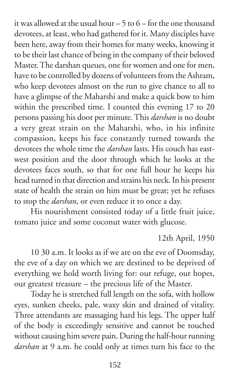it was allowed at the usual hour – 5 to 6 – for the one thousand devotees, at least, who had gathered for it. Many disciples have been here, away from their homes for many weeks, knowing it to be their last chance of being in the company of their beloved Master. The darshan queues, one for women and one for men, have to be controlled by dozens of volunteers from the Ashram, who keep devotees almost on the run to give chance to all to have a glimpse of the Maharshi and make a quick bow to him within the prescribed time. I counted this evening 17 to 20 persons passing his door per minute. This *darshan* is no doubt a very great strain on the Maharshi, who, in his infinite compassion, keeps his face constantly turned towards the devotees the whole time the *darshan* lasts. His couch has eastwest position and the door through which he looks at the devotees faces south, so that for one full hour he keeps his head turned in that direction and strains his neck. In his present state of health the strain on him must be great; yet he refuses to stop the *darshan*, or even reduce it to once a day.

His nourishment consisted today of a little fruit juice, tomato juice and some coconut water with glucose.

# 12th April, 1950

10 30 a.m. It looks as if we are on the eve of Doomsday, the eve of a day on which we are destined to be deprived of everything we hold worth living for: our refuge, our hopes, our greatest treasure – the precious life of the Master.

Today he is stretched full length on the sofa, with hollow eyes, sunken cheeks, pale, waxy skin and drained of vitality. Three attendants are massaging hard his legs. The upper half of the body is exceedingly sensitive and cannot be touched without causing him severe pain. During the half-hour running *darshan* at 9 a.m. he could only at times turn his face to the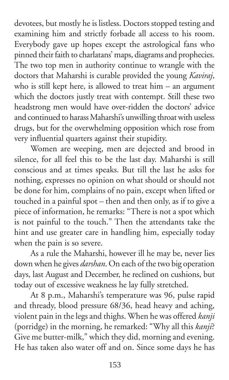devotees, but mostly he is listless. Doctors stopped testing and examining him and strictly forbade all access to his room. Everybody gave up hopes except the astrological fans who pinned their faith to charlatans' maps, diagrams and prophecies. The two top men in authority continue to wrangle with the doctors that Maharshi is curable provided the young *Kaviraj*, who is still kept here, is allowed to treat him – an argument which the doctors justly treat with contempt. Still these two headstrong men would have over-ridden the doctors' advice and continued to harass Maharshi's unwilling throat with useless drugs, but for the overwhelming opposition which rose from very influential quarters against their stupidity.

Women are weeping, men are dejected and brood in silence, for all feel this to be the last day. Maharshi is still conscious and at times speaks. But till the last he asks for nothing, expresses no opinion on what should or should not be done for him, complains of no pain, except when lifted or touched in a painful spot – then and then only, as if to give a piece of information, he remarks: "There is not a spot which is not painful to the touch." Then the attendants take the hint and use greater care in handling him, especially today when the pain is so severe.

As a rule the Maharshi, however ill he may be, never lies down when he gives *darshan*. On each of the two big operation days, last August and December, he reclined on cushions, but today out of excessive weakness he lay fully stretched.

At 8 p.m., Maharshi's temperature was 96, pulse rapid and thready, blood pressure 68/36, head heavy and aching, violent pain in the legs and thighs. When he was offered *kanji* (porridge) in the morning, he remarked: "Why all this *kanji*? Give me butter-milk," which they did, morning and evening. He has taken also water off and on. Since some days he has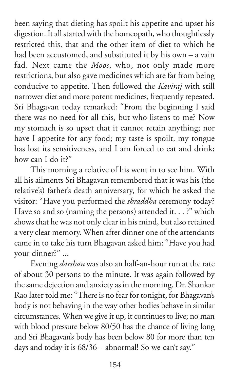been saying that dieting has spoilt his appetite and upset his digestion. It all started with the homeopath, who thoughtlessly restricted this, that and the other item of diet to which he had been accustomed, and substituted it by his own – a vain fad. Next came the *Moos*, who, not only made more restrictions, but also gave medicines which are far from being conducive to appetite. Then followed the *Kaviraj* with still narrower diet and more potent medicines, frequently repeated. Sri Bhagavan today remarked: "From the beginning I said there was no need for all this, but who listens to me? Now my stomach is so upset that it cannot retain anything; nor have I appetite for any food; my taste is spoilt, my tongue has lost its sensitiveness, and I am forced to eat and drink; how can I do it?"

This morning a relative of his went in to see him. With all his ailments Sri Bhagavan remembered that it was his (the relative's) father's death anniversary, for which he asked the visitor: "Have you performed the *shraddha* ceremony today? Have so and so (naming the persons) attended it. . . ?" which shows that he was not only clear in his mind, but also retained a very clear memory. When after dinner one of the attendants came in to take his turn Bhagavan asked him: "Have you had your dinner?" ...

Evening *darshan* was also an half-an-hour run at the rate of about 30 persons to the minute. It was again followed by the same dejection and anxiety as in the morning. Dr. Shankar Rao later told me: "There is no fear for tonight, for Bhagavan's body is not behaving in the way other bodies behave in similar circumstances. When we give it up, it continues to live; no man with blood pressure below 80/50 has the chance of living long and Sri Bhagavan's body has been below 80 for more than ten days and today it is  $68/36$  – abnormal! So we can't say."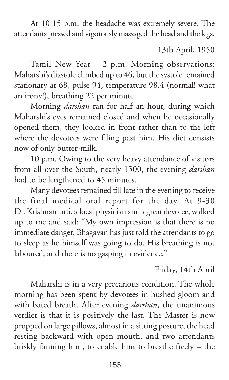At 10-15 p.m. the headache was extremely severe. The attendants pressed and vigorously massaged the head and the legs.

13th April, 1950

Tamil New Year – 2 p.m. Morning observations: Maharshi's diastole climbed up to 46, but the systole remained stationary at 68, pulse 94, temperature 98.4 (normal! what an irony!), breathing 22 per minute.

Morning *darshan* ran for half an hour, during which Maharshi's eyes remained closed and when he occasionally opened them, they looked in front rather than to the left where the devotees were filing past him. His diet consists now of only butter-milk.

10 p.m. Owing to the very heavy attendance of visitors from all over the South, nearly 1500, the evening *darshan* had to be lengthened to 45 minutes.

Many devotees remained till late in the evening to receive the final medical oral report for the day. At 9-30 Dr. Krishnamurti, a local physician and a great devotee, walked up to me and said: "My own impression is that there is no immediate danger. Bhagavan has just told the attendants to go to sleep as he himself was going to do. His breathing is not laboured, and there is no gasping in evidence."

# Friday, 14th April

Maharshi is in a very precarious condition. The whole morning has been spent by devotees in hushed gloom and with bated breath. After evening *darshan*, the unanimous verdict is that it is positively the last. The Master is now propped on large pillows, almost in a sitting posture, the head resting backward with open mouth, and two attendants briskly fanning him, to enable him to breathe freely – the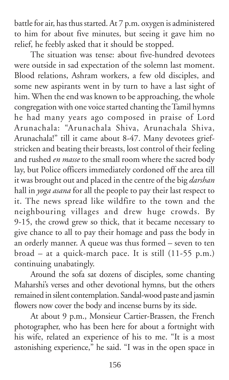battle for air, has thus started. At 7 p.m. oxygen is administered to him for about five minutes, but seeing it gave him no relief, he feebly asked that it should be stopped.

The situation was tense: about five-hundred devotees were outside in sad expectation of the solemn last moment. Blood relations, Ashram workers, a few old disciples, and some new aspirants went in by turn to have a last sight of him. When the end was known to be approaching, the whole congregation with one voice started chanting the Tamil hymns he had many years ago composed in praise of Lord Arunachala: "Arunachala Shiva, Arunachala Shiva, Arunachala!" till it came about 8-47. Many devotees griefstricken and beating their breasts, lost control of their feeling and rushed *en masse* to the small room where the sacred body lay, but Police officers immediately cordoned off the area till it was brought out and placed in the centre of the big *darshan* hall in *yoga asana* for all the people to pay their last respect to it. The news spread like wildfire to the town and the neighbouring villages and drew huge crowds. By 9-15, the crowd grew so thick, that it became necessary to give chance to all to pay their homage and pass the body in an orderly manner. A queue was thus formed – seven to ten broad – at a quick-march pace. It is still (11-55 p.m.) continuing unabatingly.

Around the sofa sat dozens of disciples, some chanting Maharshi's verses and other devotional hymns, but the others remained in silent contemplation. Sandal-wood paste and jasmin flowers now cover the body and incense burns by its side.

At about 9 p.m., Monsieur Cartier-Brassen, the French photographer, who has been here for about a fortnight with his wife, related an experience of his to me. "It is a most astonishing experience," he said. "I was in the open space in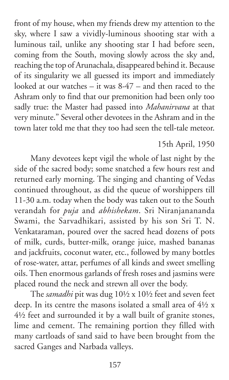front of my house, when my friends drew my attention to the sky, where I saw a vividly-luminous shooting star with a luminous tail, unlike any shooting star I had before seen, coming from the South, moving slowly across the sky and, reaching the top of Arunachala, disappeared behind it. Because of its singularity we all guessed its import and immediately looked at our watches – it was 8-47 – and then raced to the Ashram only to find that our premonition had been only too sadly true: the Master had passed into *Mahanirvana* at that very minute." Several other devotees in the Ashram and in the town later told me that they too had seen the tell-tale meteor.

# 15th April, 1950

Many devotees kept vigil the whole of last night by the side of the sacred body; some snatched a few hours rest and returned early morning. The singing and chanting of Vedas continued throughout, as did the queue of worshippers till 11-30 a.m. today when the body was taken out to the South verandah for *puja* and *abhishekam*. Sri Niranjanananda Swami, the Sarvadhikari, assisted by his son Sri T. N. Venkataraman, poured over the sacred head dozens of pots of milk, curds, butter-milk, orange juice, mashed bananas and jackfruits, coconut water, etc., followed by many bottles of rose-water, attar, perfumes of all kinds and sweet smelling oils. Then enormous garlands of fresh roses and jasmins were placed round the neck and strewn all over the body.

The *samadhi* pit was dug 10½ x 10½ feet and seven feet deep. In its centre the masons isolated a small area of 4½ x 4½ feet and surrounded it by a wall built of granite stones, lime and cement. The remaining portion they filled with many cartloads of sand said to have been brought from the sacred Ganges and Narbada valleys.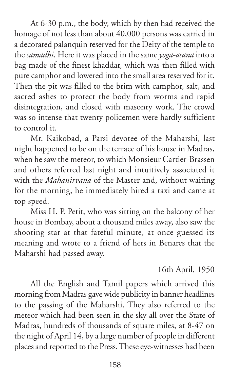At 6-30 p.m., the body, which by then had received the homage of not less than about 40,000 persons was carried in a decorated palanquin reserved for the Deity of the temple to the *samadhi*. Here it was placed in the same *yoga-asana* into a bag made of the finest khaddar, which was then filled with pure camphor and lowered into the small area reserved for it. Then the pit was filled to the brim with camphor, salt, and sacred ashes to protect the body from worms and rapid disintegration, and closed with masonry work. The crowd was so intense that twenty policemen were hardly sufficient to control it.

Mr. Kaikobad, a Parsi devotee of the Maharshi, last night happened to be on the terrace of his house in Madras, when he saw the meteor, to which Monsieur Cartier-Brassen and others referred last night and intuitively associated it with the *Mahanirvana* of the Master and, without waiting for the morning, he immediately hired a taxi and came at top speed.

Miss H. P. Petit, who was sitting on the balcony of her house in Bombay, about a thousand miles away, also saw the shooting star at that fateful minute, at once guessed its meaning and wrote to a friend of hers in Benares that the Maharshi had passed away.

# 16th April, 1950

All the English and Tamil papers which arrived this morning from Madras gave wide publicity in banner headlines to the passing of the Maharshi. They also referred to the meteor which had been seen in the sky all over the State of Madras, hundreds of thousands of square miles, at 8-47 on the night of April 14, by a large number of people in different places and reported to the Press. These eye-witnesses had been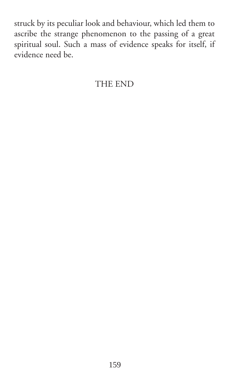struck by its peculiar look and behaviour, which led them to ascribe the strange phenomenon to the passing of a great spiritual soul. Such a mass of evidence speaks for itself, if evidence need be.

# THE END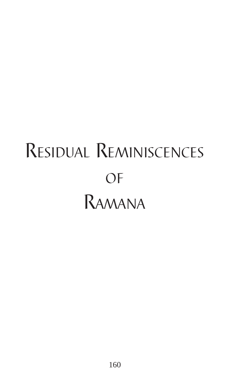# RESIDUAL REMINISCENCES OF RAMANA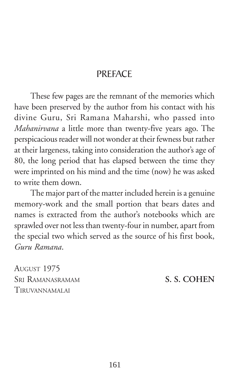# **PREFACE**

These few pages are the remnant of the memories which have been preserved by the author from his contact with his divine Guru, Sri Ramana Maharshi, who passed into *Mahanirvana* a little more than twenty-five years ago. The perspicacious reader will not wonder at their fewness but rather at their largeness, taking into consideration the author's age of 80, the long period that has elapsed between the time they were imprinted on his mind and the time (now) he was asked to write them down.

The major part of the matter included herein is a genuine memory-work and the small portion that bears dates and names is extracted from the author's notebooks which are sprawled over not less than twenty-four in number, apart from the special two which served as the source of his first book, *Guru Ramana*.

AUGUST 1975 SRI RAMANASRAMAM **S. S. COHEN** TIRUVANNAMALAI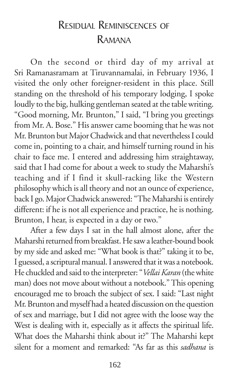# RESIDUAL REMINISCENCES OF RAMANA

On the second or third day of my arrival at Sri Ramanasramam at Tiruvannamalai, in February 1936, I visited the only other foreigner-resident in this place. Still standing on the threshold of his temporary lodging, I spoke loudly to the big, hulking gentleman seated at the table writing. "Good morning, Mr. Brunton," I said, "I bring you greetings from Mr. A. Bose." His answer came booming that he was not Mr. Brunton but Major Chadwick and that nevertheless I could come in, pointing to a chair, and himself turning round in his chair to face me. I entered and addressing him straightaway, said that I had come for about a week to study the Maharshi's teaching and if I find it skull-racking like the Western philosophy which is all theory and not an ounce of experience, back I go. Major Chadwick answered: "The Maharshi is entirely different: if he is not all experience and practice, he is nothing. Brunton, I hear, is expected in a day or two."

After a few days I sat in the hall almost alone, after the Maharshi returned from breakfast. He saw a leather-bound book by my side and asked me: "What book is that?" taking it to be, I guessed, a scriptural manual. I answered that it was a notebook. He chuckled and said to the interpreter: "*Vellai Karan* (the white man) does not move about without a notebook." This opening encouraged me to broach the subject of sex. I said: "Last night Mr. Brunton and myself had a heated discussion on the question of sex and marriage, but I did not agree with the loose way the West is dealing with it, especially as it affects the spiritual life. What does the Maharshi think about it?" The Maharshi kept silent for a moment and remarked: "As far as this *sadhana* is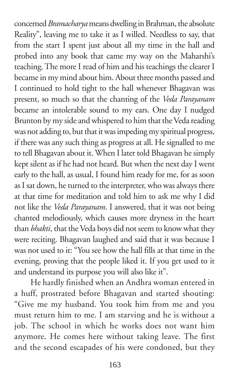concerned *Bramacharya* means dwelling in Brahman, the absolute Reality", leaving me to take it as I willed. Needless to say, that from the start I spent just about all my time in the hall and probed into any book that came my way on the Maharshi's teaching. The more I read of him and his teachings the clearer I became in my mind about him. About three months passed and I continued to hold tight to the hall whenever Bhagavan was present, so much so that the chanting of the *Veda Parayanam* became an intolerable sound to my ears. One day I nudged Brunton by my side and whispered to him that the Veda reading was not adding to, but that it was impeding my spiritual progress, if there was any such thing as progress at all. He signalled to me to tell Bhagavan about it. When I later told Bhagavan he simply kept silent as if he had not heard. But when the next day I went early to the hall, as usual, I found him ready for me, for as soon as I sat down, he turned to the interpreter, who was always there at that time for meditation and told him to ask me why I did not like the *Veda Parayanam*. I answered, that it was not being chanted melodiously, which causes more dryness in the heart than *bhakti*, that the Veda boys did not seem to know what they were reciting. Bhagavan laughed and said that it was because I was not used to it: "You see how the hall fills at that time in the evening, proving that the people liked it. If you get used to it and understand its purpose you will also like it".

He hardly finished when an Andhra woman entered in a huff, prostrated before Bhagavan and started shouting: "Give me my husband. You took him from me and you must return him to me. I am starving and he is without a job. The school in which he works does not want him anymore. He comes here without taking leave. The first and the second escapades of his were condoned, but they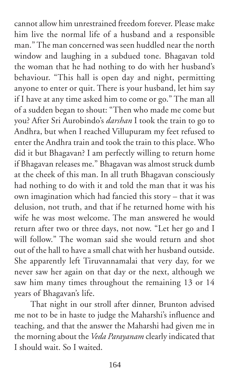cannot allow him unrestrained freedom forever. Please make him live the normal life of a husband and a responsible man." The man concerned was seen huddled near the north window and laughing in a subdued tone. Bhagavan told the woman that he had nothing to do with her husband's behaviour. "This hall is open day and night, permitting anyone to enter or quit. There is your husband, let him say if I have at any time asked him to come or go." The man all of a sudden began to shout: "Then who made me come but you? After Sri Aurobindo's *darshan* I took the train to go to Andhra, but when I reached Villupuram my feet refused to enter the Andhra train and took the train to this place. Who did it but Bhagavan? I am perfectly willing to return home if Bhagavan releases me." Bhagavan was almost struck dumb at the cheek of this man. In all truth Bhagavan consciously had nothing to do with it and told the man that it was his own imagination which had fancied this story – that it was delusion, not truth, and that if he returned home with his wife he was most welcome. The man answered he would return after two or three days, not now. "Let her go and I will follow." The woman said she would return and shot out of the hall to have a small chat with her husband outside. She apparently left Tiruvannamalai that very day, for we never saw her again on that day or the next, although we saw him many times throughout the remaining 13 or 14 years of Bhagavan's life.

That night in our stroll after dinner, Brunton advised me not to be in haste to judge the Maharshi's influence and teaching, and that the answer the Maharshi had given me in the morning about the *Veda Parayanam* clearly indicated that I should wait. So I waited.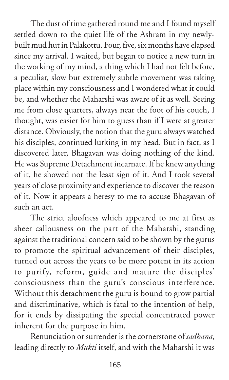The dust of time gathered round me and I found myself settled down to the quiet life of the Ashram in my newlybuilt mud hut in Palakottu. Four, five, six months have elapsed since my arrival. I waited, but began to notice a new turn in the working of my mind, a thing which I had not felt before, a peculiar, slow but extremely subtle movement was taking place within my consciousness and I wondered what it could be, and whether the Maharshi was aware of it as well. Seeing me from close quarters, always near the foot of his couch, I thought, was easier for him to guess than if I were at greater distance. Obviously, the notion that the guru always watched his disciples, continued lurking in my head. But in fact, as I discovered later, Bhagavan was doing nothing of the kind. He was Supreme Detachment incarnate. If he knew anything of it, he showed not the least sign of it. And I took several years of close proximity and experience to discover the reason of it. Now it appears a heresy to me to accuse Bhagavan of such an act.

The strict aloofness which appeared to me at first as sheer callousness on the part of the Maharshi, standing against the traditional concern said to be shown by the gurus to promote the spiritual advancement of their disciples, turned out across the years to be more potent in its action to purify, reform, guide and mature the disciples' consciousness than the guru's conscious interference. Without this detachment the guru is bound to grow partial and discriminative, which is fatal to the intention of help, for it ends by dissipating the special concentrated power inherent for the purpose in him.

Renunciation or surrender is the cornerstone of *sadhana*, leading directly to *Mukti* itself, and with the Maharshi it was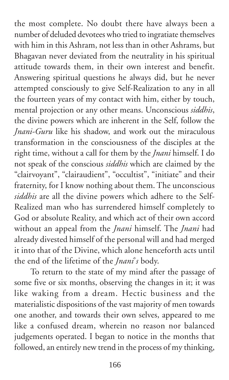the most complete. No doubt there have always been a number of deluded devotees who tried to ingratiate themselves with him in this Ashram, not less than in other Ashrams, but Bhagavan never deviated from the neutrality in his spiritual attitude towards them, in their own interest and benefit. Answering spiritual questions he always did, but he never attempted consciously to give Self-Realization to any in all the fourteen years of my contact with him, either by touch, mental projection or any other means. Unconscious *siddhis*, the divine powers which are inherent in the Self, follow the *Jnani-Guru* like his shadow, and work out the miraculous transformation in the consciousness of the disciples at the right time, without a call for them by the *Jnani* himself. I do not speak of the conscious *siddhis* which are claimed by the "clairvoyant", "clairaudient", "occultist", "initiate" and their fraternity, for I know nothing about them. The unconscious *siddhis* are all the divine powers which adhere to the Self-Realized man who has surrendered himself completely to God or absolute Reality, and which act of their own accord without an appeal from the *Jnani* himself. The *Jnani* had already divested himself of the personal will and had merged it into that of the Divine, which alone henceforth acts until the end of the lifetime of the *Jnani*'*s* body.

To return to the state of my mind after the passage of some five or six months, observing the changes in it; it was like waking from a dream. Hectic business and the materialistic dispositions of the vast majority of men towards one another, and towards their own selves, appeared to me like a confused dream, wherein no reason nor balanced judgements operated. I began to notice in the months that followed, an entirely new trend in the process of my thinking,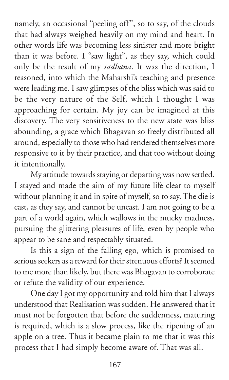namely, an occasional "peeling off", so to say, of the clouds that had always weighed heavily on my mind and heart. In other words life was becoming less sinister and more bright than it was before. I "saw light", as they say, which could only be the result of my *sadhana*. It was the direction, I reasoned, into which the Maharshi's teaching and presence were leading me. I saw glimpses of the bliss which was said to be the very nature of the Self, which I thought I was approaching for certain. My joy can be imagined at this discovery. The very sensitiveness to the new state was bliss abounding, a grace which Bhagavan so freely distributed all around, especially to those who had rendered themselves more responsive to it by their practice, and that too without doing it intentionally.

My attitude towards staying or departing was now settled. I stayed and made the aim of my future life clear to myself without planning it and in spite of myself, so to say. The die is cast, as they say, and cannot be uncast. I am not going to be a part of a world again, which wallows in the mucky madness, pursuing the glittering pleasures of life, even by people who appear to be sane and respectably situated.

Is this a sign of the falling ego, which is promised to serious seekers as a reward for their strenuous efforts? It seemed to me more than likely, but there was Bhagavan to corroborate or refute the validity of our experience.

One day I got my opportunity and told him that I always understood that Realisation was sudden. He answered that it must not be forgotten that before the suddenness, maturing is required, which is a slow process, like the ripening of an apple on a tree. Thus it became plain to me that it was this process that I had simply become aware of. That was all.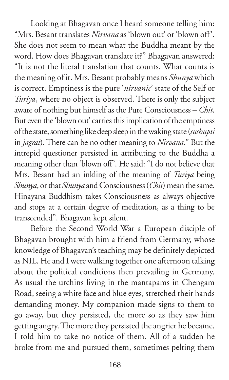Looking at Bhagavan once I heard someone telling him: "Mrs. Besant translates *Nirvana* as 'blown out' or 'blown off'. She does not seem to mean what the Buddha meant by the word. How does Bhagavan translate it?" Bhagavan answered: "It is not the literal translation that counts. What counts is the meaning of it. Mrs. Besant probably means *Shunya* which is correct. Emptiness is the pure '*nirvanic*' state of the Self or *Turiya*, where no object is observed. There is only the subject aware of nothing but himself as the Pure Consciousness – *Chit*. But even the 'blown out' carries this implication of the emptiness of the state, something like deep sleep in the waking state (*sushupti* in *jagrat*). There can be no other meaning to *Nirvana*." But the intrepid questioner persisted in attributing to the Buddha a meaning other than 'blown off'. He said: "I do not believe that Mrs. Besant had an inkling of the meaning of *Turiya* being *Shunya*, or that *Shunya* and Consciousness (*Chit*) mean the same. Hinayana Buddhism takes Consciousness as always objective and stops at a certain degree of meditation, as a thing to be transcended". Bhagavan kept silent.

Before the Second World War a European disciple of Bhagavan brought with him a friend from Germany, whose knowledge of Bhagavan's teaching may be definitely depicted as NIL. He and I were walking together one afternoon talking about the political conditions then prevailing in Germany. As usual the urchins living in the mantapams in Chengam Road, seeing a white face and blue eyes, stretched their hands demanding money. My companion made signs to them to go away, but they persisted, the more so as they saw him getting angry. The more they persisted the angrier he became. I told him to take no notice of them. All of a sudden he broke from me and pursued them, sometimes pelting them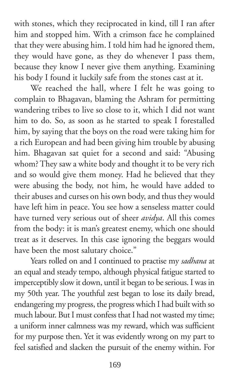with stones, which they reciprocated in kind, till I ran after him and stopped him. With a crimson face he complained that they were abusing him. I told him had he ignored them, they would have gone, as they do whenever I pass them, because they know I never give them anything. Examining his body I found it luckily safe from the stones cast at it.

We reached the hall, where I felt he was going to complain to Bhagavan, blaming the Ashram for permitting wandering tribes to live so close to it, which I did not want him to do. So, as soon as he started to speak I forestalled him, by saying that the boys on the road were taking him for a rich European and had been giving him trouble by abusing him. Bhagavan sat quiet for a second and said: "Abusing whom? They saw a white body and thought it to be very rich and so would give them money. Had he believed that they were abusing the body, not him, he would have added to their abuses and curses on his own body, and thus they would have left him in peace. You see how a senseless matter could have turned very serious out of sheer *avidya*. All this comes from the body: it is man's greatest enemy, which one should treat as it deserves. In this case ignoring the beggars would have been the most salutary choice."

Years rolled on and I continued to practise my *sadhana* at an equal and steady tempo, although physical fatigue started to imperceptibly slow it down, until it began to be serious. I was in my 50th year. The youthful zest began to lose its daily bread, endangering my progress, the progress which I had built with so much labour. But I must confess that I had not wasted my time; a uniform inner calmness was my reward, which was sufficient for my purpose then. Yet it was evidently wrong on my part to feel satisfied and slacken the pursuit of the enemy within. For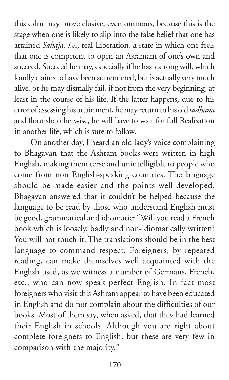this calm may prove elusive, even ominous, because this is the stage when one is likely to slip into the false belief that one has attained *Sahaja*, *i.e*., real Liberation, a state in which one feels that one is competent to open an Asramam of one's own and succeed. Succeed he may, especially if he has a strong will, which loudly claims to have been surrendered, but is actually very much alive, or he may dismally fail, if not from the very beginning, at least in the course of his life. If the latter happens, due to his error of assessing his attainment, he may return to his old *sadhana* and flourish; otherwise, he will have to wait for full Realisation in another life, which is sure to follow.

On another day, I heard an old lady's voice complaining to Bhagavan that the Ashram books were written in high English, making them terse and unintelligible to people who come from non English-speaking countries. The language should be made easier and the points well-developed. Bhagavan answered that it couldn't be helped because the language to be read by those who understand English must be good, grammatical and idiomatic: "Will you read a French book which is loosely, badly and non-idiomatically written? You will not touch it. The translations should be in the best language to command respect. Foreigners, by repeated reading, can make themselves well acquainted with the English used, as we witness a number of Germans, French, etc., who can now speak perfect English. In fact most foreigners who visit this Ashram appear to have been educated in English and do not complain about the difficulties of our books. Most of them say, when asked, that they had learned their English in schools. Although you are right about complete foreigners to English, but these are very few in comparison with the majority."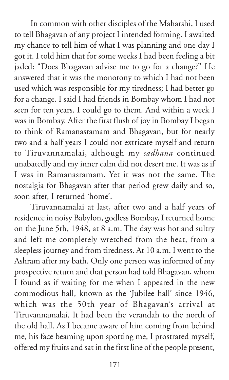In common with other disciples of the Maharshi, I used to tell Bhagavan of any project I intended forming. I awaited my chance to tell him of what I was planning and one day I got it. I told him that for some weeks I had been feeling a bit jaded: "Does Bhagavan advise me to go for a change?" He answered that it was the monotony to which I had not been used which was responsible for my tiredness; I had better go for a change. I said I had friends in Bombay whom I had not seen for ten years. I could go to them. And within a week I was in Bombay. After the first flush of joy in Bombay I began to think of Ramanasramam and Bhagavan, but for nearly two and a half years I could not extricate myself and return to Tiruvannamalai, although my *sadhana* continued unabatedly and my inner calm did not desert me. It was as if I was in Ramanasramam. Yet it was not the same. The nostalgia for Bhagavan after that period grew daily and so, soon after, I returned 'home'.

Tiruvannamalai at last, after two and a half years of residence in noisy Babylon, godless Bombay, I returned home on the June 5th, 1948, at 8 a.m. The day was hot and sultry and left me completely wretched from the heat, from a sleepless journey and from tiredness. At 10 a.m. I went to the Ashram after my bath. Only one person was informed of my prospective return and that person had told Bhagavan, whom I found as if waiting for me when I appeared in the new commodious hall, known as the 'Jubilee hall' since 1946, which was the 50th year of Bhagavan's arrival at Tiruvannamalai. It had been the verandah to the north of the old hall. As I became aware of him coming from behind me, his face beaming upon spotting me, I prostrated myself, offered my fruits and sat in the first line of the people present,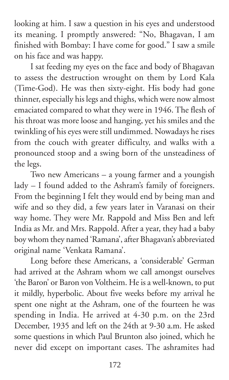looking at him. I saw a question in his eyes and understood its meaning. I promptly answered: "No, Bhagavan, I am finished with Bombay: I have come for good." I saw a smile on his face and was happy.

I sat feeding my eyes on the face and body of Bhagavan to assess the destruction wrought on them by Lord Kala (Time-God). He was then sixty-eight. His body had gone thinner, especially his legs and thighs, which were now almost emaciated compared to what they were in 1946. The flesh of his throat was more loose and hanging, yet his smiles and the twinkling of his eyes were still undimmed. Nowadays he rises from the couch with greater difficulty, and walks with a pronounced stoop and a swing born of the unsteadiness of the legs.

Two new Americans – a young farmer and a youngish lady – I found added to the Ashram's family of foreigners. From the beginning I felt they would end by being man and wife and so they did, a few years later in Varanasi on their way home. They were Mr. Rappold and Miss Ben and left India as Mr. and Mrs. Rappold. After a year, they had a baby boy whom they named 'Ramana', after Bhagavan's abbreviated original name 'Venkata Ramana'.

Long before these Americans, a 'considerable' German had arrived at the Ashram whom we call amongst ourselves 'the Baron' or Baron von Voltheim. He is a well-known, to put it mildly, hyperbolic. About five weeks before my arrival he spent one night at the Ashram, one of the fourteen he was spending in India. He arrived at 4-30 p.m. on the 23rd December, 1935 and left on the 24th at 9-30 a.m. He asked some questions in which Paul Brunton also joined, which he never did except on important cases. The ashramites had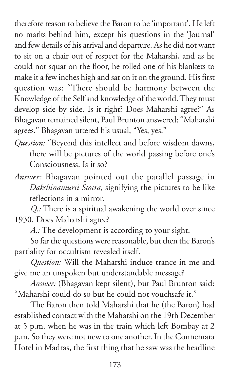therefore reason to believe the Baron to be 'important'. He left no marks behind him, except his questions in the 'Journal' and few details of his arrival and departure. As he did not want to sit on a chair out of respect for the Maharshi, and as he could not squat on the floor, he rolled one of his blankets to make it a few inches high and sat on it on the ground. His first question was: "There should be harmony between the Knowledge of the Self and knowledge of the world. They must develop side by side. Is it right? Does Maharshi agree?" As Bhagavan remained silent, Paul Brunton answered: "Maharshi agrees." Bhagavan uttered his usual, "Yes, yes."

- *Question:* "Beyond this intellect and before wisdom dawns, there will be pictures of the world passing before one's Consciousness. Is it so?
- *Answer:* Bhagavan pointed out the parallel passage in *Dakshinamurti Stotra*, signifying the pictures to be like reflections in a mirror.

*Q.:* There is a spiritual awakening the world over since 1930. Does Maharshi agree?

*A.:* The development is according to your sight.

So far the questions were reasonable, but then the Baron's partiality for occultism revealed itself.

*Question:* Will the Maharshi induce trance in me and give me an unspoken but understandable message?

*Answer:* (Bhagavan kept silent), but Paul Brunton said: "Maharshi could do so but he could not vouchsafe it."

The Baron then told Maharshi that he (the Baron) had established contact with the Maharshi on the 19th December at 5 p.m. when he was in the train which left Bombay at 2 p.m. So they were not new to one another. In the Connemara Hotel in Madras, the first thing that he saw was the headline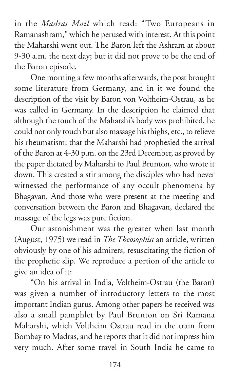in the *Madras Mail* which read: "Two Europeans in Ramanashram," which he perused with interest. At this point the Maharshi went out. The Baron left the Ashram at about 9-30 a.m. the next day; but it did not prove to be the end of the Baron episode.

One morning a few months afterwards, the post brought some literature from Germany, and in it we found the description of the visit by Baron von Voltheim-Ostrau, as he was called in Germany. In the description he claimed that although the touch of the Maharshi's body was prohibited, he could not only touch but also massage his thighs, etc., to relieve his rheumatism; that the Maharshi had prophesied the arrival of the Baron at 4-30 p.m. on the 23rd December, as proved by the paper dictated by Maharshi to Paul Brunton, who wrote it down. This created a stir among the disciples who had never witnessed the performance of any occult phenomena by Bhagavan. And those who were present at the meeting and conversation between the Baron and Bhagavan, declared the massage of the legs was pure fiction.

Our astonishment was the greater when last month (August, 1975) we read in *The Theosophist* an article, written obviously by one of his admirers, resuscitating the fiction of the prophetic slip. We reproduce a portion of the article to give an idea of it:

"On his arrival in India, Voltheim-Ostrau (the Baron) was given a number of introductory letters to the most important Indian gurus. Among other papers he received was also a small pamphlet by Paul Brunton on Sri Ramana Maharshi, which Voltheim Ostrau read in the train from Bombay to Madras, and he reports that it did not impress him very much. After some travel in South India he came to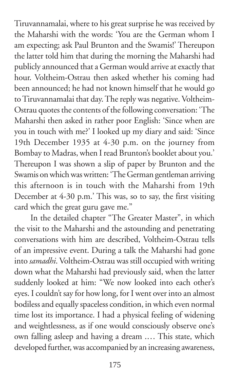Tiruvannamalai, where to his great surprise he was received by the Maharshi with the words: 'You are the German whom I am expecting; ask Paul Brunton and the Swamis!' Thereupon the latter told him that during the morning the Maharshi had publicly announced that a German would arrive at exactly that hour. Voltheim-Ostrau then asked whether his coming had been announced; he had not known himself that he would go to Tiruvannamalai that day. The reply was negative. Voltheim-Ostrau quotes the contents of the following conversation: 'The Maharshi then asked in rather poor English: 'Since when are you in touch with me?' I looked up my diary and said: 'Since 19th December 1935 at 4-30 p.m. on the journey from Bombay to Madras, when I read Brunton's booklet about you.' Thereupon I was shown a slip of paper by Brunton and the Swamis on which was written: 'The German gentleman arriving this afternoon is in touch with the Maharshi from 19th December at 4-30 p.m.' This was, so to say, the first visiting card which the great guru gave me."

In the detailed chapter "The Greater Master", in which the visit to the Maharshi and the astounding and penetrating conversations with him are described, Voltheim-Ostrau tells of an impressive event. During a talk the Maharshi had gone into *samadhi*. Voltheim-Ostrau was still occupied with writing down what the Maharshi had previously said, when the latter suddenly looked at him: "We now looked into each other's eyes. I couldn't say for how long, for I went over into an almost bodiless and equally spaceless condition, in which even normal time lost its importance. I had a physical feeling of widening and weightlessness, as if one would consciously observe one's own falling asleep and having a dream .… This state, which developed further, was accompanied by an increasing awareness,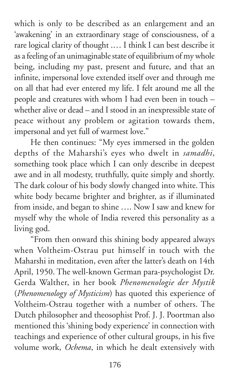which is only to be described as an enlargement and an 'awakening' in an extraordinary stage of consciousness, of a rare logical clarity of thought .… I think I can best describe it as a feeling of an unimaginable state of equilibrium of my whole being, including my past, present and future, and that an infinite, impersonal love extended itself over and through me on all that had ever entered my life. I felt around me all the people and creatures with whom I had even been in touch – whether alive or dead – and I stood in an inexpressible state of peace without any problem or agitation towards them, impersonal and yet full of warmest love."

He then continues: "My eyes immersed in the golden depths of the Maharshi's eyes who dwelt in *samadhi*, something took place which I can only describe in deepest awe and in all modesty, truthfully, quite simply and shortly. The dark colour of his body slowly changed into white. This white body became brighter and brighter, as if illuminated from inside, and began to shine …. Now I saw and knew for myself why the whole of India revered this personality as a living god.

"From then onward this shining body appeared always when Voltheim-Ostrau put himself in touch with the Maharshi in meditation, even after the latter's death on 14th April, 1950. The well-known German para-psychologist Dr. Gerda Walther, in her book *Phenomenologie der Mystik* (*Phenomenology of Mysticism*) has quoted this experience of Voltheim-Ostrau together with a number of others. The Dutch philosopher and theosophist Prof. J. J. Poortman also mentioned this 'shining body experience' in connection with teachings and experience of other cultural groups, in his five volume work, *Ochema*, in which he dealt extensively with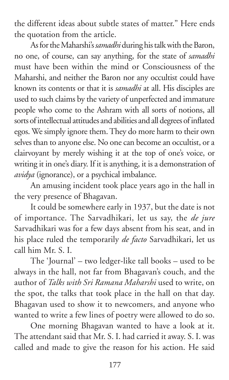the different ideas about subtle states of matter." Here ends the quotation from the article.

As for the Maharshi's *samadhi* during his talk with the Baron, no one, of course, can say anything, for the state of *samadhi* must have been within the mind or Consciousness of the Maharshi, and neither the Baron nor any occultist could have known its contents or that it is *samadhi* at all. His disciples are used to such claims by the variety of unperfected and immature people who come to the Ashram with all sorts of notions, all sorts of intellectual attitudes and abilities and all degrees of inflated egos. We simply ignore them. They do more harm to their own selves than to anyone else. No one can become an occultist, or a clairvoyant by merely wishing it at the top of one's voice, or writing it in one's diary. If it is anything, it is a demonstration of *avidya* (ignorance), or a psychical imbalance.

An amusing incident took place years ago in the hall in the very presence of Bhagavan.

It could be somewhere early in 1937, but the date is not of importance. The Sarvadhikari, let us say, the *de jure* Sarvadhikari was for a few days absent from his seat, and in his place ruled the temporarily *de facto* Sarvadhikari, let us call him Mr. S. I.

The 'Journal' – two ledger-like tall books – used to be always in the hall, not far from Bhagavan's couch, and the author of *Talks with Sri Ramana Maharshi* used to write, on the spot, the talks that took place in the hall on that day. Bhagavan used to show it to newcomers, and anyone who wanted to write a few lines of poetry were allowed to do so.

One morning Bhagavan wanted to have a look at it. The attendant said that Mr. S. I. had carried it away. S. I. was called and made to give the reason for his action. He said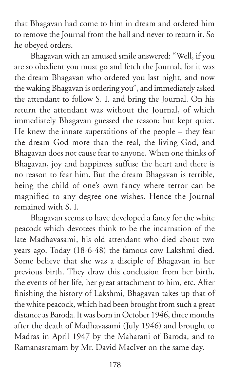that Bhagavan had come to him in dream and ordered him to remove the Journal from the hall and never to return it. So he obeyed orders.

Bhagavan with an amused smile answered: "Well, if you are so obedient you must go and fetch the Journal, for it was the dream Bhagavan who ordered you last night, and now the waking Bhagavan is ordering you", and immediately asked the attendant to follow S. I. and bring the Journal. On his return the attendant was without the Journal, of which immediately Bhagavan guessed the reason; but kept quiet. He knew the innate superstitions of the people – they fear the dream God more than the real, the living God, and Bhagavan does not cause fear to anyone. When one thinks of Bhagavan, joy and happiness suffuse the heart and there is no reason to fear him. But the dream Bhagavan is terrible, being the child of one's own fancy where terror can be magnified to any degree one wishes. Hence the Journal remained with S. I.

Bhagavan seems to have developed a fancy for the white peacock which devotees think to be the incarnation of the late Madhavasami, his old attendant who died about two years ago. Today (18-6-48) the famous cow Lakshmi died. Some believe that she was a disciple of Bhagavan in her previous birth. They draw this conclusion from her birth, the events of her life, her great attachment to him, etc. After finishing the history of Lakshmi, Bhagavan takes up that of the white peacock, which had been brought from such a great distance as Baroda. It was born in October 1946, three months after the death of Madhavasami (July 1946) and brought to Madras in April 1947 by the Maharani of Baroda, and to Ramanasramam by Mr. David MacIver on the same day.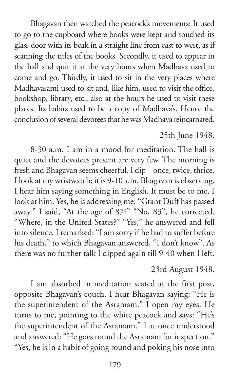Bhagavan then watched the peacock's movements: It used to go to the cupboard where books were kept and touched its glass door with its beak in a straight line from east to west, as if scanning the titles of the books. Secondly, it used to appear in the hall and quit it at the very hours when Madhava used to come and go. Thirdly, it used to sit in the very places where Madhavasami used to sit and, like him, used to visit the office, bookshop, library, etc., also at the hours he used to visit these places. Its habits used to be a copy of Madhava's. Hence the conclusion of several devotees that he was Madhava reincarnated.

## 25th June 1948.

8-30 a.m. I am in a mood for meditation. The hall is quiet and the devotees present are very few. The morning is fresh and Bhagavan seems cheerful. I dip – once, twice, thrice. I look at my wristwatch; it is 9-10 a.m. Bhagavan is observing. I hear him saying something in English. It must be to me, I look at him. Yes, he is addressing me: "Grant Duff has passed away." I said, "At the age of 87?" "No, 83", he corrected. "Where, in the United States?" "Yes," he answered and fell into silence. I remarked: "I am sorry if he had to suffer before his death," to which Bhagavan answered, "I don't know". As there was no further talk I dipped again till 9-40 when I left.

23rd August 1948.

I am absorbed in meditation seated at the first post, opposite Bhagavan's couch. I hear Bhagavan saying: "He is the superintendent of the Asramam." I open my eyes. He turns to me, pointing to the white peacock and says: "He's the superintendent of the Asramam." I at once understood and answered: "He goes round the Asramam for inspection." "Yes, he is in a habit of going round and poking his nose into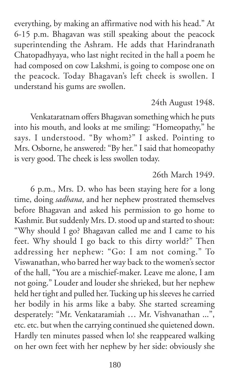everything, by making an affirmative nod with his head." At 6-15 p.m. Bhagavan was still speaking about the peacock superintending the Ashram. He adds that Harindranath Chatopadhyaya, who last night recited in the hall a poem he had composed on cow Lakshmi, is going to compose one on the peacock. Today Bhagavan's left cheek is swollen. I understand his gums are swollen.

## 24th August 1948.

Venkataratnam offers Bhagavan something which he puts into his mouth, and looks at me smiling: "Homeopathy," he says. I understood. "By whom?" I asked. Pointing to Mrs. Osborne, he answered: "By her." I said that homeopathy is very good. The cheek is less swollen today.

## 26th March 1949.

6 p.m., Mrs. D. who has been staying here for a long time, doing *sadhana*, and her nephew prostrated themselves before Bhagavan and asked his permission to go home to Kashmir. But suddenly Mrs. D. stood up and started to shout: "Why should I go? Bhagavan called me and I came to his feet. Why should I go back to this dirty world?" Then addressing her nephew: "Go: I am not coming." To Viswanathan, who barred her way back to the women's sector of the hall, "You are a mischief-maker. Leave me alone, I am not going." Louder and louder she shrieked, but her nephew held her tight and pulled her. Tucking up his sleeves he carried her bodily in his arms like a baby. She started screaming desperately: "Mr. Venkataramiah … Mr. Vishvanathan ...", etc. etc. but when the carrying continued she quietened down. Hardly ten minutes passed when lo! she reappeared walking on her own feet with her nephew by her side: obviously she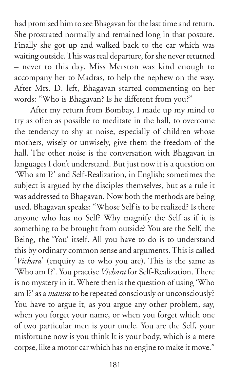had promised him to see Bhagavan for the last time and return. She prostrated normally and remained long in that posture. Finally she got up and walked back to the car which was waiting outside. This was real departure, for she never returned – never to this day. Miss Merston was kind enough to accompany her to Madras, to help the nephew on the way. After Mrs. D. left, Bhagavan started commenting on her words: "Who is Bhagavan? Is he different from you?"

After my return from Bombay, I made up my mind to try as often as possible to meditate in the hall, to overcome the tendency to shy at noise, especially of children whose mothers, wisely or unwisely, give them the freedom of the hall. The other noise is the conversation with Bhagavan in languages I don't understand. But just now it is a question on 'Who am I?' and Self-Realization, in English; sometimes the subject is argued by the disciples themselves, but as a rule it was addressed to Bhagavan. Now both the methods are being used. Bhagavan speaks: "Whose Self is to be realized? Is there anyone who has no Self? Why magnify the Self as if it is something to be brought from outside? You are the Self, the Being, the 'You' itself. All you have to do is to understand this by ordinary common sense and arguments. This is called '*Vichara*' (enquiry as to who you are). This is the same as 'Who am I?'. You practise *Vichara* for Self-Realization. There is no mystery in it. Where then is the question of using 'Who am I?' as a *mantra* to be repeated consciously or unconsciously? You have to argue it, as you argue any other problem, say, when you forget your name, or when you forget which one of two particular men is your uncle. You are the Self, your misfortune now is you think It is your body, which is a mere corpse, like a motor car which has no engine to make it move."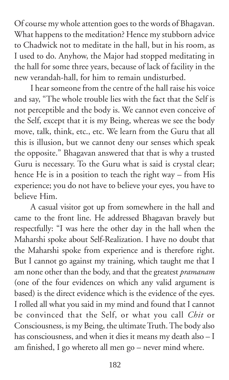Of course my whole attention goes to the words of Bhagavan. What happens to the meditation? Hence my stubborn advice to Chadwick not to meditate in the hall, but in his room, as I used to do. Anyhow, the Major had stopped meditating in the hall for some three years, because of lack of facility in the new verandah-hall, for him to remain undisturbed.

I hear someone from the centre of the hall raise his voice and say, "The whole trouble lies with the fact that the Self is not perceptible and the body is. We cannot even conceive of the Self, except that it is my Being, whereas we see the body move, talk, think, etc., etc. We learn from the Guru that all this is illusion, but we cannot deny our senses which speak the opposite." Bhagavan answered that that is why a trusted Guru is necessary. To the Guru what is said is crystal clear; hence He is in a position to teach the right way – from His experience; you do not have to believe your eyes, you have to believe Him.

A casual visitor got up from somewhere in the hall and came to the front line. He addressed Bhagavan bravely but respectfully: "I was here the other day in the hall when the Maharshi spoke about Self-Realization. I have no doubt that the Maharshi spoke from experience and is therefore right. But I cannot go against my training, which taught me that I am none other than the body, and that the greatest *pramanam* (one of the four evidences on which any valid argument is based) is the direct evidence which is the evidence of the eyes. I rolled all what you said in my mind and found that I cannot be convinced that the Self, or what you call *Chit* or Consciousness, is my Being, the ultimate Truth. The body also has consciousness, and when it dies it means my death also – I am finished, I go whereto all men go – never mind where.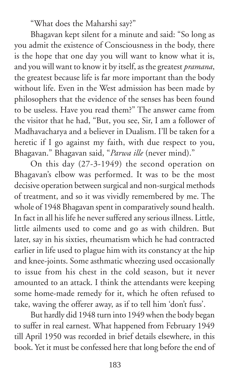"What does the Maharshi say?"

Bhagavan kept silent for a minute and said: "So long as you admit the existence of Consciousness in the body, there is the hope that one day you will want to know what it is, and you will want to know it by itself, as the greatest *pramana*, the greatest because life is far more important than the body without life. Even in the West admission has been made by philosophers that the evidence of the senses has been found to be useless. Have you read them?" The answer came from the visitor that he had, "But, you see, Sir, I am a follower of Madhavacharya and a believer in Dualism. I'll be taken for a heretic if I go against my faith, with due respect to you, Bhagavan." Bhagavan said, "*Parwa ille* (never mind)."

On this day (27-3-1949) the second operation on Bhagavan's elbow was performed. It was to be the most decisive operation between surgical and non-surgical methods of treatment, and so it was vividly remembered by me. The whole of 1948 Bhagavan spent in comparatively sound health. In fact in all his life he never suffered any serious illness. Little, little ailments used to come and go as with children. But later, say in his sixties, rheumatism which he had contracted earlier in life used to plague him with its constancy at the hip and knee-joints. Some asthmatic wheezing used occasionally to issue from his chest in the cold season, but it never amounted to an attack. I think the attendants were keeping some home-made remedy for it, which he often refused to take, waving the offerer away, as if to tell him 'don't fuss'.

But hardly did 1948 turn into 1949 when the body began to suffer in real earnest. What happened from February 1949 till April 1950 was recorded in brief details elsewhere, in this book. Yet it must be confessed here that long before the end of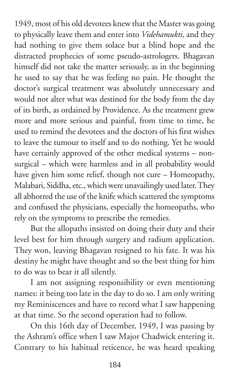1949, most of his old devotees knew that the Master was going to physically leave them and enter into *Videhamukti*, and they had nothing to give them solace but a blind hope and the distracted prophecies of some pseudo-astrologers. Bhagavan himself did not take the matter seriously, as in the beginning he used to say that he was feeling no pain. He thought the doctor's surgical treatment was absolutely unnecessary and would not alter what was destined for the body from the day of its birth, as ordained by Providence. As the treatment grew more and more serious and painful, from time to time, he used to remind the devotees and the doctors of his first wishes to leave the tumour to itself and to do nothing. Yet he would have certainly approved of the other medical systems – nonsurgical – which were harmless and in all probability would have given him some relief, though not cure – Homeopathy, Malabari, Siddha, etc., which were unavailingly used later. They all abhorred the use of the knife which scattered the symptoms and confused the physicians, especially the homeopaths, who rely on the symptoms to prescribe the remedies.

But the allopaths insisted on doing their duty and their level best for him through surgery and radium application. They won, leaving Bhagavan resigned to his fate. It was his destiny he might have thought and so the best thing for him to do was to bear it all silently.

I am not assigning responsibility or even mentioning names: it being too late in the day to do so. I am only writing my Reminiscences and have to record what I saw happening at that time. So the second operation had to follow.

On this 16th day of December, 1949, I was passing by the Ashram's office when I saw Major Chadwick entering it. Contrary to his habitual reticence, he was heard speaking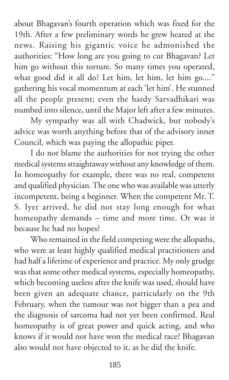about Bhagavan's fourth operation which was fixed for the 19th. After a few preliminary words he grew heated at the news. Raising his gigantic voice he admonished the authorities: "How long are you going to cut Bhagavan? Let him go without this torture. So many times you operated, what good did it all do? Let him, let him, let him go...." gathering his vocal momentum at each 'let him'. He stunned all the people present; even the hardy Sarvadhikari was numbed into silence, until the Major left after a few minutes.

My sympathy was all with Chadwick, but nobody's advice was worth anything before that of the advisory inner Council, which was paying the allopathic piper.

I do not blame the authorities for not trying the other medical systems straightaway without any knowledge of them. In homeopathy for example, there was no real, competent and qualified physician. The one who was available was utterly incompetent, being a beginner. When the competent Mr. T. S. Iyer arrived, he did not stay long enough for what homeopathy demands – time and more time. Or was it because he had no hopes?

Who remained in the field competing were the allopaths, who were at least highly qualified medical practitioners and had half a lifetime of experience and practice. My only grudge was that some other medical systems, especially homeopathy, which becoming useless after the knife was used, should have been given an adequate chance, particularly on the 9th February, when the tumour was not bigger than a pea and the diagnosis of sarcoma had not yet been confirmed. Real homeopathy is of great power and quick acting, and who knows if it would not have won the medical race? Bhagavan also would not have objected to it, as he did the knife.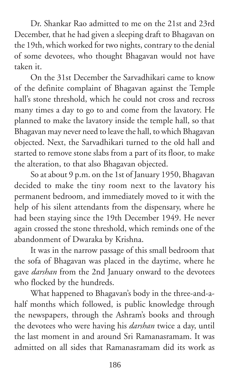Dr. Shankar Rao admitted to me on the 21st and 23rd December, that he had given a sleeping draft to Bhagavan on the 19th, which worked for two nights, contrary to the denial of some devotees, who thought Bhagavan would not have taken it.

On the 31st December the Sarvadhikari came to know of the definite complaint of Bhagavan against the Temple hall's stone threshold, which he could not cross and recross many times a day to go to and come from the lavatory. He planned to make the lavatory inside the temple hall, so that Bhagavan may never need to leave the hall, to which Bhagavan objected. Next, the Sarvadhikari turned to the old hall and started to remove stone slabs from a part of its floor, to make the alteration, to that also Bhagavan objected.

So at about 9 p.m. on the 1st of January 1950, Bhagavan decided to make the tiny room next to the lavatory his permanent bedroom, and immediately moved to it with the help of his silent attendants from the dispensary, where he had been staying since the 19th December 1949. He never again crossed the stone threshold, which reminds one of the abandonment of Dwaraka by Krishna.

It was in the narrow passage of this small bedroom that the sofa of Bhagavan was placed in the daytime, where he gave *darshan* from the 2nd January onward to the devotees who flocked by the hundreds.

What happened to Bhagavan's body in the three-and-ahalf months which followed, is public knowledge through the newspapers, through the Ashram's books and through the devotees who were having his *darshan* twice a day, until the last moment in and around Sri Ramanasramam. It was admitted on all sides that Ramanasramam did its work as